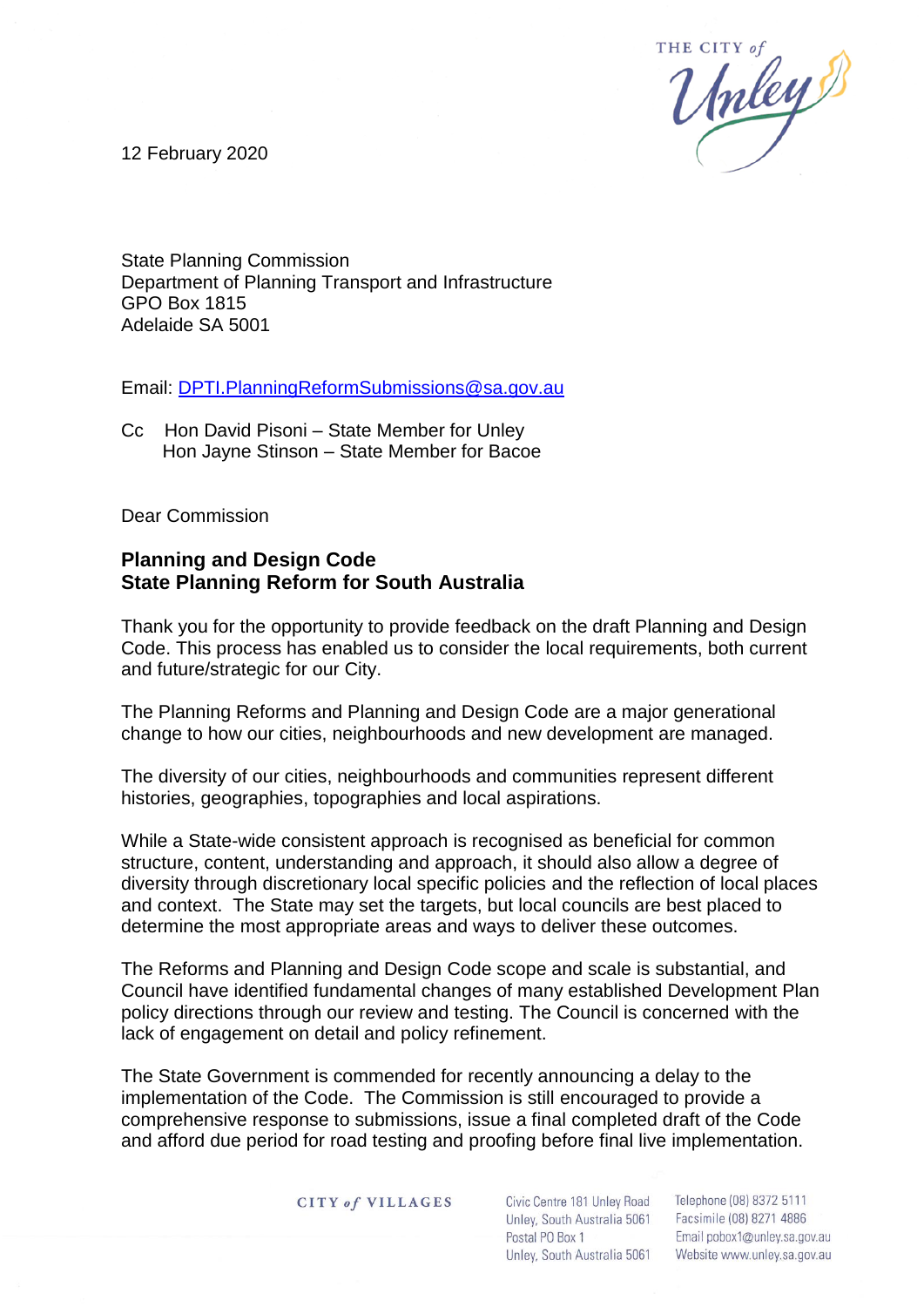

12 February 2020

State Planning Commission Department of Planning Transport and Infrastructure GPO Box 1815 Adelaide SA 5001

Email: [DPTI.PlanningReformSubmissions@sa.gov.au](mailto:DPTI.PlanningReformSubmissions@sa.gov.au)

Cc Hon David Pisoni – State Member for Unley Hon Jayne Stinson – State Member for Bacoe

Dear Commission

# **Planning and Design Code State Planning Reform for South Australia**

Thank you for the opportunity to provide feedback on the draft Planning and Design Code. This process has enabled us to consider the local requirements, both current and future/strategic for our City.

The Planning Reforms and Planning and Design Code are a major generational change to how our cities, neighbourhoods and new development are managed.

The diversity of our cities, neighbourhoods and communities represent different histories, geographies, topographies and local aspirations.

While a State-wide consistent approach is recognised as beneficial for common structure, content, understanding and approach, it should also allow a degree of diversity through discretionary local specific policies and the reflection of local places and context. The State may set the targets, but local councils are best placed to determine the most appropriate areas and ways to deliver these outcomes.

The Reforms and Planning and Design Code scope and scale is substantial, and Council have identified fundamental changes of many established Development Plan policy directions through our review and testing. The Council is concerned with the lack of engagement on detail and policy refinement.

The State Government is commended for recently announcing a delay to the implementation of the Code. The Commission is still encouraged to provide a comprehensive response to submissions, issue a final completed draft of the Code and afford due period for road testing and proofing before final live implementation.

**CITY of VILLAGES** 

Civic Centre 181 Unley Road Unley, South Australia 5061 Facsimile (08) 8271 4886 Page **1** of **4**

Telephone (08) 8372 5111 Email pobox1@unley.sa.gov.au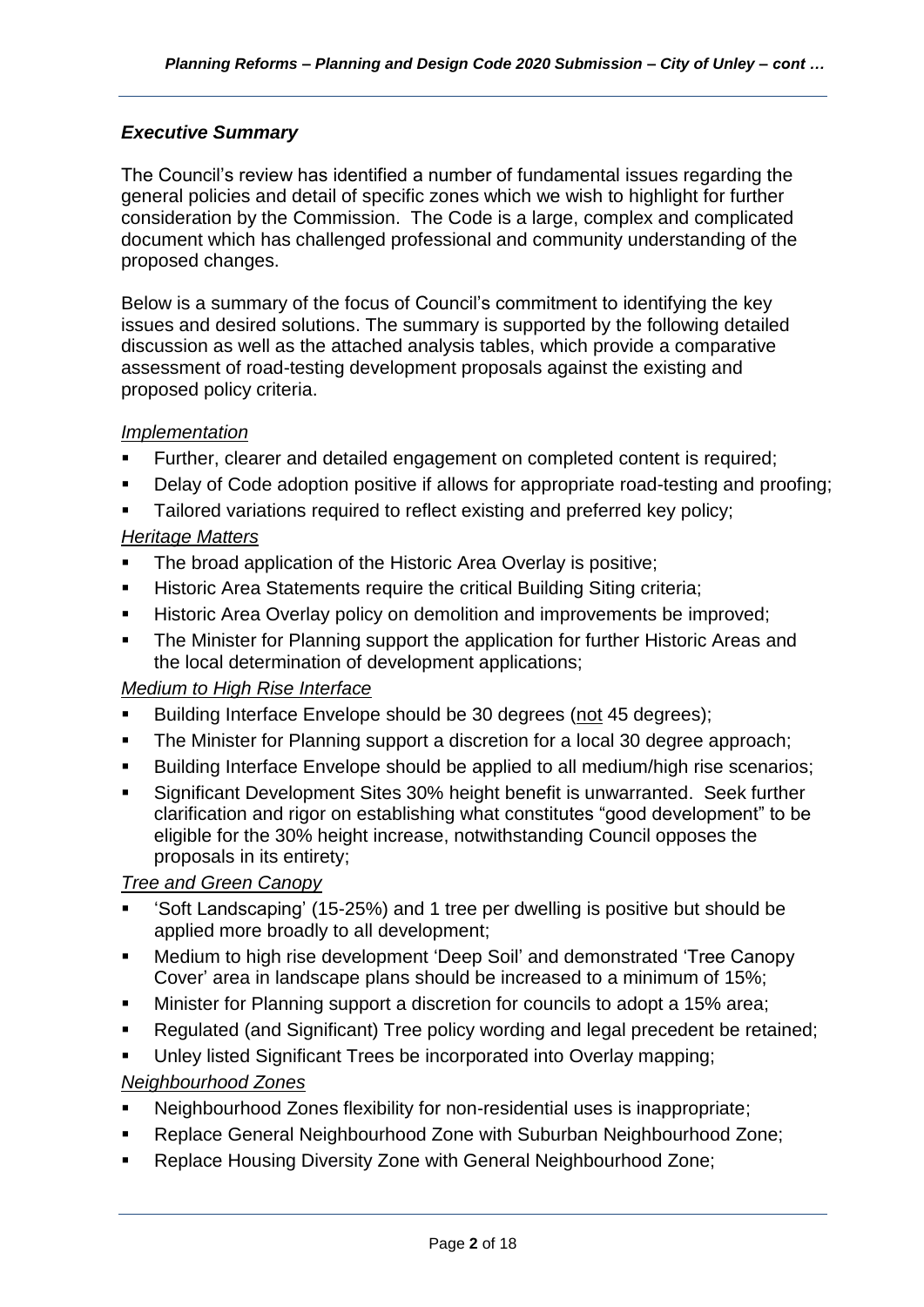# *Executive Summary*

The Council's review has identified a number of fundamental issues regarding the general policies and detail of specific zones which we wish to highlight for further consideration by the Commission. The Code is a large, complex and complicated document which has challenged professional and community understanding of the proposed changes.

Below is a summary of the focus of Council's commitment to identifying the key issues and desired solutions. The summary is supported by the following detailed discussion as well as the attached analysis tables, which provide a comparative assessment of road-testing development proposals against the existing and proposed policy criteria.

# *Implementation*

- Further, clearer and detailed engagement on completed content is required;
- Delay of Code adoption positive if allows for appropriate road-testing and proofing;
- Tailored variations required to reflect existing and preferred key policy;

# *Heritage Matters*

- The broad application of the Historic Area Overlay is positive;
- **E** Historic Area Statements require the critical Building Siting criteria:
- Historic Area Overlay policy on demolition and improvements be improved;
- The Minister for Planning support the application for further Historic Areas and the local determination of development applications;

# *Medium to High Rise Interface*

- Building Interface Envelope should be 30 degrees (not 45 degrees);
- The Minister for Planning support a discretion for a local 30 degree approach;
- Building Interface Envelope should be applied to all medium/high rise scenarios;
- Significant Development Sites 30% height benefit is unwarranted. Seek further clarification and rigor on establishing what constitutes "good development" to be eligible for the 30% height increase, notwithstanding Council opposes the proposals in its entirety;

# *Tree and Green Canopy*

- 'Soft Landscaping' (15-25%) and 1 tree per dwelling is positive but should be applied more broadly to all development;
- Medium to high rise development 'Deep Soil' and demonstrated 'Tree Canopy Cover' area in landscape plans should be increased to a minimum of 15%;
- Minister for Planning support a discretion for councils to adopt a 15% area:
- Regulated (and Significant) Tree policy wording and legal precedent be retained;
- Unley listed Significant Trees be incorporated into Overlay mapping;

# *Neighbourhood Zones*

- Neighbourhood Zones flexibility for non-residential uses is inappropriate;
- Replace General Neighbourhood Zone with Suburban Neighbourhood Zone:
- Replace Housing Diversity Zone with General Neighbourhood Zone;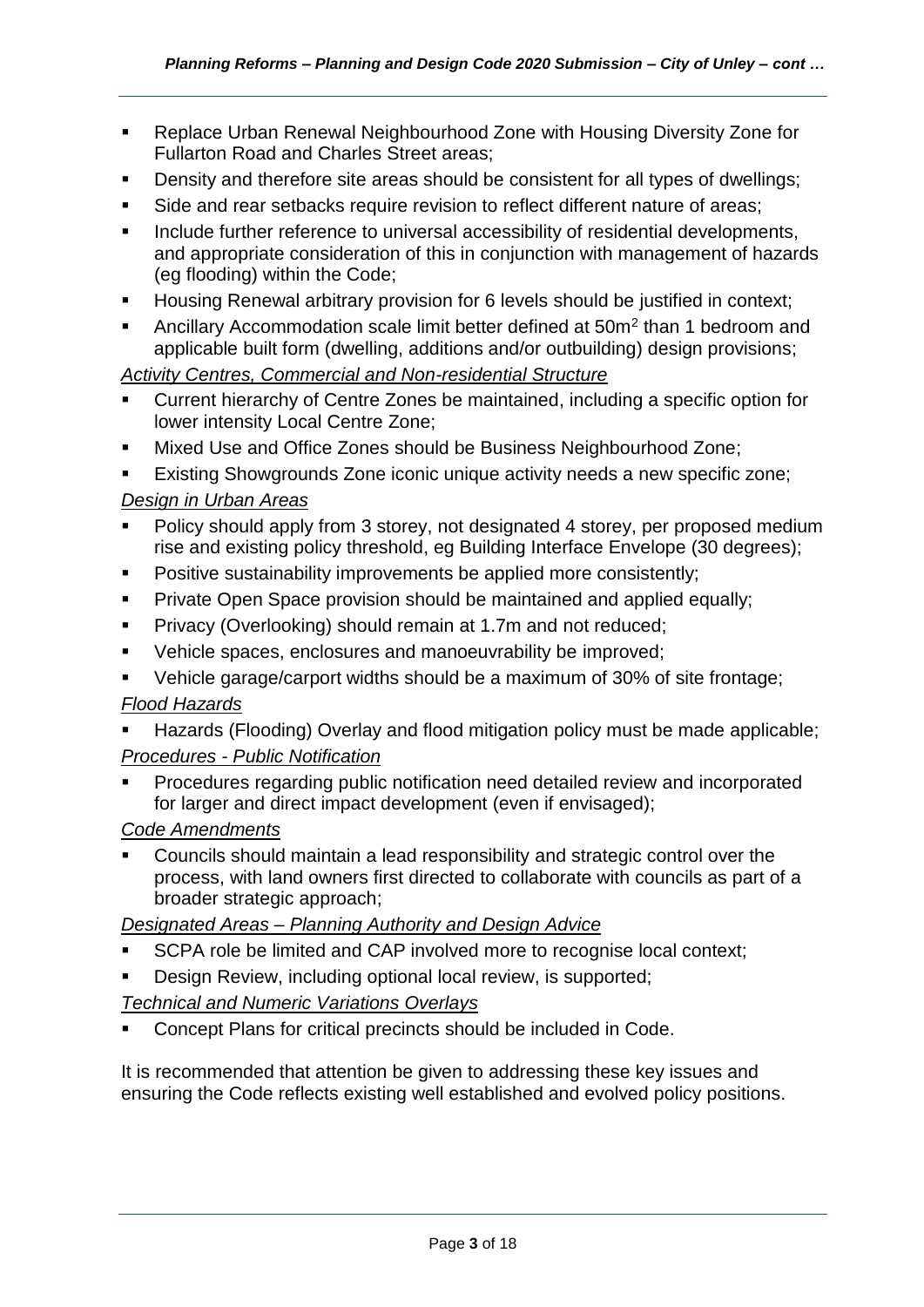- Replace Urban Renewal Neighbourhood Zone with Housing Diversity Zone for Fullarton Road and Charles Street areas;
- Density and therefore site areas should be consistent for all types of dwellings;
- Side and rear setbacks require revision to reflect different nature of areas:
- Include further reference to universal accessibility of residential developments, and appropriate consideration of this in conjunction with management of hazards (eg flooding) within the Code;
- Housing Renewal arbitrary provision for 6 levels should be justified in context;
- **EXEDENT** Accommodation scale limit better defined at 50m<sup>2</sup> than 1 bedroom and applicable built form (dwelling, additions and/or outbuilding) design provisions;

*Activity Centres, Commercial and Non-residential Structure*

- Current hierarchy of Centre Zones be maintained, including a specific option for lower intensity Local Centre Zone;
- Mixed Use and Office Zones should be Business Neighbourhood Zone;

Existing Showgrounds Zone iconic unique activity needs a new specific zone; *Design in Urban Areas*

- Policy should apply from 3 storey, not designated 4 storey, per proposed medium rise and existing policy threshold, eg Building Interface Envelope (30 degrees);
- **•** Positive sustainability improvements be applied more consistently;
- **Private Open Space provision should be maintained and applied equally;**
- **Privacy (Overlooking) should remain at 1.7m and not reduced:**
- Vehicle spaces, enclosures and manoeuvrability be improved;
- Vehicle garage/carport widths should be a maximum of 30% of site frontage;

# *Flood Hazards*

- Hazards (Flooding) Overlay and flood mitigation policy must be made applicable; *Procedures - Public Notification*
- Procedures regarding public notification need detailed review and incorporated for larger and direct impact development (even if envisaged);

# *Code Amendments*

Councils should maintain a lead responsibility and strategic control over the process, with land owners first directed to collaborate with councils as part of a broader strategic approach;

*Designated Areas – Planning Authority and Design Advice*

- SCPA role be limited and CAP involved more to recognise local context;
- Design Review, including optional local review, is supported;

# *Technical and Numeric Variations Overlays*

Concept Plans for critical precincts should be included in Code.

It is recommended that attention be given to addressing these key issues and ensuring the Code reflects existing well established and evolved policy positions.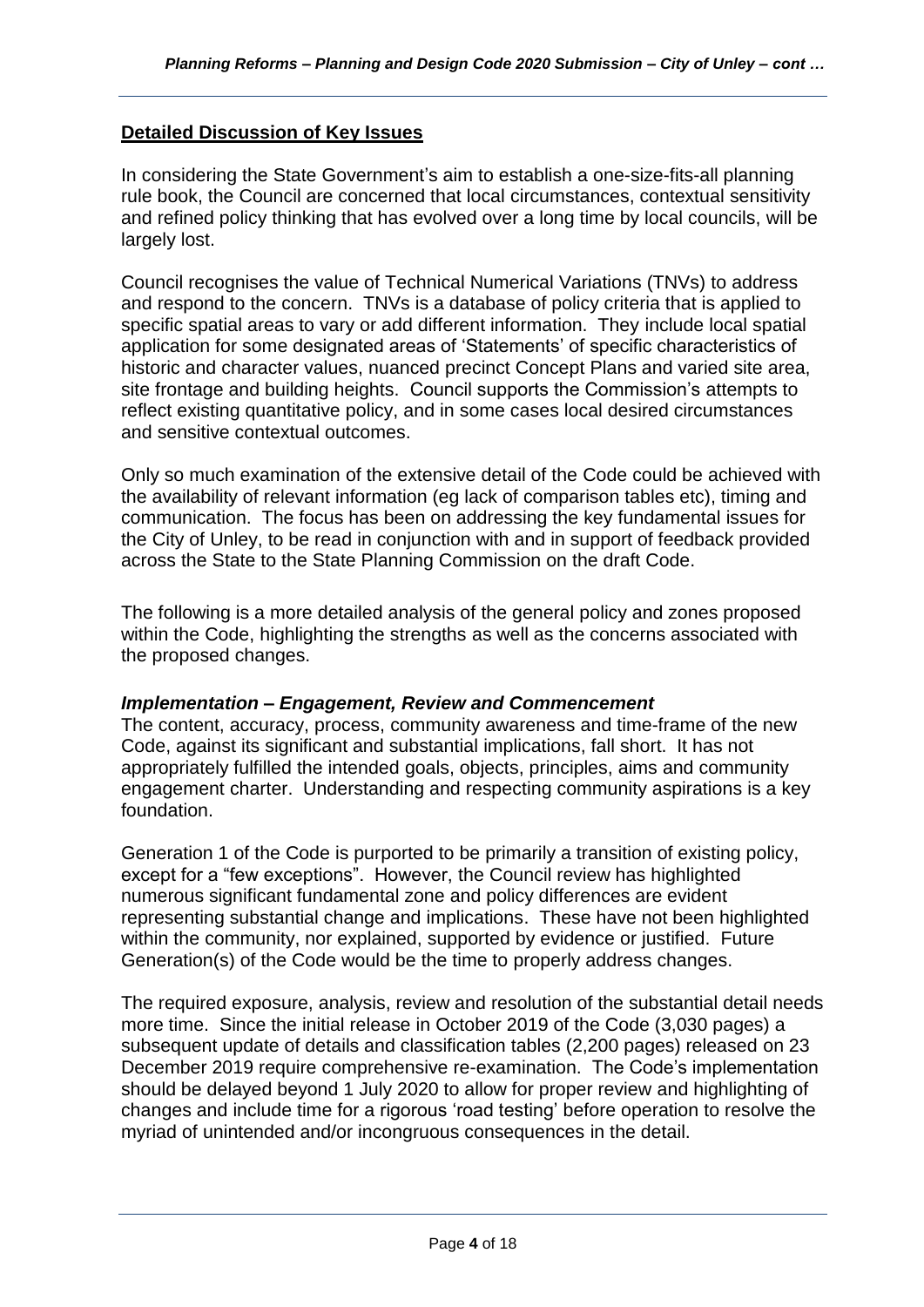# **Detailed Discussion of Key Issues**

In considering the State Government's aim to establish a one-size-fits-all planning rule book, the Council are concerned that local circumstances, contextual sensitivity and refined policy thinking that has evolved over a long time by local councils, will be largely lost.

Council recognises the value of Technical Numerical Variations (TNVs) to address and respond to the concern. TNVs is a database of policy criteria that is applied to specific spatial areas to vary or add different information. They include local spatial application for some designated areas of 'Statements' of specific characteristics of historic and character values, nuanced precinct Concept Plans and varied site area, site frontage and building heights. Council supports the Commission's attempts to reflect existing quantitative policy, and in some cases local desired circumstances and sensitive contextual outcomes.

Only so much examination of the extensive detail of the Code could be achieved with the availability of relevant information (eg lack of comparison tables etc), timing and communication. The focus has been on addressing the key fundamental issues for the City of Unley, to be read in conjunction with and in support of feedback provided across the State to the State Planning Commission on the draft Code.

The following is a more detailed analysis of the general policy and zones proposed within the Code, highlighting the strengths as well as the concerns associated with the proposed changes.

#### *Implementation – Engagement, Review and Commencement*

The content, accuracy, process, community awareness and time-frame of the new Code, against its significant and substantial implications, fall short. It has not appropriately fulfilled the intended goals, objects, principles, aims and community engagement charter. Understanding and respecting community aspirations is a key foundation.

Generation 1 of the Code is purported to be primarily a transition of existing policy, except for a "few exceptions". However, the Council review has highlighted numerous significant fundamental zone and policy differences are evident representing substantial change and implications. These have not been highlighted within the community, nor explained, supported by evidence or justified. Future Generation(s) of the Code would be the time to properly address changes.

The required exposure, analysis, review and resolution of the substantial detail needs more time. Since the initial release in October 2019 of the Code (3,030 pages) a subsequent update of details and classification tables (2,200 pages) released on 23 December 2019 require comprehensive re-examination. The Code's implementation should be delayed beyond 1 July 2020 to allow for proper review and highlighting of changes and include time for a rigorous 'road testing' before operation to resolve the myriad of unintended and/or incongruous consequences in the detail.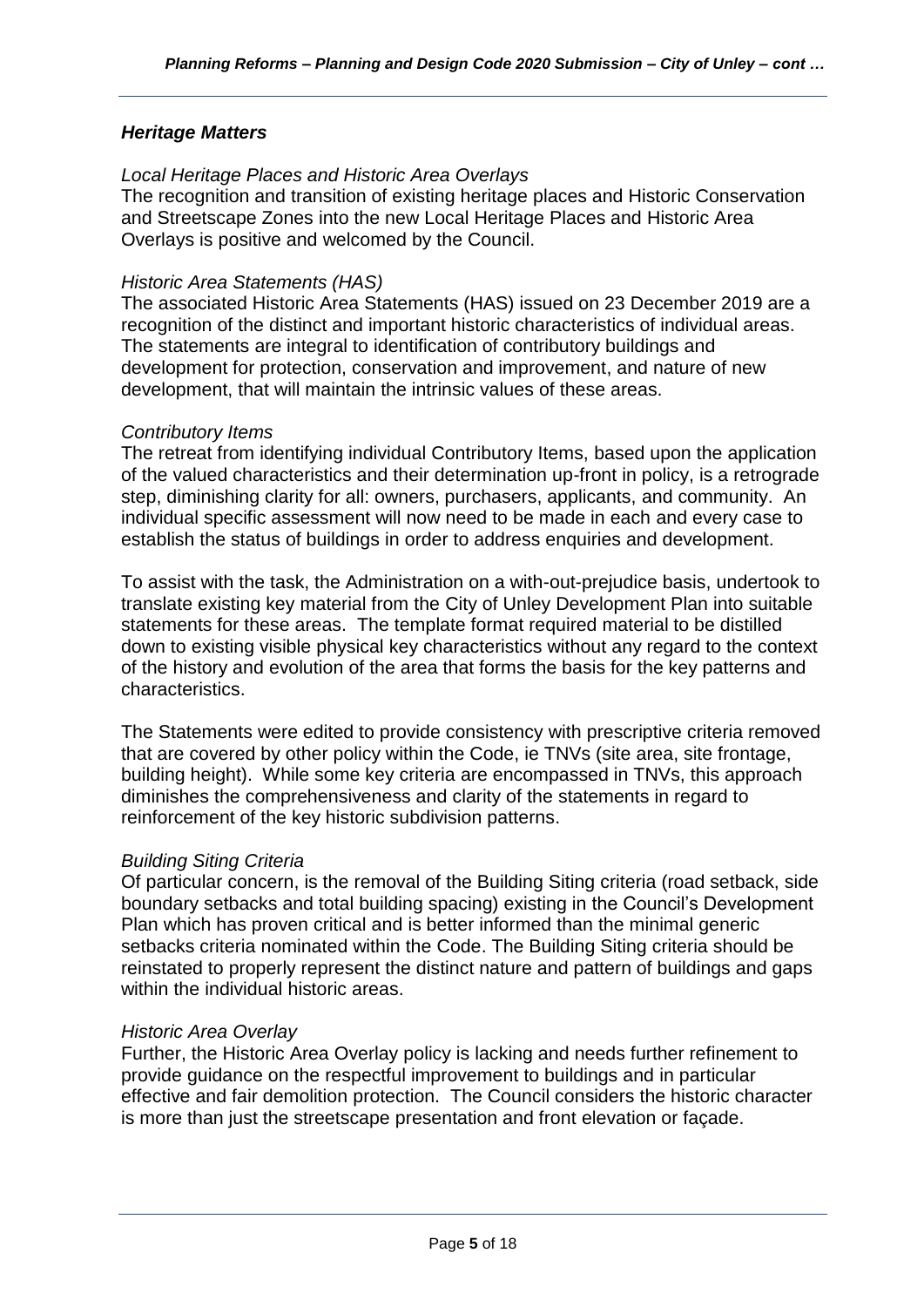# *Heritage Matters*

#### *Local Heritage Places and Historic Area Overlays*

The recognition and transition of existing heritage places and Historic Conservation and Streetscape Zones into the new Local Heritage Places and Historic Area Overlays is positive and welcomed by the Council.

#### *Historic Area Statements (HAS)*

The associated Historic Area Statements (HAS) issued on 23 December 2019 are a recognition of the distinct and important historic characteristics of individual areas. The statements are integral to identification of contributory buildings and development for protection, conservation and improvement, and nature of new development, that will maintain the intrinsic values of these areas.

### *Contributory Items*

The retreat from identifying individual Contributory Items, based upon the application of the valued characteristics and their determination up-front in policy, is a retrograde step, diminishing clarity for all: owners, purchasers, applicants, and community. An individual specific assessment will now need to be made in each and every case to establish the status of buildings in order to address enquiries and development.

To assist with the task, the Administration on a with-out-prejudice basis, undertook to translate existing key material from the City of Unley Development Plan into suitable statements for these areas. The template format required material to be distilled down to existing visible physical key characteristics without any regard to the context of the history and evolution of the area that forms the basis for the key patterns and characteristics.

The Statements were edited to provide consistency with prescriptive criteria removed that are covered by other policy within the Code, ie TNVs (site area, site frontage, building height). While some key criteria are encompassed in TNVs, this approach diminishes the comprehensiveness and clarity of the statements in regard to reinforcement of the key historic subdivision patterns.

#### *Building Siting Criteria*

Of particular concern, is the removal of the Building Siting criteria (road setback, side boundary setbacks and total building spacing) existing in the Council's Development Plan which has proven critical and is better informed than the minimal generic setbacks criteria nominated within the Code. The Building Siting criteria should be reinstated to properly represent the distinct nature and pattern of buildings and gaps within the individual historic areas.

#### *Historic Area Overlay*

Further, the Historic Area Overlay policy is lacking and needs further refinement to provide guidance on the respectful improvement to buildings and in particular effective and fair demolition protection. The Council considers the historic character is more than just the streetscape presentation and front elevation or façade.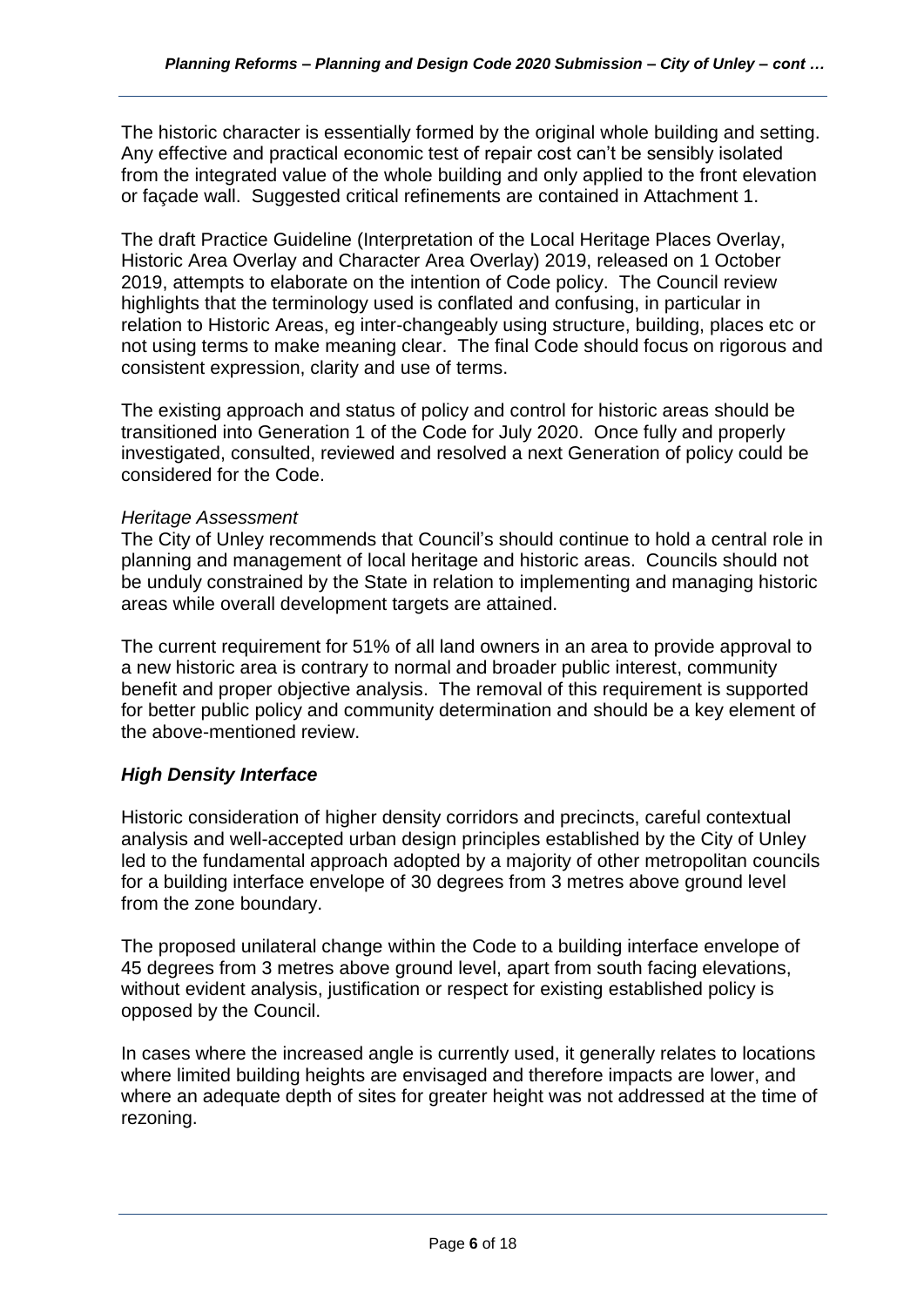The historic character is essentially formed by the original whole building and setting. Any effective and practical economic test of repair cost can't be sensibly isolated from the integrated value of the whole building and only applied to the front elevation or façade wall. Suggested critical refinements are contained in Attachment 1.

The draft Practice Guideline (Interpretation of the Local Heritage Places Overlay, Historic Area Overlay and Character Area Overlay) 2019, released on 1 October 2019, attempts to elaborate on the intention of Code policy. The Council review highlights that the terminology used is conflated and confusing, in particular in relation to Historic Areas, eg inter-changeably using structure, building, places etc or not using terms to make meaning clear. The final Code should focus on rigorous and consistent expression, clarity and use of terms.

The existing approach and status of policy and control for historic areas should be transitioned into Generation 1 of the Code for July 2020. Once fully and properly investigated, consulted, reviewed and resolved a next Generation of policy could be considered for the Code.

### *Heritage Assessment*

The City of Unley recommends that Council's should continue to hold a central role in planning and management of local heritage and historic areas. Councils should not be unduly constrained by the State in relation to implementing and managing historic areas while overall development targets are attained.

The current requirement for 51% of all land owners in an area to provide approval to a new historic area is contrary to normal and broader public interest, community benefit and proper objective analysis. The removal of this requirement is supported for better public policy and community determination and should be a key element of the above-mentioned review.

# *High Density Interface*

Historic consideration of higher density corridors and precincts, careful contextual analysis and well-accepted urban design principles established by the City of Unley led to the fundamental approach adopted by a majority of other metropolitan councils for a building interface envelope of 30 degrees from 3 metres above ground level from the zone boundary.

The proposed unilateral change within the Code to a building interface envelope of 45 degrees from 3 metres above ground level, apart from south facing elevations, without evident analysis, justification or respect for existing established policy is opposed by the Council.

In cases where the increased angle is currently used, it generally relates to locations where limited building heights are envisaged and therefore impacts are lower, and where an adequate depth of sites for greater height was not addressed at the time of rezoning.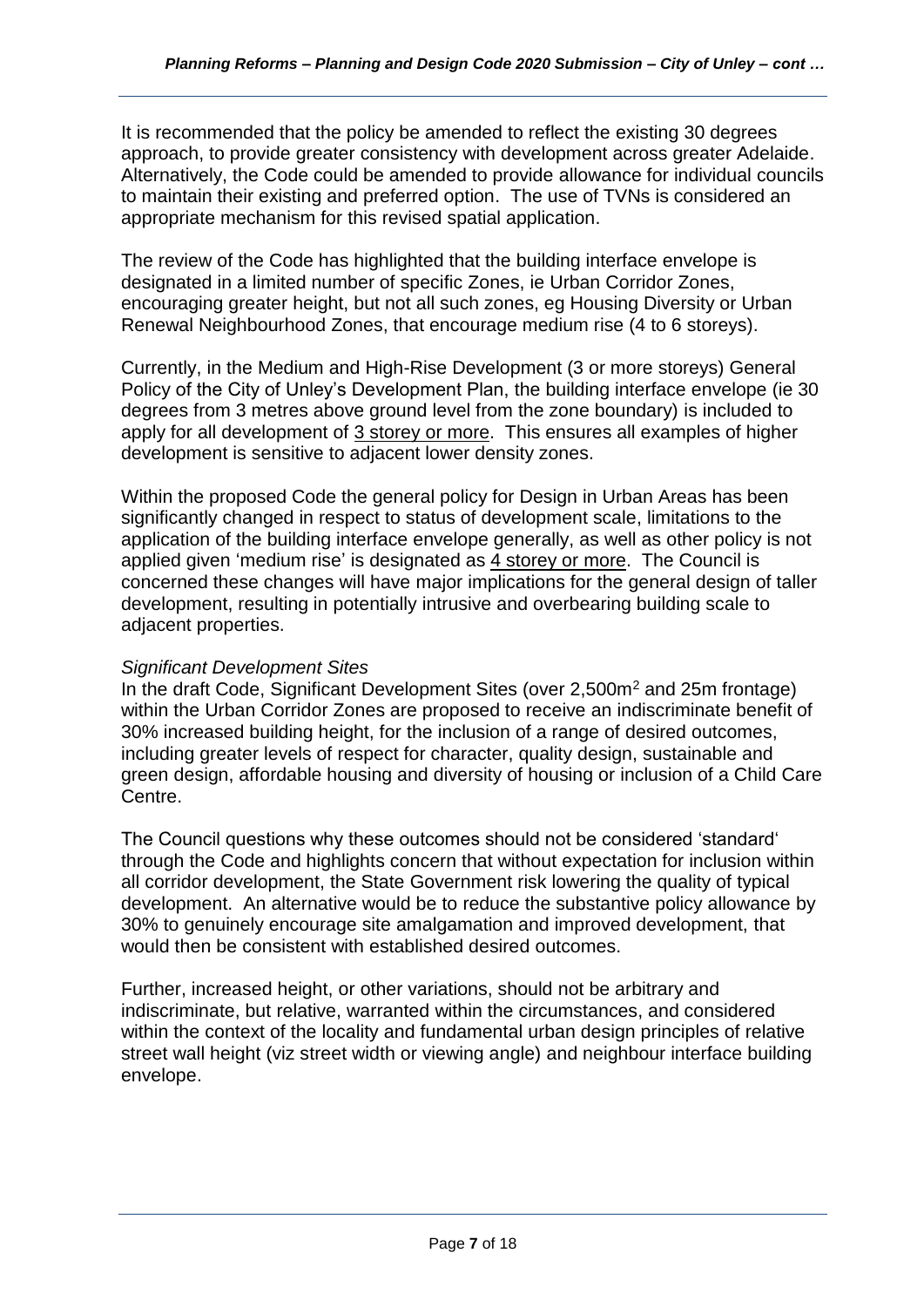It is recommended that the policy be amended to reflect the existing 30 degrees approach, to provide greater consistency with development across greater Adelaide. Alternatively, the Code could be amended to provide allowance for individual councils to maintain their existing and preferred option. The use of TVNs is considered an appropriate mechanism for this revised spatial application.

The review of the Code has highlighted that the building interface envelope is designated in a limited number of specific Zones, ie Urban Corridor Zones, encouraging greater height, but not all such zones, eg Housing Diversity or Urban Renewal Neighbourhood Zones, that encourage medium rise (4 to 6 storeys).

Currently, in the Medium and High-Rise Development (3 or more storeys) General Policy of the City of Unley's Development Plan, the building interface envelope (ie 30 degrees from 3 metres above ground level from the zone boundary) is included to apply for all development of 3 storey or more. This ensures all examples of higher development is sensitive to adjacent lower density zones.

Within the proposed Code the general policy for Design in Urban Areas has been significantly changed in respect to status of development scale, limitations to the application of the building interface envelope generally, as well as other policy is not applied given 'medium rise' is designated as 4 storey or more. The Council is concerned these changes will have major implications for the general design of taller development, resulting in potentially intrusive and overbearing building scale to adjacent properties.

# *Significant Development Sites*

In the draft Code, Significant Development Sites (over 2,500m<sup>2</sup> and 25m frontage) within the Urban Corridor Zones are proposed to receive an indiscriminate benefit of 30% increased building height, for the inclusion of a range of desired outcomes, including greater levels of respect for character, quality design, sustainable and green design, affordable housing and diversity of housing or inclusion of a Child Care Centre.

The Council questions why these outcomes should not be considered 'standard' through the Code and highlights concern that without expectation for inclusion within all corridor development, the State Government risk lowering the quality of typical development. An alternative would be to reduce the substantive policy allowance by 30% to genuinely encourage site amalgamation and improved development, that would then be consistent with established desired outcomes.

Further, increased height, or other variations, should not be arbitrary and indiscriminate, but relative, warranted within the circumstances, and considered within the context of the locality and fundamental urban design principles of relative street wall height (viz street width or viewing angle) and neighbour interface building envelope.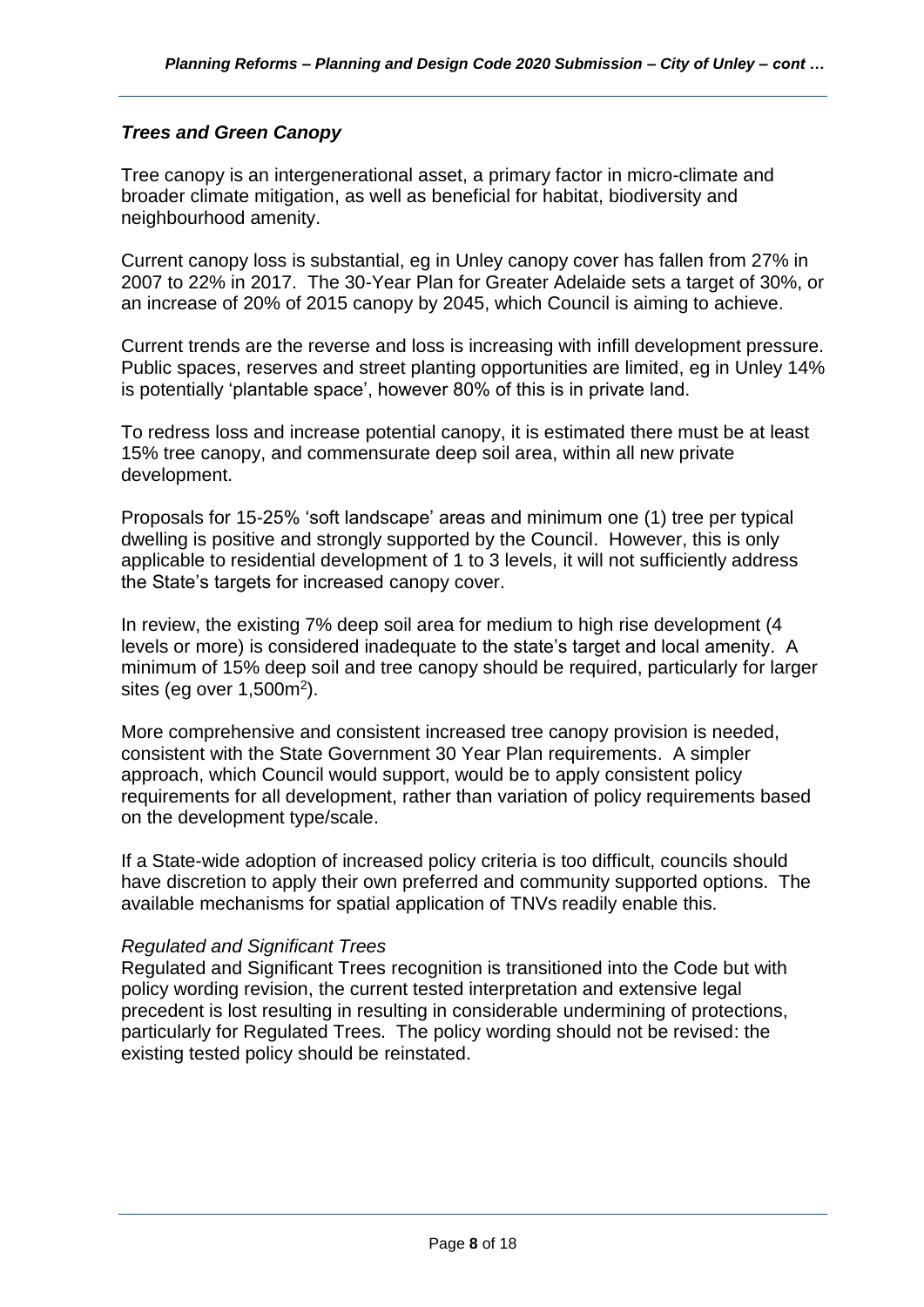# *Trees and Green Canopy*

Tree canopy is an intergenerational asset, a primary factor in micro-climate and broader climate mitigation, as well as beneficial for habitat, biodiversity and neighbourhood amenity.

Current canopy loss is substantial, eg in Unley canopy cover has fallen from 27% in 2007 to 22% in 2017. The 30-Year Plan for Greater Adelaide sets a target of 30%, or an increase of 20% of 2015 canopy by 2045, which Council is aiming to achieve.

Current trends are the reverse and loss is increasing with infill development pressure. Public spaces, reserves and street planting opportunities are limited, eg in Unley 14% is potentially 'plantable space', however 80% of this is in private land.

To redress loss and increase potential canopy, it is estimated there must be at least 15% tree canopy, and commensurate deep soil area, within all new private development.

Proposals for 15-25% 'soft landscape' areas and minimum one (1) tree per typical dwelling is positive and strongly supported by the Council. However, this is only applicable to residential development of 1 to 3 levels, it will not sufficiently address the State's targets for increased canopy cover.

In review, the existing 7% deep soil area for medium to high rise development (4 levels or more) is considered inadequate to the state's target and local amenity. A minimum of 15% deep soil and tree canopy should be required, particularly for larger sites (eg over  $1,500m^2$ ).

More comprehensive and consistent increased tree canopy provision is needed, consistent with the State Government 30 Year Plan requirements. A simpler approach, which Council would support, would be to apply consistent policy requirements for all development, rather than variation of policy requirements based on the development type/scale.

If a State-wide adoption of increased policy criteria is too difficult, councils should have discretion to apply their own preferred and community supported options. The available mechanisms for spatial application of TNVs readily enable this.

# *Regulated and Significant Trees*

Regulated and Significant Trees recognition is transitioned into the Code but with policy wording revision, the current tested interpretation and extensive legal precedent is lost resulting in resulting in considerable undermining of protections, particularly for Regulated Trees. The policy wording should not be revised: the existing tested policy should be reinstated.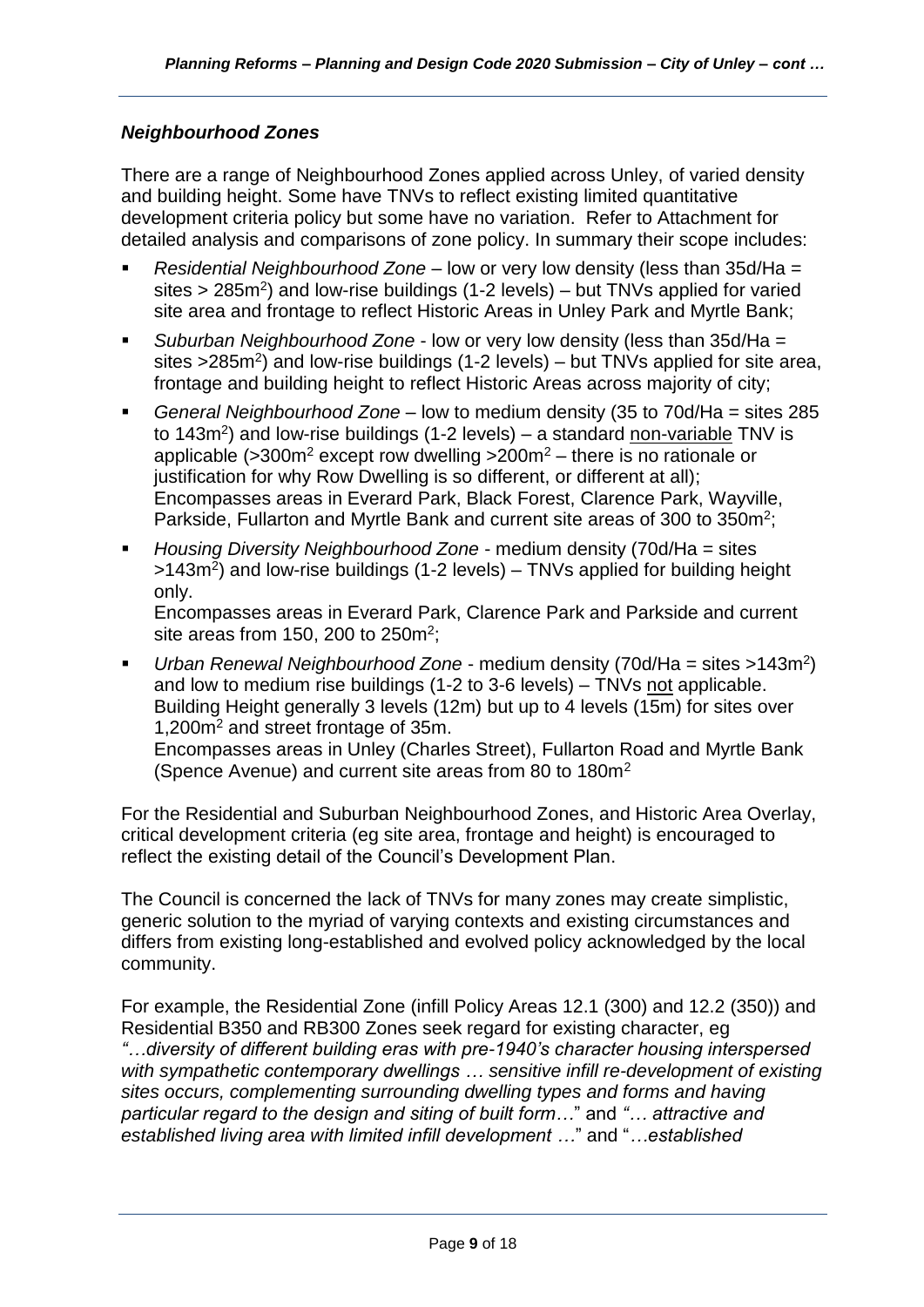# *Neighbourhood Zones*

There are a range of Neighbourhood Zones applied across Unley, of varied density and building height. Some have TNVs to reflect existing limited quantitative development criteria policy but some have no variation. Refer to Attachment for detailed analysis and comparisons of zone policy. In summary their scope includes:

- *Residential Neighbourhood Zone* low or very low density (less than 35d/Ha = sites > 285m<sup>2</sup>) and low-rise buildings (1-2 levels) – but TNVs applied for varied site area and frontage to reflect Historic Areas in Unley Park and Myrtle Bank;
- *Suburban Neighbourhood Zone* low or very low density (less than 35d/Ha = sites >285m<sup>2</sup>) and low-rise buildings (1-2 levels) – but TNVs applied for site area, frontage and building height to reflect Historic Areas across majority of city;
- *General Neighbourhood Zone* low to medium density (35 to 70d/Ha = sites 285 to 143m<sup>2</sup>) and low-rise buildings (1-2 levels) – a standard non-variable TNV is applicable ( $>300$ m<sup>2</sup> except row dwelling  $>200$ m<sup>2</sup> – there is no rationale or justification for why Row Dwelling is so different, or different at all); Encompasses areas in Everard Park, Black Forest, Clarence Park, Wayville, Parkside, Fullarton and Myrtle Bank and current site areas of 300 to 350m<sup>2</sup>;
- *Housing Diversity Neighbourhood Zone* medium density (70d/Ha = sites >143m<sup>2</sup>) and low-rise buildings (1-2 levels) – TNVs applied for building height only.

Encompasses areas in Everard Park, Clarence Park and Parkside and current site areas from 150, 200 to 250 $m^2$ ;

■ *Urban Renewal Neighbourhood Zone* - medium density (70d/Ha = sites >143m<sup>2</sup>) and low to medium rise buildings (1-2 to 3-6 levels) – TNVs not applicable. Building Height generally 3 levels (12m) but up to 4 levels (15m) for sites over 1,200m<sup>2</sup> and street frontage of 35m. Encompasses areas in Unley (Charles Street), Fullarton Road and Myrtle Bank (Spence Avenue) and current site areas from 80 to 180m<sup>2</sup>

For the Residential and Suburban Neighbourhood Zones, and Historic Area Overlay, critical development criteria (eg site area, frontage and height) is encouraged to reflect the existing detail of the Council's Development Plan.

The Council is concerned the lack of TNVs for many zones may create simplistic, generic solution to the myriad of varying contexts and existing circumstances and differs from existing long-established and evolved policy acknowledged by the local community.

For example, the Residential Zone (infill Policy Areas 12.1 (300) and 12.2 (350)) and Residential B350 and RB300 Zones seek regard for existing character, eg *"…diversity of different building eras with pre-1940's character housing interspersed with sympathetic contemporary dwellings … sensitive infill re-development of existing sites occurs, complementing surrounding dwelling types and forms and having particular regard to the design and siting of built form…*" and *"… attractive and established living area with limited infill development …*" and "*…established*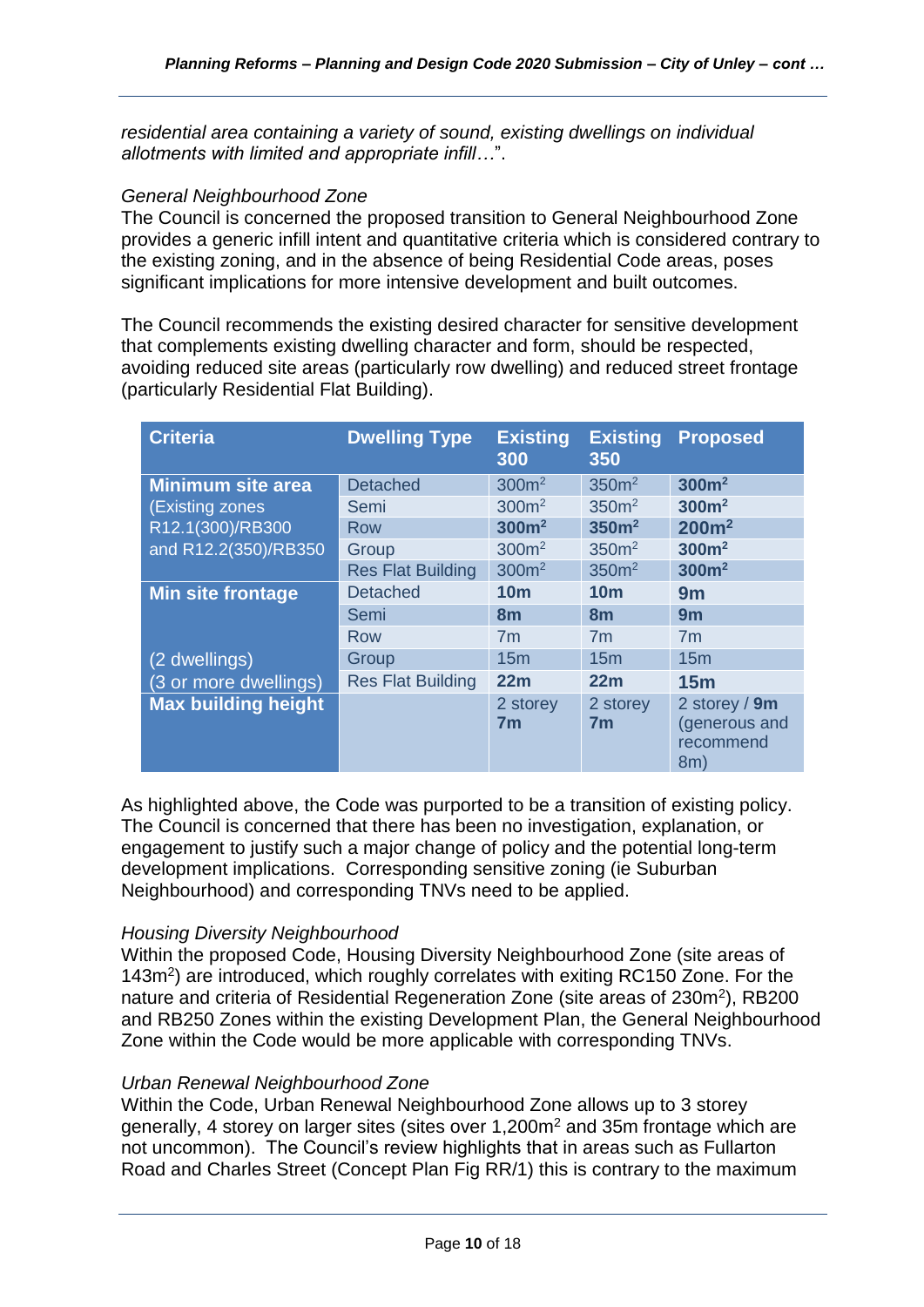*residential area containing a variety of sound, existing dwellings on individual allotments with limited and appropriate infill…*".

#### *General Neighbourhood Zone*

The Council is concerned the proposed transition to General Neighbourhood Zone provides a generic infill intent and quantitative criteria which is considered contrary to the existing zoning, and in the absence of being Residential Code areas, poses significant implications for more intensive development and built outcomes.

The Council recommends the existing desired character for sensitive development that complements existing dwelling character and form, should be respected, avoiding reduced site areas (particularly row dwelling) and reduced street frontage (particularly Residential Flat Building).

| <b>Criteria</b>            | <b>Dwelling Type</b>     | <b>Existing</b><br>300     | <b>Existing</b><br>350     | <b>Proposed</b>                                    |
|----------------------------|--------------------------|----------------------------|----------------------------|----------------------------------------------------|
| <b>Minimum site area</b>   | <b>Detached</b>          | 300m <sup>2</sup>          | 350 <sup>m²</sup>          | 300m <sup>2</sup>                                  |
| (Existing zones            | Semi                     | 300 <sup>m²</sup>          | 350 <sup>m²</sup>          | 300m <sup>2</sup>                                  |
| R12.1(300)/RB300           | <b>Row</b>               | 300m <sup>2</sup>          | 350m <sup>2</sup>          | 200 <sup>m²</sup>                                  |
| and R12.2(350)/RB350       | Group                    | 300m <sup>2</sup>          | 350 <sup>m²</sup>          | 300m <sup>2</sup>                                  |
|                            | <b>Res Flat Building</b> | 300m <sup>2</sup>          | 350 <sup>m²</sup>          | 300m <sup>2</sup>                                  |
| <b>Min site frontage</b>   | <b>Detached</b>          | 10 <sub>m</sub>            | 10 <sub>m</sub>            | 9m                                                 |
|                            | Semi                     | 8 <sub>m</sub>             | 8m                         | 9m                                                 |
|                            | Row                      | 7 <sub>m</sub>             | 7 <sub>m</sub>             | 7 <sub>m</sub>                                     |
| (2 dwellings)              | Group                    | 15 <sub>m</sub>            | 15 <sub>m</sub>            | 15 <sub>m</sub>                                    |
| (3 or more dwellings)      | <b>Res Flat Building</b> | 22m                        | 22m                        | 15m                                                |
| <b>Max building height</b> |                          | 2 storey<br>7 <sub>m</sub> | 2 storey<br>7 <sub>m</sub> | 2 storey / 9m<br>(generous and<br>recommend<br>8m) |

As highlighted above, the Code was purported to be a transition of existing policy. The Council is concerned that there has been no investigation, explanation, or engagement to justify such a major change of policy and the potential long-term development implications. Corresponding sensitive zoning (ie Suburban Neighbourhood) and corresponding TNVs need to be applied.

# *Housing Diversity Neighbourhood*

Within the proposed Code, Housing Diversity Neighbourhood Zone (site areas of 143m<sup>2</sup>) are introduced, which roughly correlates with exiting RC150 Zone. For the nature and criteria of Residential Regeneration Zone (site areas of 230m<sup>2</sup>), RB200 and RB250 Zones within the existing Development Plan, the General Neighbourhood Zone within the Code would be more applicable with corresponding TNVs.

#### *Urban Renewal Neighbourhood Zone*

Within the Code, Urban Renewal Neighbourhood Zone allows up to 3 storey generally, 4 storey on larger sites (sites over 1,200m<sup>2</sup> and 35m frontage which are not uncommon). The Council's review highlights that in areas such as Fullarton Road and Charles Street (Concept Plan Fig RR/1) this is contrary to the maximum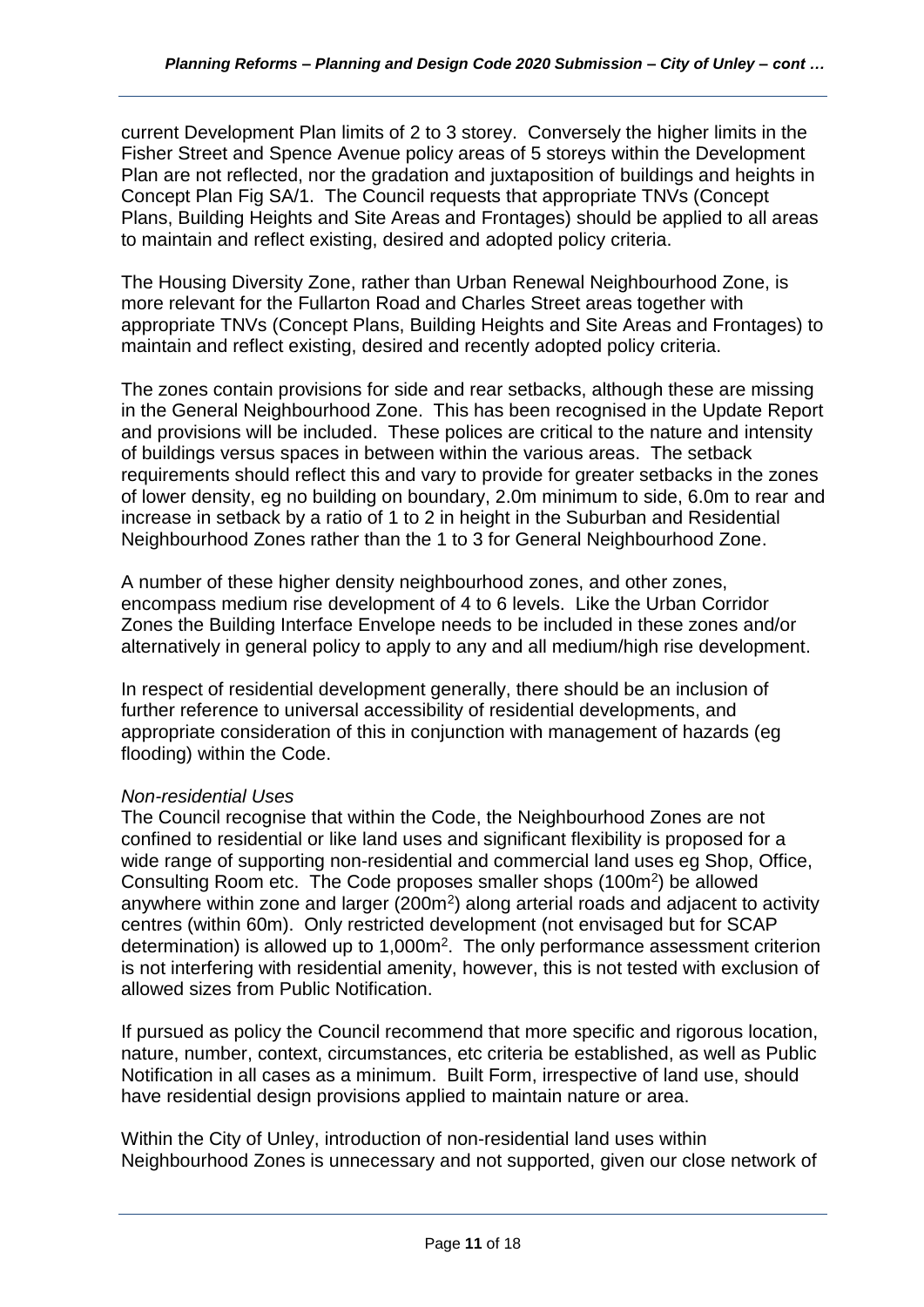current Development Plan limits of 2 to 3 storey. Conversely the higher limits in the Fisher Street and Spence Avenue policy areas of 5 storeys within the Development Plan are not reflected, nor the gradation and juxtaposition of buildings and heights in Concept Plan Fig SA/1. The Council requests that appropriate TNVs (Concept Plans, Building Heights and Site Areas and Frontages) should be applied to all areas to maintain and reflect existing, desired and adopted policy criteria.

The Housing Diversity Zone, rather than Urban Renewal Neighbourhood Zone, is more relevant for the Fullarton Road and Charles Street areas together with appropriate TNVs (Concept Plans, Building Heights and Site Areas and Frontages) to maintain and reflect existing, desired and recently adopted policy criteria.

The zones contain provisions for side and rear setbacks, although these are missing in the General Neighbourhood Zone. This has been recognised in the Update Report and provisions will be included. These polices are critical to the nature and intensity of buildings versus spaces in between within the various areas. The setback requirements should reflect this and vary to provide for greater setbacks in the zones of lower density, eg no building on boundary, 2.0m minimum to side, 6.0m to rear and increase in setback by a ratio of 1 to 2 in height in the Suburban and Residential Neighbourhood Zones rather than the 1 to 3 for General Neighbourhood Zone.

A number of these higher density neighbourhood zones, and other zones, encompass medium rise development of 4 to 6 levels. Like the Urban Corridor Zones the Building Interface Envelope needs to be included in these zones and/or alternatively in general policy to apply to any and all medium/high rise development.

In respect of residential development generally, there should be an inclusion of further reference to universal accessibility of residential developments, and appropriate consideration of this in conjunction with management of hazards (eg flooding) within the Code.

# *Non-residential Uses*

The Council recognise that within the Code, the Neighbourhood Zones are not confined to residential or like land uses and significant flexibility is proposed for a wide range of supporting non-residential and commercial land uses eg Shop, Office, Consulting Room etc. The Code proposes smaller shops (100m<sup>2</sup>) be allowed anywhere within zone and larger  $(200<sup>m2</sup>)$  along arterial roads and adjacent to activity centres (within 60m). Only restricted development (not envisaged but for SCAP determination) is allowed up to 1,000m<sup>2</sup>. The only performance assessment criterion is not interfering with residential amenity, however, this is not tested with exclusion of allowed sizes from Public Notification.

If pursued as policy the Council recommend that more specific and rigorous location, nature, number, context, circumstances, etc criteria be established, as well as Public Notification in all cases as a minimum. Built Form, irrespective of land use, should have residential design provisions applied to maintain nature or area.

Within the City of Unley, introduction of non-residential land uses within Neighbourhood Zones is unnecessary and not supported, given our close network of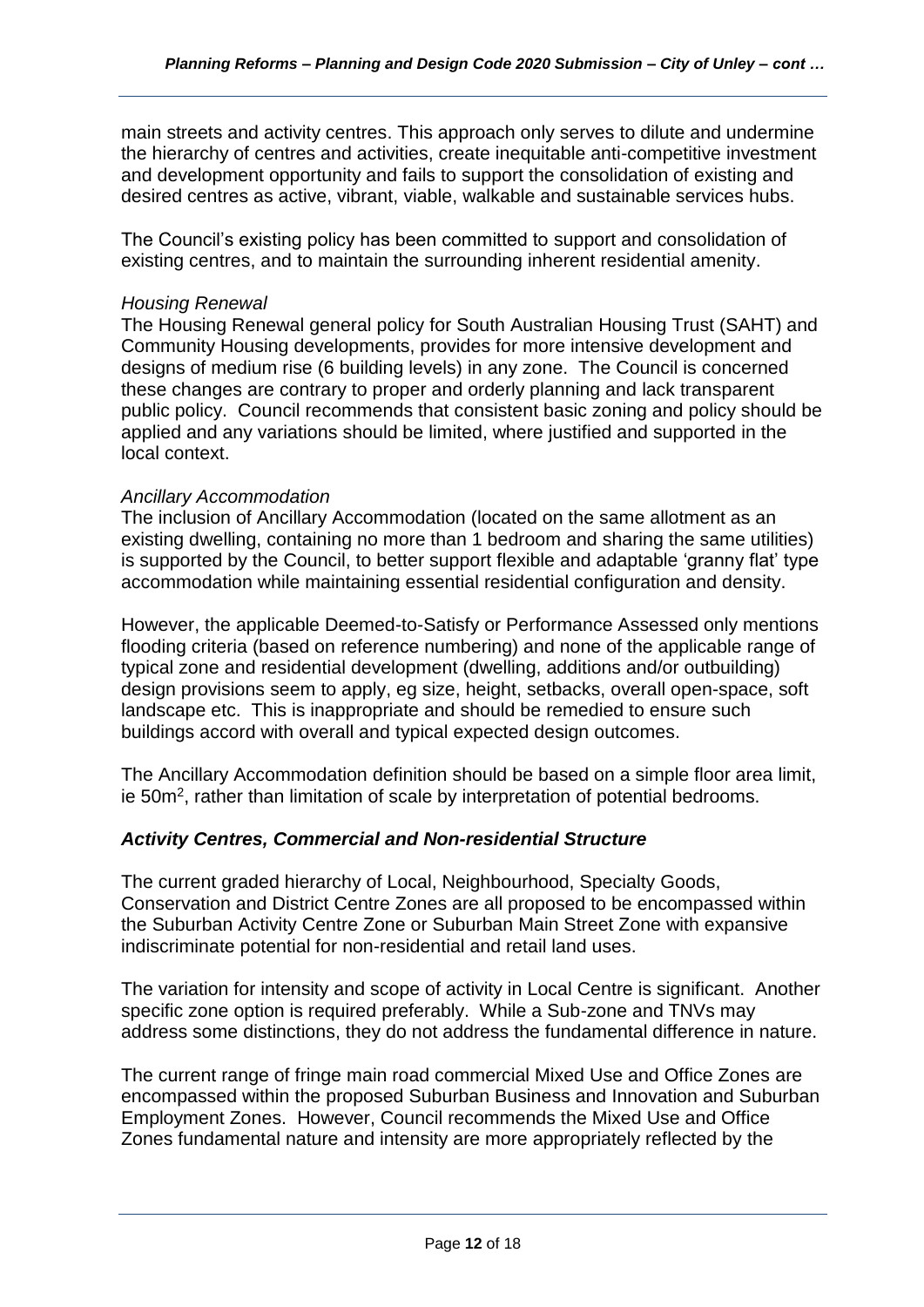main streets and activity centres. This approach only serves to dilute and undermine the hierarchy of centres and activities, create inequitable anti-competitive investment and development opportunity and fails to support the consolidation of existing and desired centres as active, vibrant, viable, walkable and sustainable services hubs.

The Council's existing policy has been committed to support and consolidation of existing centres, and to maintain the surrounding inherent residential amenity.

### *Housing Renewal*

The Housing Renewal general policy for South Australian Housing Trust (SAHT) and Community Housing developments, provides for more intensive development and designs of medium rise (6 building levels) in any zone. The Council is concerned these changes are contrary to proper and orderly planning and lack transparent public policy. Council recommends that consistent basic zoning and policy should be applied and any variations should be limited, where justified and supported in the local context.

### *Ancillary Accommodation*

The inclusion of Ancillary Accommodation (located on the same allotment as an existing dwelling, containing no more than 1 bedroom and sharing the same utilities) is supported by the Council, to better support flexible and adaptable 'granny flat' type accommodation while maintaining essential residential configuration and density.

However, the applicable Deemed-to-Satisfy or Performance Assessed only mentions flooding criteria (based on reference numbering) and none of the applicable range of typical zone and residential development (dwelling, additions and/or outbuilding) design provisions seem to apply, eg size, height, setbacks, overall open-space, soft landscape etc. This is inappropriate and should be remedied to ensure such buildings accord with overall and typical expected design outcomes.

The Ancillary Accommodation definition should be based on a simple floor area limit, ie 50m<sup>2</sup>, rather than limitation of scale by interpretation of potential bedrooms.

# *Activity Centres, Commercial and Non-residential Structure*

The current graded hierarchy of Local, Neighbourhood, Specialty Goods, Conservation and District Centre Zones are all proposed to be encompassed within the Suburban Activity Centre Zone or Suburban Main Street Zone with expansive indiscriminate potential for non-residential and retail land uses.

The variation for intensity and scope of activity in Local Centre is significant. Another specific zone option is required preferably. While a Sub-zone and TNVs may address some distinctions, they do not address the fundamental difference in nature.

The current range of fringe main road commercial Mixed Use and Office Zones are encompassed within the proposed Suburban Business and Innovation and Suburban Employment Zones. However, Council recommends the Mixed Use and Office Zones fundamental nature and intensity are more appropriately reflected by the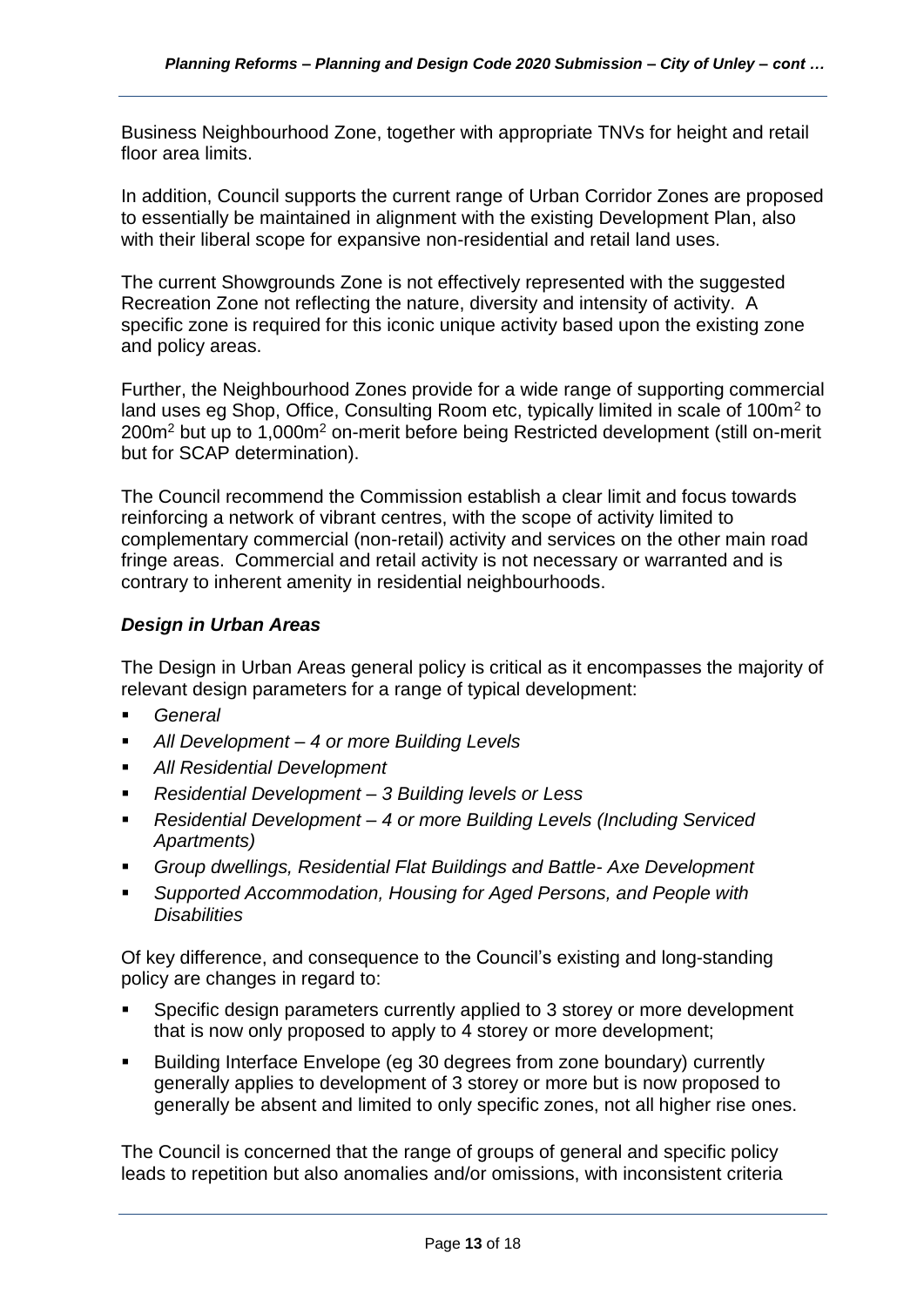Business Neighbourhood Zone, together with appropriate TNVs for height and retail floor area limits.

In addition, Council supports the current range of Urban Corridor Zones are proposed to essentially be maintained in alignment with the existing Development Plan, also with their liberal scope for expansive non-residential and retail land uses.

The current Showgrounds Zone is not effectively represented with the suggested Recreation Zone not reflecting the nature, diversity and intensity of activity. A specific zone is required for this iconic unique activity based upon the existing zone and policy areas.

Further, the Neighbourhood Zones provide for a wide range of supporting commercial land uses eg Shop, Office, Consulting Room etc, typically limited in scale of 100m<sup>2</sup> to 200m<sup>2</sup> but up to 1,000m<sup>2</sup> on-merit before being Restricted development (still on-merit but for SCAP determination).

The Council recommend the Commission establish a clear limit and focus towards reinforcing a network of vibrant centres, with the scope of activity limited to complementary commercial (non-retail) activity and services on the other main road fringe areas. Commercial and retail activity is not necessary or warranted and is contrary to inherent amenity in residential neighbourhoods.

# *Design in Urban Areas*

The Design in Urban Areas general policy is critical as it encompasses the majority of relevant design parameters for a range of typical development:

- General
- *All Development – 4 or more Building Levels*
- **All Residential Development**
- *Residential Development – 3 Building levels or Less*
- *Residential Development – 4 or more Building Levels (Including Serviced Apartments)*
- *Group dwellings, Residential Flat Buildings and Battle- Axe Development*
- Supported Accommodation, Housing for Aged Persons, and People with *Disabilities*

Of key difference, and consequence to the Council's existing and long-standing policy are changes in regard to:

- Specific design parameters currently applied to 3 storey or more development that is now only proposed to apply to 4 storey or more development;
- Building Interface Envelope (eg 30 degrees from zone boundary) currently generally applies to development of 3 storey or more but is now proposed to generally be absent and limited to only specific zones, not all higher rise ones.

The Council is concerned that the range of groups of general and specific policy leads to repetition but also anomalies and/or omissions, with inconsistent criteria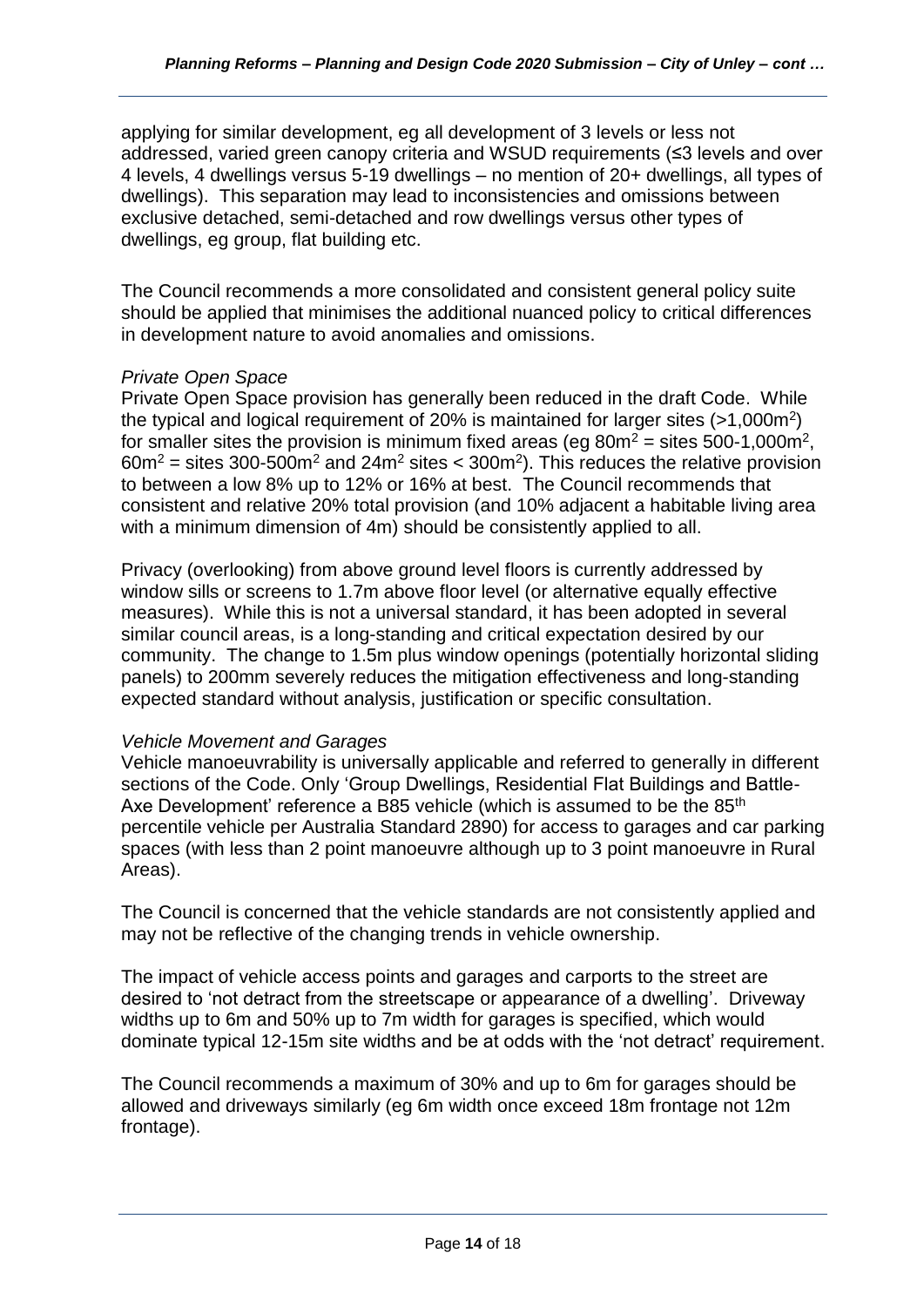applying for similar development, eg all development of 3 levels or less not addressed, varied green canopy criteria and WSUD requirements (≤3 levels and over 4 levels, 4 dwellings versus 5-19 dwellings – no mention of 20+ dwellings, all types of dwellings). This separation may lead to inconsistencies and omissions between exclusive detached, semi-detached and row dwellings versus other types of dwellings, eg group, flat building etc.

The Council recommends a more consolidated and consistent general policy suite should be applied that minimises the additional nuanced policy to critical differences in development nature to avoid anomalies and omissions.

# *Private Open Space*

Private Open Space provision has generally been reduced in the draft Code. While the typical and logical requirement of 20% is maintained for larger sites  $(>1,000m^2)$ for smaller sites the provision is minimum fixed areas (eg  $80m^2$  = sites 500-1,000m<sup>2</sup>,  $60m^2$  = sites 300-500m<sup>2</sup> and 24m<sup>2</sup> sites < 300m<sup>2</sup>). This reduces the relative provision to between a low 8% up to 12% or 16% at best. The Council recommends that consistent and relative 20% total provision (and 10% adjacent a habitable living area with a minimum dimension of 4m) should be consistently applied to all.

Privacy (overlooking) from above ground level floors is currently addressed by window sills or screens to 1.7m above floor level (or alternative equally effective measures). While this is not a universal standard, it has been adopted in several similar council areas, is a long-standing and critical expectation desired by our community. The change to 1.5m plus window openings (potentially horizontal sliding panels) to 200mm severely reduces the mitigation effectiveness and long-standing expected standard without analysis, justification or specific consultation.

# *Vehicle Movement and Garages*

Vehicle manoeuvrability is universally applicable and referred to generally in different sections of the Code. Only 'Group Dwellings, Residential Flat Buildings and Battle-Axe Development' reference a B85 vehicle (which is assumed to be the 85<sup>th</sup> percentile vehicle per Australia Standard 2890) for access to garages and car parking spaces (with less than 2 point manoeuvre although up to 3 point manoeuvre in Rural Areas).

The Council is concerned that the vehicle standards are not consistently applied and may not be reflective of the changing trends in vehicle ownership.

The impact of vehicle access points and garages and carports to the street are desired to 'not detract from the streetscape or appearance of a dwelling'. Driveway widths up to 6m and 50% up to 7m width for garages is specified, which would dominate typical 12-15m site widths and be at odds with the 'not detract' requirement.

The Council recommends a maximum of 30% and up to 6m for garages should be allowed and driveways similarly (eg 6m width once exceed 18m frontage not 12m frontage).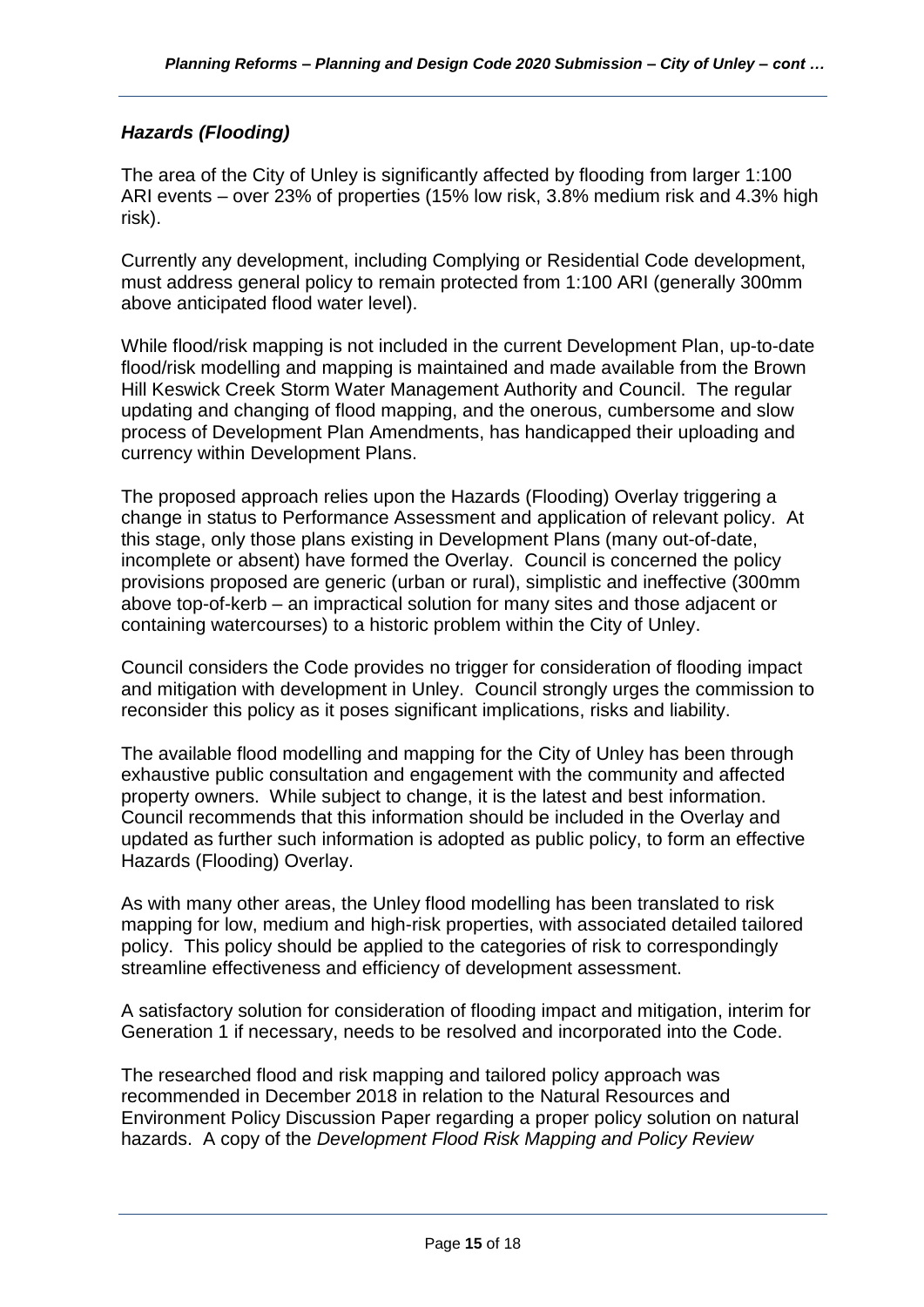# *Hazards (Flooding)*

The area of the City of Unley is significantly affected by flooding from larger 1:100 ARI events – over 23% of properties (15% low risk, 3.8% medium risk and 4.3% high risk).

Currently any development, including Complying or Residential Code development, must address general policy to remain protected from 1:100 ARI (generally 300mm above anticipated flood water level).

While flood/risk mapping is not included in the current Development Plan, up-to-date flood/risk modelling and mapping is maintained and made available from the Brown Hill Keswick Creek Storm Water Management Authority and Council. The regular updating and changing of flood mapping, and the onerous, cumbersome and slow process of Development Plan Amendments, has handicapped their uploading and currency within Development Plans.

The proposed approach relies upon the Hazards (Flooding) Overlay triggering a change in status to Performance Assessment and application of relevant policy. At this stage, only those plans existing in Development Plans (many out-of-date, incomplete or absent) have formed the Overlay. Council is concerned the policy provisions proposed are generic (urban or rural), simplistic and ineffective (300mm above top-of-kerb – an impractical solution for many sites and those adjacent or containing watercourses) to a historic problem within the City of Unley.

Council considers the Code provides no trigger for consideration of flooding impact and mitigation with development in Unley. Council strongly urges the commission to reconsider this policy as it poses significant implications, risks and liability.

The available flood modelling and mapping for the City of Unley has been through exhaustive public consultation and engagement with the community and affected property owners. While subject to change, it is the latest and best information. Council recommends that this information should be included in the Overlay and updated as further such information is adopted as public policy, to form an effective Hazards (Flooding) Overlay.

As with many other areas, the Unley flood modelling has been translated to risk mapping for low, medium and high-risk properties, with associated detailed tailored policy. This policy should be applied to the categories of risk to correspondingly streamline effectiveness and efficiency of development assessment.

A satisfactory solution for consideration of flooding impact and mitigation, interim for Generation 1 if necessary, needs to be resolved and incorporated into the Code.

The researched flood and risk mapping and tailored policy approach was recommended in December 2018 in relation to the Natural Resources and Environment Policy Discussion Paper regarding a proper policy solution on natural hazards. A copy of the *Development Flood Risk Mapping and Policy Review*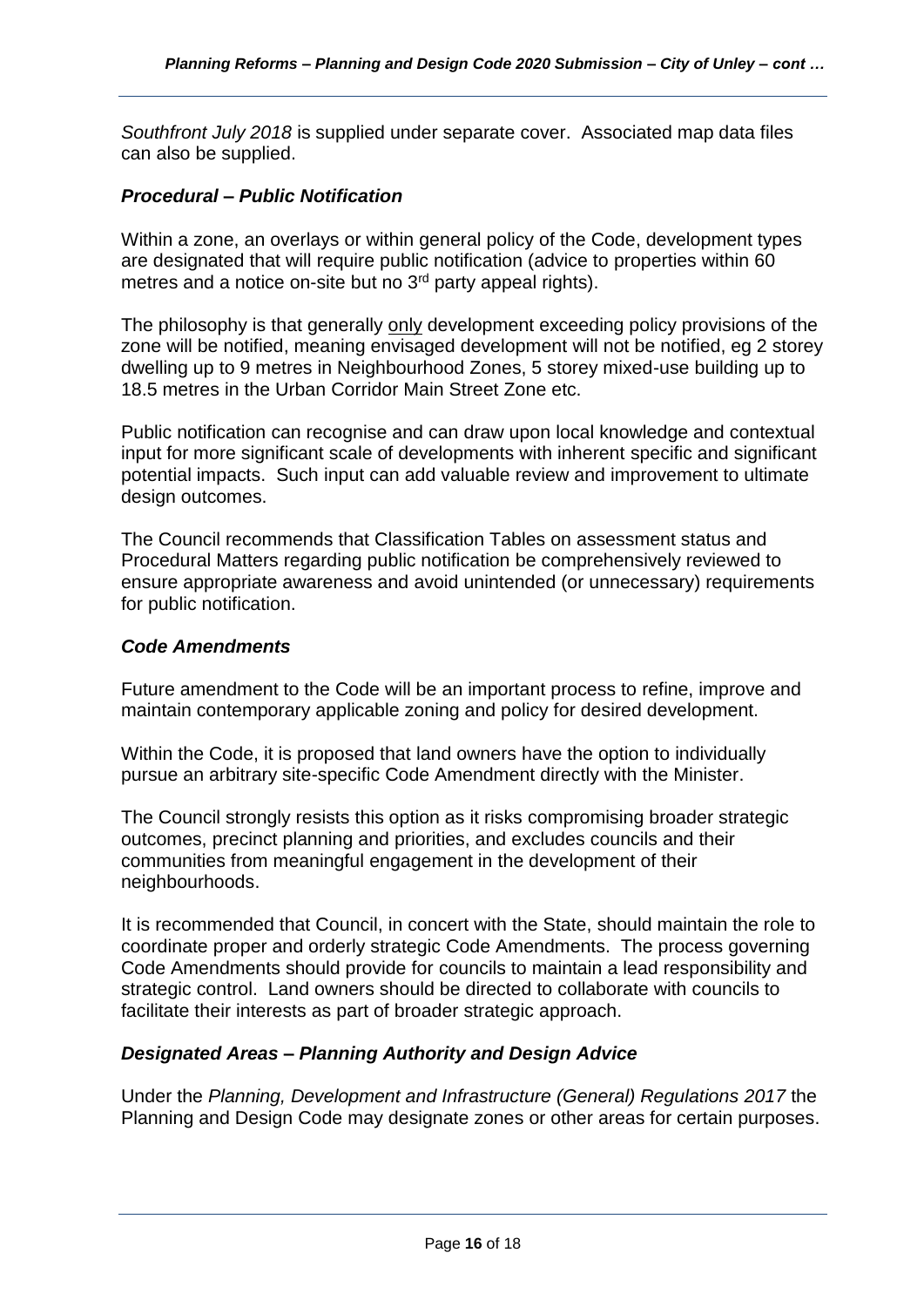*Southfront July 2018* is supplied under separate cover. Associated map data files can also be supplied.

### *Procedural – Public Notification*

Within a zone, an overlays or within general policy of the Code, development types are designated that will require public notification (advice to properties within 60 metres and a notice on-site but no 3<sup>rd</sup> party appeal rights).

The philosophy is that generally only development exceeding policy provisions of the zone will be notified, meaning envisaged development will not be notified, eg 2 storey dwelling up to 9 metres in Neighbourhood Zones, 5 storey mixed-use building up to 18.5 metres in the Urban Corridor Main Street Zone etc.

Public notification can recognise and can draw upon local knowledge and contextual input for more significant scale of developments with inherent specific and significant potential impacts. Such input can add valuable review and improvement to ultimate design outcomes.

The Council recommends that Classification Tables on assessment status and Procedural Matters regarding public notification be comprehensively reviewed to ensure appropriate awareness and avoid unintended (or unnecessary) requirements for public notification.

### *Code Amendments*

Future amendment to the Code will be an important process to refine, improve and maintain contemporary applicable zoning and policy for desired development.

Within the Code, it is proposed that land owners have the option to individually pursue an arbitrary site-specific Code Amendment directly with the Minister.

The Council strongly resists this option as it risks compromising broader strategic outcomes, precinct planning and priorities, and excludes councils and their communities from meaningful engagement in the development of their neighbourhoods.

It is recommended that Council, in concert with the State, should maintain the role to coordinate proper and orderly strategic Code Amendments. The process governing Code Amendments should provide for councils to maintain a lead responsibility and strategic control. Land owners should be directed to collaborate with councils to facilitate their interests as part of broader strategic approach.

# *Designated Areas – Planning Authority and Design Advice*

Under the *Planning, Development and Infrastructure (General) Regulations 2017* the Planning and Design Code may designate zones or other areas for certain purposes.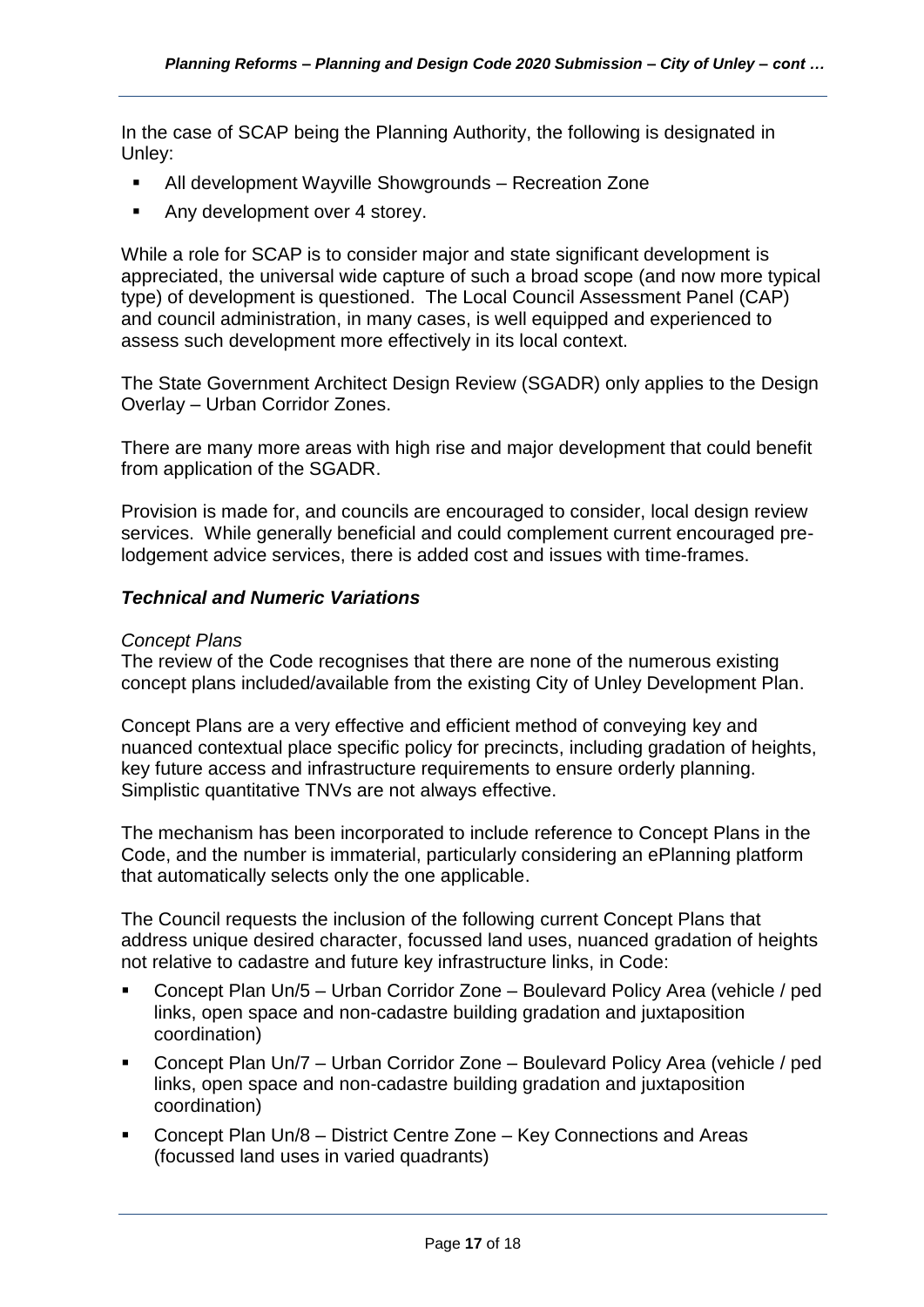In the case of SCAP being the Planning Authority, the following is designated in Unley:

- All development Wayville Showgrounds Recreation Zone
- Any development over 4 storey.

While a role for SCAP is to consider major and state significant development is appreciated, the universal wide capture of such a broad scope (and now more typical type) of development is questioned. The Local Council Assessment Panel (CAP) and council administration, in many cases, is well equipped and experienced to assess such development more effectively in its local context.

The State Government Architect Design Review (SGADR) only applies to the Design Overlay – Urban Corridor Zones.

There are many more areas with high rise and major development that could benefit from application of the SGADR.

Provision is made for, and councils are encouraged to consider, local design review services. While generally beneficial and could complement current encouraged prelodgement advice services, there is added cost and issues with time-frames.

# *Technical and Numeric Variations*

#### *Concept Plans*

The review of the Code recognises that there are none of the numerous existing concept plans included/available from the existing City of Unley Development Plan.

Concept Plans are a very effective and efficient method of conveying key and nuanced contextual place specific policy for precincts, including gradation of heights, key future access and infrastructure requirements to ensure orderly planning. Simplistic quantitative TNVs are not always effective.

The mechanism has been incorporated to include reference to Concept Plans in the Code, and the number is immaterial, particularly considering an ePlanning platform that automatically selects only the one applicable.

The Council requests the inclusion of the following current Concept Plans that address unique desired character, focussed land uses, nuanced gradation of heights not relative to cadastre and future key infrastructure links, in Code:

- Concept Plan Un/5 Urban Corridor Zone Boulevard Policy Area (vehicle / ped links, open space and non-cadastre building gradation and juxtaposition coordination)
- Concept Plan Un/7 Urban Corridor Zone Boulevard Policy Area (vehicle / ped links, open space and non-cadastre building gradation and juxtaposition coordination)
- Concept Plan Un/8 District Centre Zone Key Connections and Areas (focussed land uses in varied quadrants)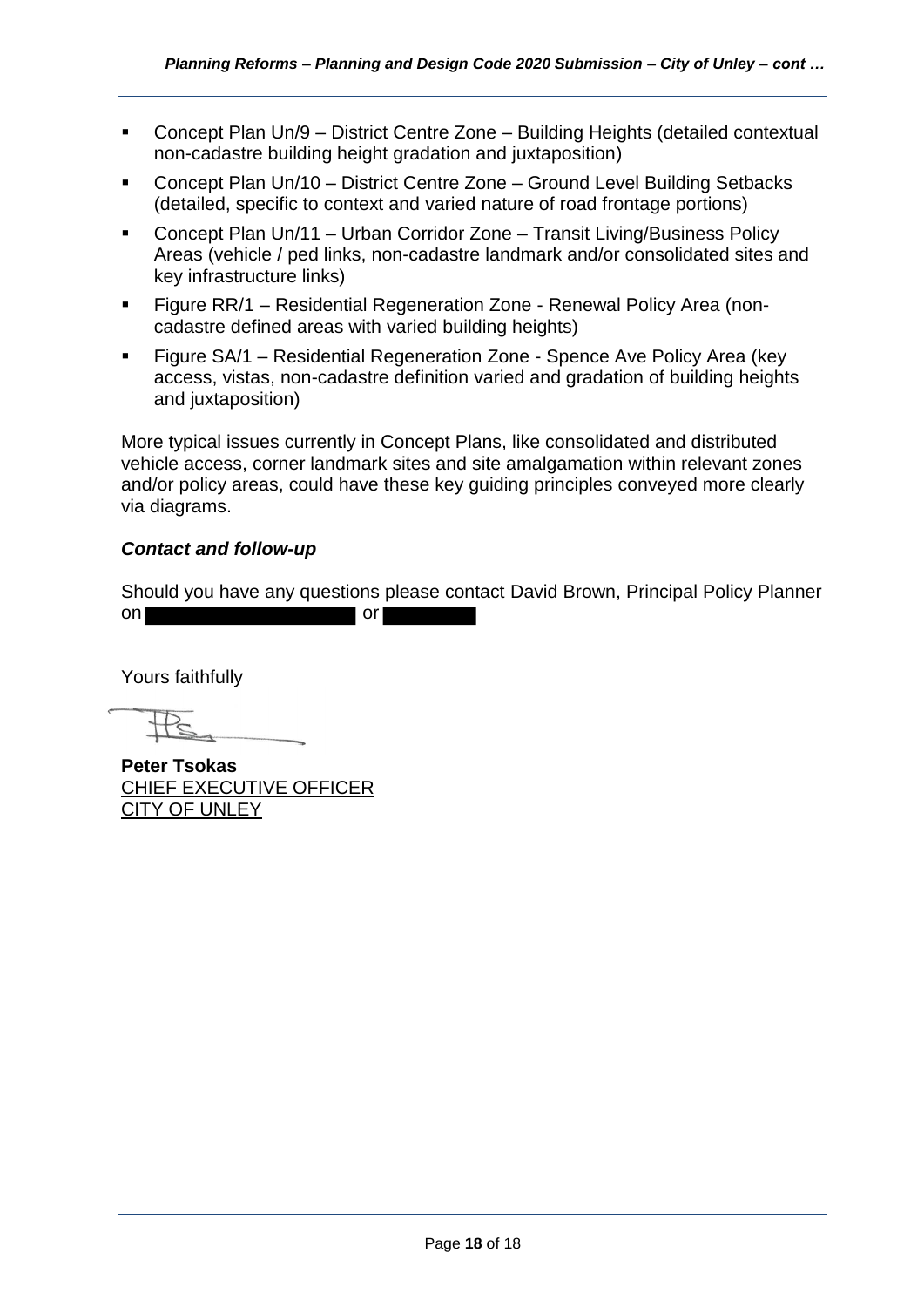- Concept Plan Un/9 District Centre Zone Building Heights (detailed contextual non-cadastre building height gradation and juxtaposition)
- Concept Plan Un/10 District Centre Zone Ground Level Building Setbacks (detailed, specific to context and varied nature of road frontage portions)
- Concept Plan Un/11 Urban Corridor Zone Transit Living/Business Policy Areas (vehicle / ped links, non-cadastre landmark and/or consolidated sites and key infrastructure links)
- Figure RR/1 Residential Regeneration Zone Renewal Policy Area (noncadastre defined areas with varied building heights)
- Figure SA/1 Residential Regeneration Zone Spence Ave Policy Area (key access, vistas, non-cadastre definition varied and gradation of building heights and juxtaposition)

More typical issues currently in Concept Plans, like consolidated and distributed vehicle access, corner landmark sites and site amalgamation within relevant zones and/or policy areas, could have these key guiding principles conveyed more clearly via diagrams.

# *Contact and follow-up*

Should you have any questions please contact David Brown, Principal Policy Planner on or

Yours faithfully

**Peter Tsokas** CHIEF EXECUTIVE OFFICER CITY OF UNLEY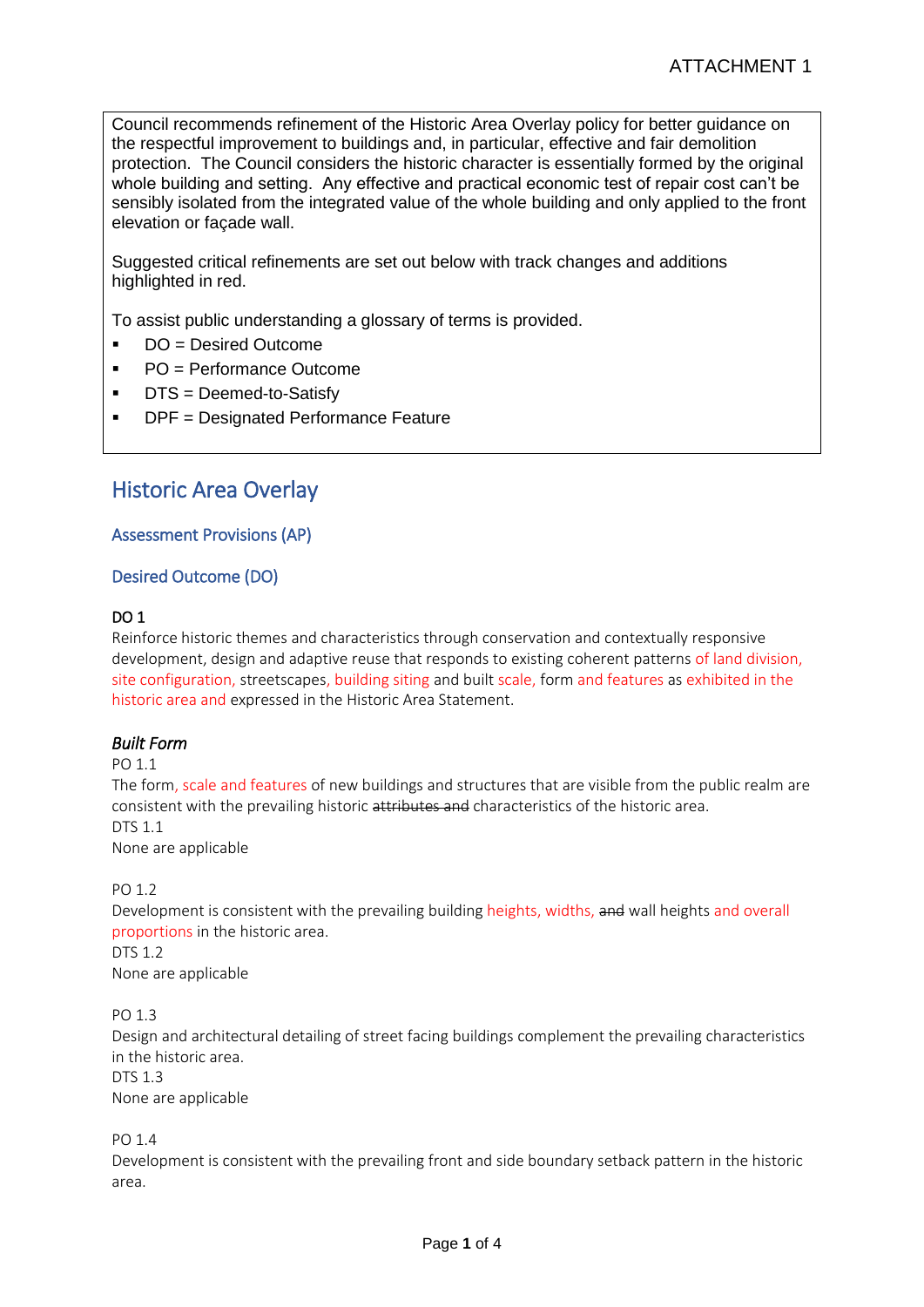Council recommends refinement of the Historic Area Overlay policy for better guidance on the respectful improvement to buildings and, in particular, effective and fair demolition protection. The Council considers the historic character is essentially formed by the original whole building and setting. Any effective and practical economic test of repair cost can't be sensibly isolated from the integrated value of the whole building and only applied to the front elevation or façade wall.

Suggested critical refinements are set out below with track changes and additions highlighted in red.

To assist public understanding a glossary of terms is provided.

- DO = Desired Outcome
- PO = Performance Outcome
- DTS = Deemed-to-Satisfy
- DPF = Designated Performance Feature

# Historic Area Overlay

#### Assessment Provisions (AP)

#### Desired Outcome (DO)

#### DO 1

Reinforce historic themes and characteristics through conservation and contextually responsive development, design and adaptive reuse that responds to existing coherent patterns of land division, site configuration, streetscapes, building siting and built scale, form and features as exhibited in the historic area and expressed in the Historic Area Statement.

#### *Built Form*

PO 11

The form, scale and features of new buildings and structures that are visible from the public realm are consistent with the prevailing historic attributes and characteristics of the historic area. DTS 1.1 None are applicable

#### PO 1.2

Development is consistent with the prevailing building heights, widths, and wall heights and overall proportions in the historic area.

DTS 1.2 None are applicable

PO 1.3

Design and architectural detailing of street facing buildings complement the prevailing characteristics in the historic area. DTS 1.3

None are applicable

PO 1.4

Development is consistent with the prevailing front and side boundary setback pattern in the historic area.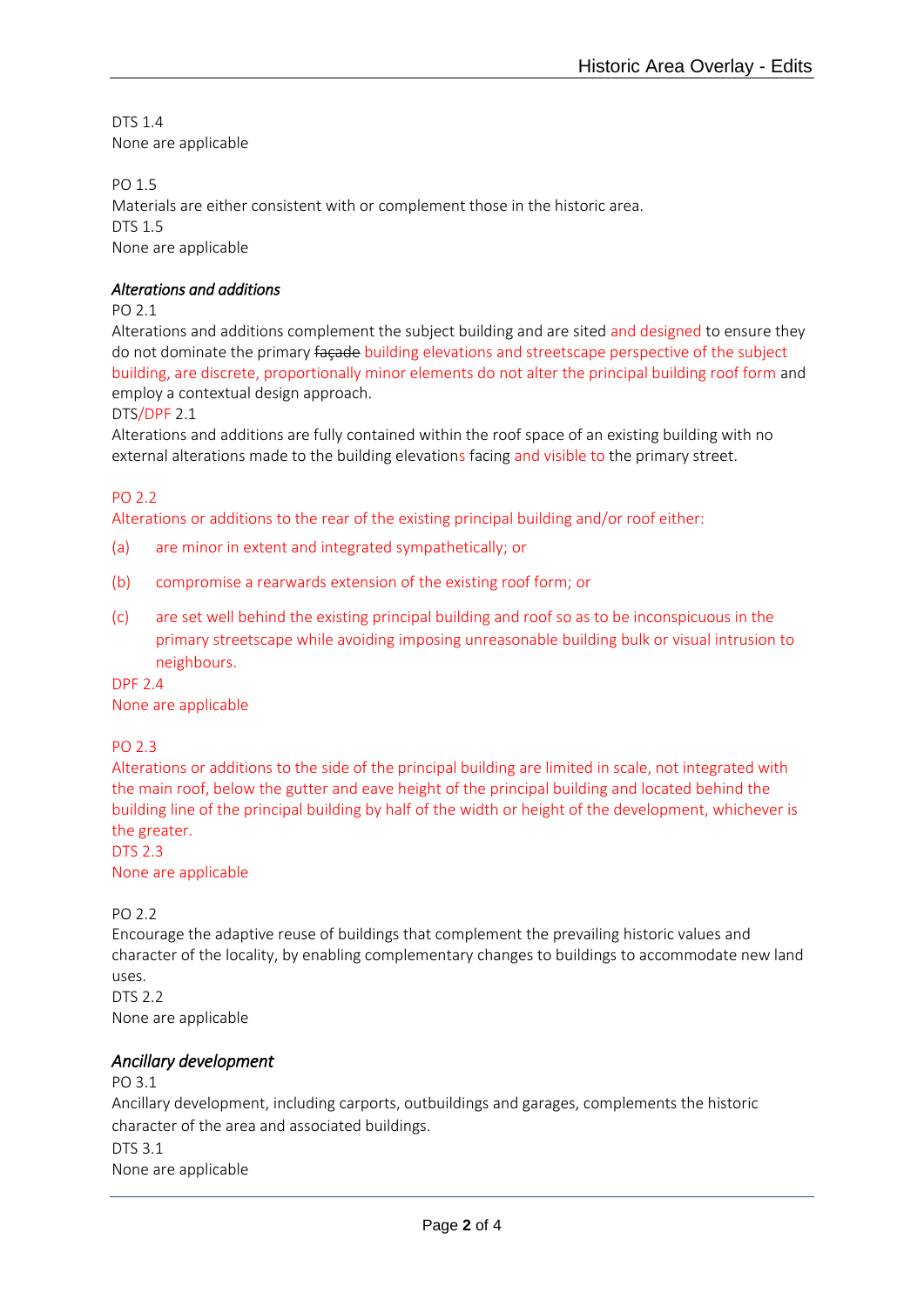DTS 1.4 None are applicable

PO 1.5 Materials are either consistent with or complement those in the historic area. DTS 1.5 None are applicable

### *Alterations and additions*

PO 2.1

Alterations and additions complement the subject building and are sited and designed to ensure they do not dominate the primary façade building elevations and streetscape perspective of the subject building, are discrete, proportionally minor elements do not alter the principal building roof form and employ a contextual design approach.

DTS/DPF 2.1

Alterations and additions are fully contained within the roof space of an existing building with no external alterations made to the building elevations facing and visible to the primary street.

PO 2.2

Alterations or additions to the rear of the existing principal building and/or roof either:

- (a) are minor in extent and integrated sympathetically; or
- (b) compromise a rearwards extension of the existing roof form; or
- (c) are set well behind the existing principal building and roof so as to be inconspicuous in the primary streetscape while avoiding imposing unreasonable building bulk or visual intrusion to neighbours.

DPF 2.4 None are applicable

#### PO 2.3

Alterations or additions to the side of the principal building are limited in scale, not integrated with the main roof, below the gutter and eave height of the principal building and located behind the building line of the principal building by half of the width or height of the development, whichever is the greater.

DTS 2.3 None are applicable

PO 2.2

Encourage the adaptive reuse of buildings that complement the prevailing historic values and character of the locality, by enabling complementary changes to buildings to accommodate new land uses. DTS 2.2

None are applicable

#### *Ancillary development*

PO 3.1 Ancillary development, including carports, outbuildings and garages, complements the historic character of the area and associated buildings. DTS 3.1 None are applicable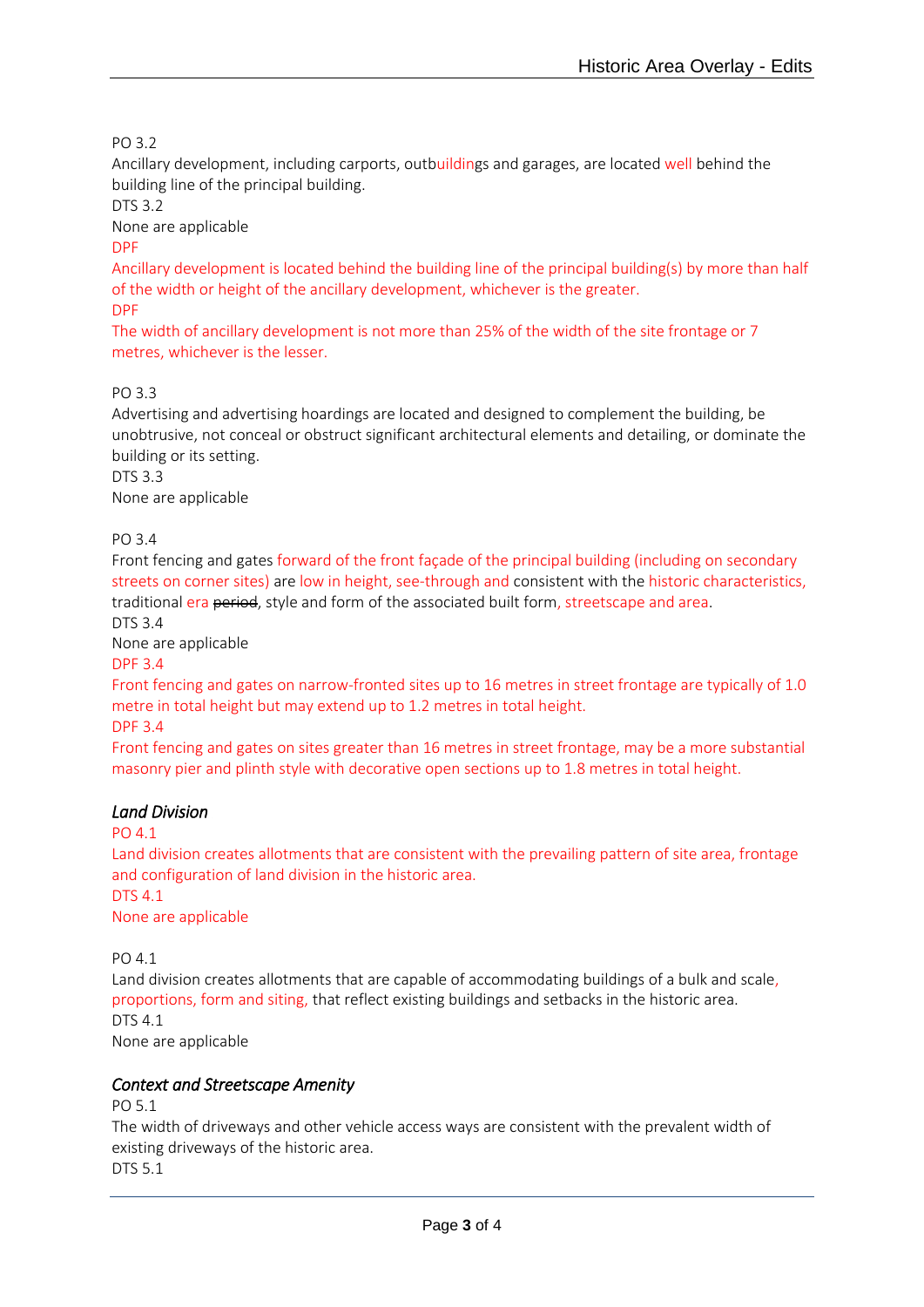### PO 3.2

Ancillary development, including carports, outbuildings and garages, are located well behind the building line of the principal building.

DTS 3.2

None are applicable

#### DPF

Ancillary development is located behind the building line of the principal building(s) by more than half of the width or height of the ancillary development, whichever is the greater. DPF

The width of ancillary development is not more than 25% of the width of the site frontage or 7 metres, whichever is the lesser.

#### PO 3.3

Advertising and advertising hoardings are located and designed to complement the building, be unobtrusive, not conceal or obstruct significant architectural elements and detailing, or dominate the building or its setting. DTS 3.3

None are applicable

### PO 3.4

Front fencing and gates forward of the front façade of the principal building (including on secondary streets on corner sites) are low in height, see-through and consistent with the historic characteristics, traditional era period, style and form of the associated built form, streetscape and area.

DTS 3.4

None are applicable

DPF 3.4

Front fencing and gates on narrow-fronted sites up to 16 metres in street frontage are typically of 1.0 metre in total height but may extend up to 1.2 metres in total height.

DPF 3.4

Front fencing and gates on sites greater than 16 metres in street frontage, may be a more substantial masonry pier and plinth style with decorative open sections up to 1.8 metres in total height.

# *Land Division*

PO 4.1

Land division creates allotments that are consistent with the prevailing pattern of site area, frontage and configuration of land division in the historic area.

DTS 4.1 None are applicable

PO 4.1

Land division creates allotments that are capable of accommodating buildings of a bulk and scale, proportions, form and siting, that reflect existing buildings and setbacks in the historic area. DTS 4.1 None are applicable

#### *Context and Streetscape Amenity*

PO 5.1

The width of driveways and other vehicle access ways are consistent with the prevalent width of existing driveways of the historic area.

DTS 5.1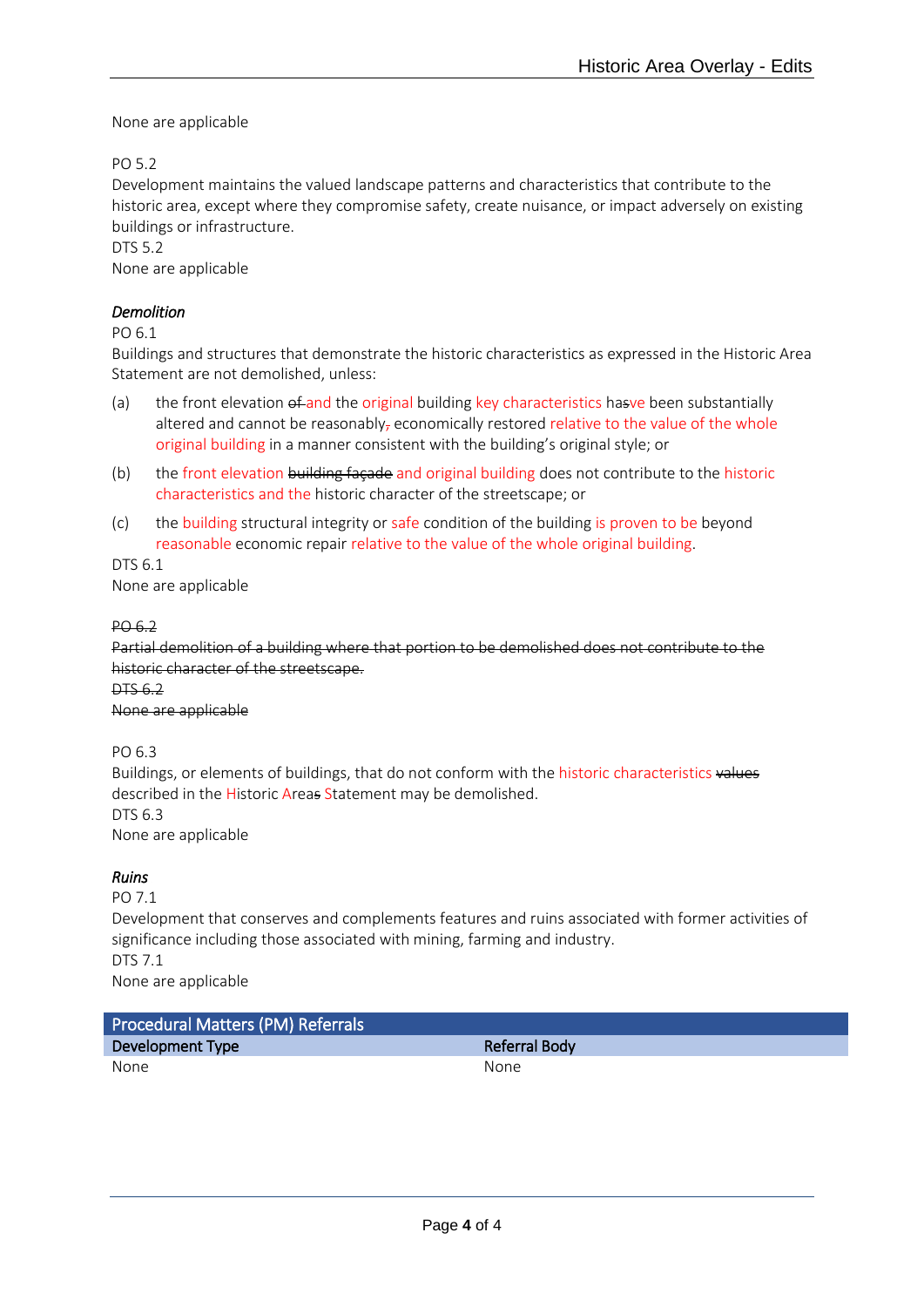None are applicable

PO 5.2

Development maintains the valued landscape patterns and characteristics that contribute to the historic area, except where they compromise safety, create nuisance, or impact adversely on existing buildings or infrastructure.

DTS 5.2

None are applicable

### *Demolition*

PO 6.1

Buildings and structures that demonstrate the historic characteristics as expressed in the Historic Area Statement are not demolished, unless:

- (a) the front elevation of and the original building key characteristics hasve been substantially altered and cannot be reasonably, economically restored relative to the value of the whole original building in a manner consistent with the building's original style; or
- (b) the front elevation building façade and original building does not contribute to the historic characteristics and the historic character of the streetscape; or
- (c) the building structural integrity or safe condition of the building is proven to be beyond reasonable economic repair relative to the value of the whole original building.

DTS 6.1 None are applicable

#### PO 6.2

Partial demolition of a building where that portion to be demolished does not contribute to the historic character of the streetscape.

DTS 6.2

None are applicable

PO 6.3

Buildings, or elements of buildings, that do not conform with the historic characteristics values described in the Historic Areas Statement may be demolished. DTS 6.3 None are applicable

# *Ruins*

PO 7.1

Development that conserves and complements features and ruins associated with former activities of significance including those associated with mining, farming and industry. DTS 7.1 None are applicable

Procedural Matters (PM) Referrals Development Type **Referral Body** None None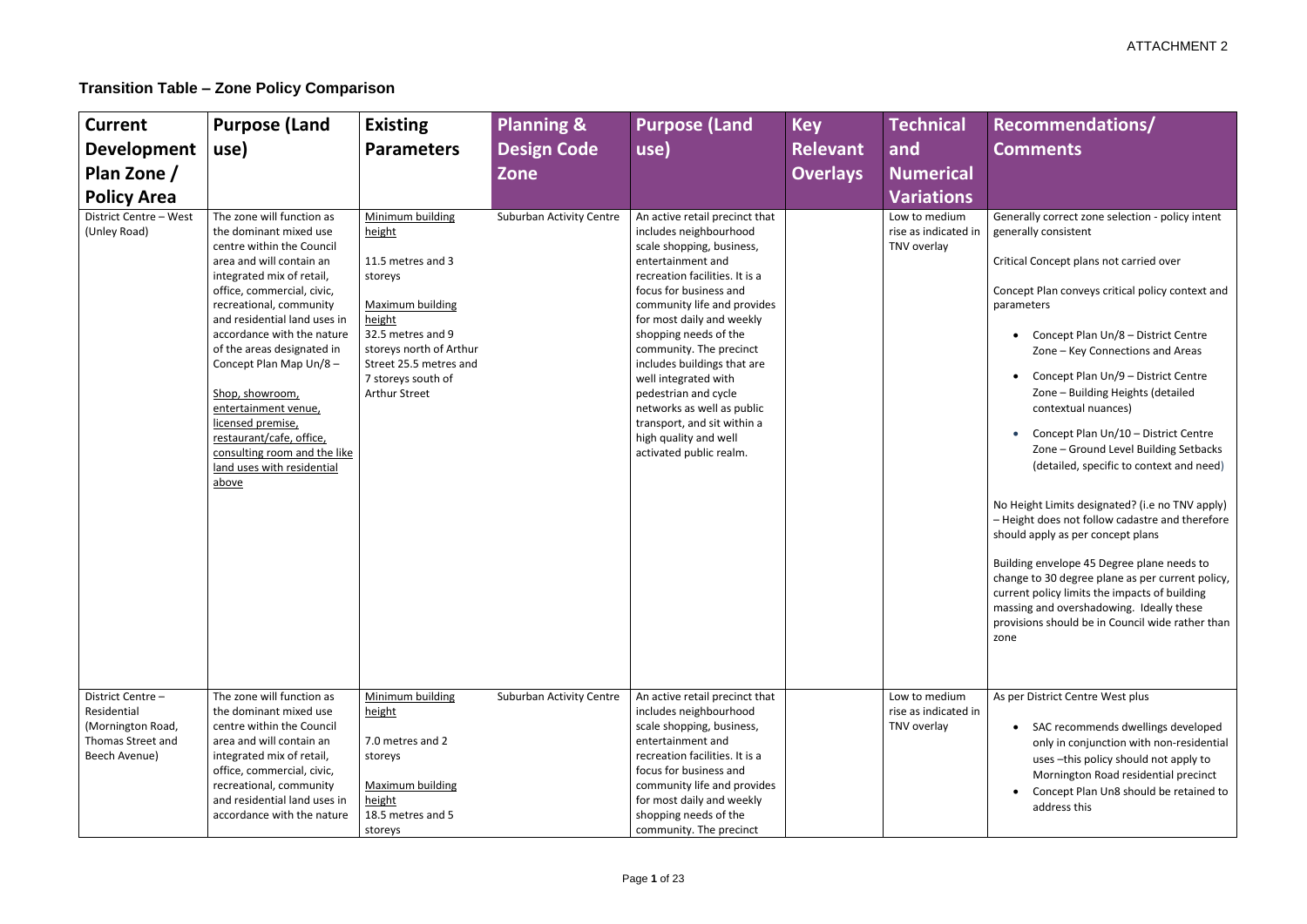# ATTACHMENT 2

# **Transition Table – Zone Policy Comparison**

# **Recommendations/ Comments**

Generally correct zone selection - policy intent generally consistent

| <b>Current</b><br><b>Development</b><br>Plan Zone /<br><b>Policy Area</b>                   | <b>Purpose (Land</b><br>use)                                                                                                                                                                                                                                                                                                                                                                                                                                                                | <b>Existing</b><br><b>Parameters</b>                                                                                                                                                                                    | <b>Planning &amp;</b><br><b>Design Code</b><br>Zone | <b>Purpose (Land</b><br>use)                                                                                                                                                                                                                                                                                                                                                                                                                                                           | <b>Key</b><br><b>Relevant</b><br><b>Overlays</b> | <b>Technical</b><br>and<br><b>Numerical</b><br><b>Variations</b> |
|---------------------------------------------------------------------------------------------|---------------------------------------------------------------------------------------------------------------------------------------------------------------------------------------------------------------------------------------------------------------------------------------------------------------------------------------------------------------------------------------------------------------------------------------------------------------------------------------------|-------------------------------------------------------------------------------------------------------------------------------------------------------------------------------------------------------------------------|-----------------------------------------------------|----------------------------------------------------------------------------------------------------------------------------------------------------------------------------------------------------------------------------------------------------------------------------------------------------------------------------------------------------------------------------------------------------------------------------------------------------------------------------------------|--------------------------------------------------|------------------------------------------------------------------|
| District Centre - West<br>(Unley Road)                                                      | The zone will function as<br>the dominant mixed use<br>centre within the Council<br>area and will contain an<br>integrated mix of retail,<br>office, commercial, civic,<br>recreational, community<br>and residential land uses in<br>accordance with the nature<br>of the areas designated in<br>Concept Plan Map Un/8-<br>Shop, showroom,<br>entertainment venue,<br>licensed premise,<br>restaurant/cafe, office,<br>consulting room and the like<br>land uses with residential<br>above | Minimum building<br>height<br>11.5 metres and 3<br>storeys<br><b>Maximum building</b><br>height<br>32.5 metres and 9<br>storeys north of Arthur<br>Street 25.5 metres and<br>7 storeys south of<br><b>Arthur Street</b> | <b>Suburban Activity Centre</b>                     | An active retail precinct that<br>includes neighbourhood<br>scale shopping, business,<br>entertainment and<br>recreation facilities. It is a<br>focus for business and<br>community life and provides<br>for most daily and weekly<br>shopping needs of the<br>community. The precinct<br>includes buildings that are<br>well integrated with<br>pedestrian and cycle<br>networks as well as public<br>transport, and sit within a<br>high quality and well<br>activated public realm. |                                                  | Low to medium<br>rise as indicated in<br>TNV overlay             |
| District Centre -<br>Residential<br>(Mornington Road,<br>Thomas Street and<br>Beech Avenue) | The zone will function as<br>the dominant mixed use<br>centre within the Council<br>area and will contain an<br>integrated mix of retail,<br>office, commercial, civic,<br>recreational, community<br>and residential land uses in<br>accordance with the nature                                                                                                                                                                                                                            | Minimum building<br>height<br>7.0 metres and 2<br>storeys<br>Maximum building<br>height<br>18.5 metres and 5<br>storeys                                                                                                 | <b>Suburban Activity Centre</b>                     | An active retail precinct that<br>includes neighbourhood<br>scale shopping, business,<br>entertainment and<br>recreation facilities. It is a<br>focus for business and<br>community life and provides<br>for most daily and weekly<br>shopping needs of the<br>community. The precinct                                                                                                                                                                                                 |                                                  | Low to medium<br>rise as indicated in<br>TNV overlay             |

Critical Concept plans not carried over

Concept Plan conveys critical policy context and parameters

- Concept Plan Un/8 District Centre Zone – Key Connections and Areas
- Concept Plan Un/9 District Centre Zone – Building Heights (detailed contextual nuances)
- Concept Plan Un/10 District Centre Zone – Ground Level Building Setbacks (detailed, specific to context and need)

No Height Limits designated? (i.e no TNV apply) – Height does not follow cadastre and therefore should apply as per concept plans

Building envelope 45 Degree plane needs to change to 30 degree plane as per current policy, current policy limits the impacts of building massing and overshadowing. Ideally these provisions should be in Council wide rather than zone

As per District Centre West plus

- SAC recommends dwellings developed only in conjunction with non-residential uses –this policy should not apply to Mornington Road residential precinct
- Concept Plan Un8 should be retained to address this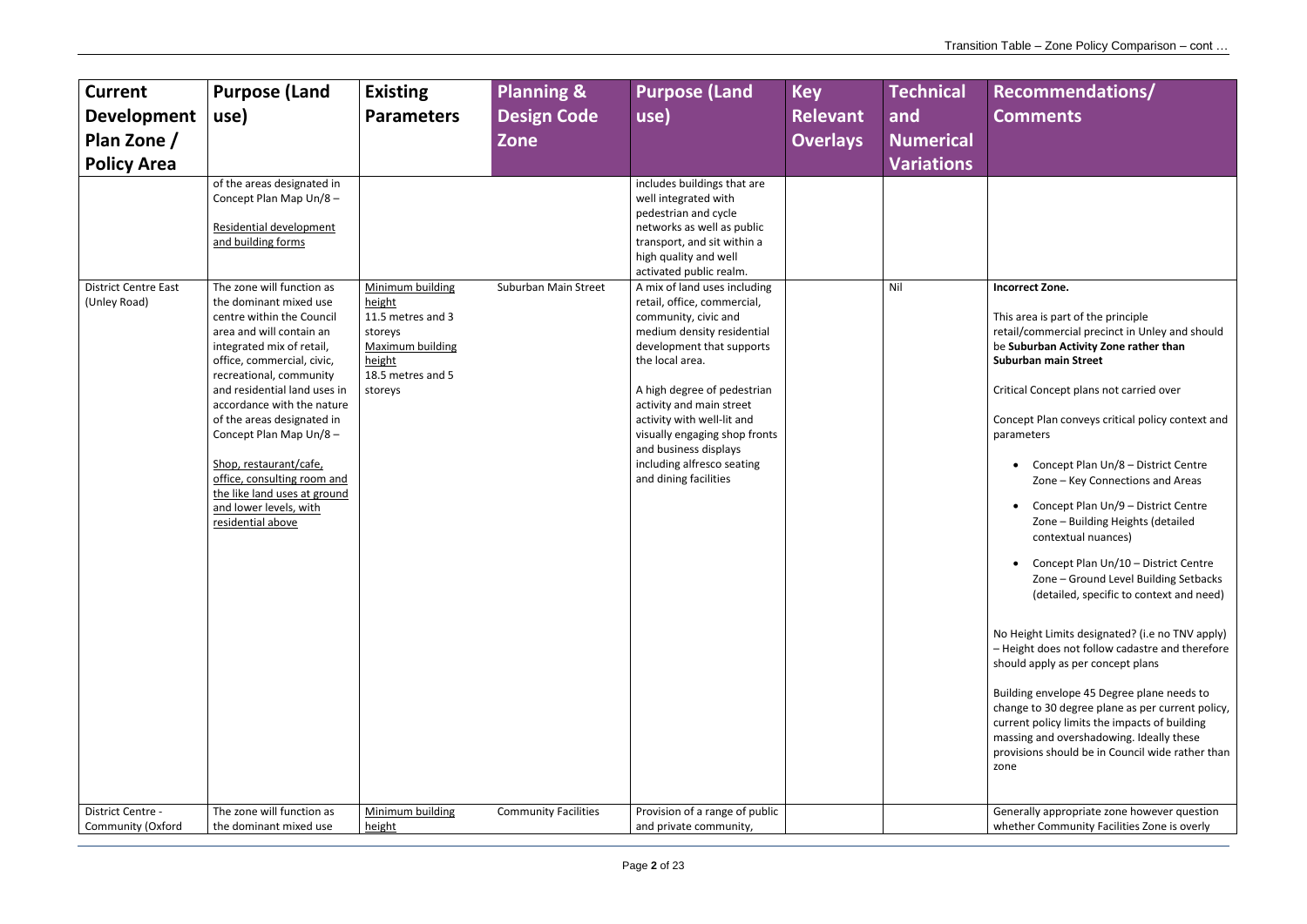#### **Incorrect Zone.**

| <b>Current</b>                                                    | <b>Purpose (Land</b>                                                                                                                                                                                                                                                                                                                                                                                                                                                                                                                                                      | <b>Existing</b>                                                                                                                 | <b>Planning &amp;</b>       | <b>Purpose (Land</b>                                                                                                                                                                                                                                                                                                                                                                                                                                                                                                                                                        | <b>Key</b>      | <b>Technical</b>         |
|-------------------------------------------------------------------|---------------------------------------------------------------------------------------------------------------------------------------------------------------------------------------------------------------------------------------------------------------------------------------------------------------------------------------------------------------------------------------------------------------------------------------------------------------------------------------------------------------------------------------------------------------------------|---------------------------------------------------------------------------------------------------------------------------------|-----------------------------|-----------------------------------------------------------------------------------------------------------------------------------------------------------------------------------------------------------------------------------------------------------------------------------------------------------------------------------------------------------------------------------------------------------------------------------------------------------------------------------------------------------------------------------------------------------------------------|-----------------|--------------------------|
| <b>Development</b>                                                | use)                                                                                                                                                                                                                                                                                                                                                                                                                                                                                                                                                                      | <b>Parameters</b>                                                                                                               | <b>Design Code</b>          | use)                                                                                                                                                                                                                                                                                                                                                                                                                                                                                                                                                                        | <b>Relevant</b> | and                      |
| Plan Zone /                                                       |                                                                                                                                                                                                                                                                                                                                                                                                                                                                                                                                                                           |                                                                                                                                 | Zone                        |                                                                                                                                                                                                                                                                                                                                                                                                                                                                                                                                                                             | <b>Overlays</b> | <b>Numerical</b>         |
|                                                                   |                                                                                                                                                                                                                                                                                                                                                                                                                                                                                                                                                                           |                                                                                                                                 |                             |                                                                                                                                                                                                                                                                                                                                                                                                                                                                                                                                                                             |                 |                          |
| <b>Policy Area</b><br><b>District Centre East</b><br>(Unley Road) | of the areas designated in<br>Concept Plan Map Un/8-<br>Residential development<br>and building forms<br>The zone will function as<br>the dominant mixed use<br>centre within the Council<br>area and will contain an<br>integrated mix of retail,<br>office, commercial, civic,<br>recreational, community<br>and residential land uses in<br>accordance with the nature<br>of the areas designated in<br>Concept Plan Map Un/8-<br>Shop, restaurant/cafe,<br>office, consulting room and<br>the like land uses at ground<br>and lower levels, with<br>residential above | Minimum building<br>height<br>11.5 metres and 3<br>storeys<br><b>Maximum building</b><br>height<br>18.5 metres and 5<br>storeys | Suburban Main Street        | includes buildings that are<br>well integrated with<br>pedestrian and cycle<br>networks as well as public<br>transport, and sit within a<br>high quality and well<br>activated public realm.<br>A mix of land uses including<br>retail, office, commercial,<br>community, civic and<br>medium density residential<br>development that supports<br>the local area.<br>A high degree of pedestrian<br>activity and main street<br>activity with well-lit and<br>visually engaging shop fronts<br>and business displays<br>including alfresco seating<br>and dining facilities |                 | <b>Variations</b><br>Nil |
|                                                                   |                                                                                                                                                                                                                                                                                                                                                                                                                                                                                                                                                                           |                                                                                                                                 |                             |                                                                                                                                                                                                                                                                                                                                                                                                                                                                                                                                                                             |                 |                          |
| District Centre -                                                 | The zone will function as                                                                                                                                                                                                                                                                                                                                                                                                                                                                                                                                                 | Minimum building                                                                                                                | <b>Community Facilities</b> | Provision of a range of public                                                                                                                                                                                                                                                                                                                                                                                                                                                                                                                                              |                 |                          |
| Community (Oxford                                                 | the dominant mixed use                                                                                                                                                                                                                                                                                                                                                                                                                                                                                                                                                    | height                                                                                                                          |                             | and private community,                                                                                                                                                                                                                                                                                                                                                                                                                                                                                                                                                      |                 |                          |

This area is part of the principle retail/commercial precinct in Unley and should be **Suburban Activity Zone rather than Suburban main Street** 

Critical Concept plans not carried over

Concept Plan conveys critical policy context and parameters

- Concept Plan Un/8 District Centre Zone – Key Connections and Areas
- Concept Plan Un/9 District Centre Zone – Building Heights (detailed contextual nuances)
- Concept Plan Un/10 District Centre Zone – Ground Level Building Setbacks (detailed, specific to context and need)

No Height Limits designated? (i.e no TNV apply) – Height does not follow cadastre and therefore should apply as per concept plans

Building envelope 45 Degree plane needs to change to 30 degree plane as per current policy, current policy limits the impacts of building massing and overshadowing. Ideally these provisions should be in Council wide rather than zone

Generally appropriate zone however question whether Community Facilities Zone is overly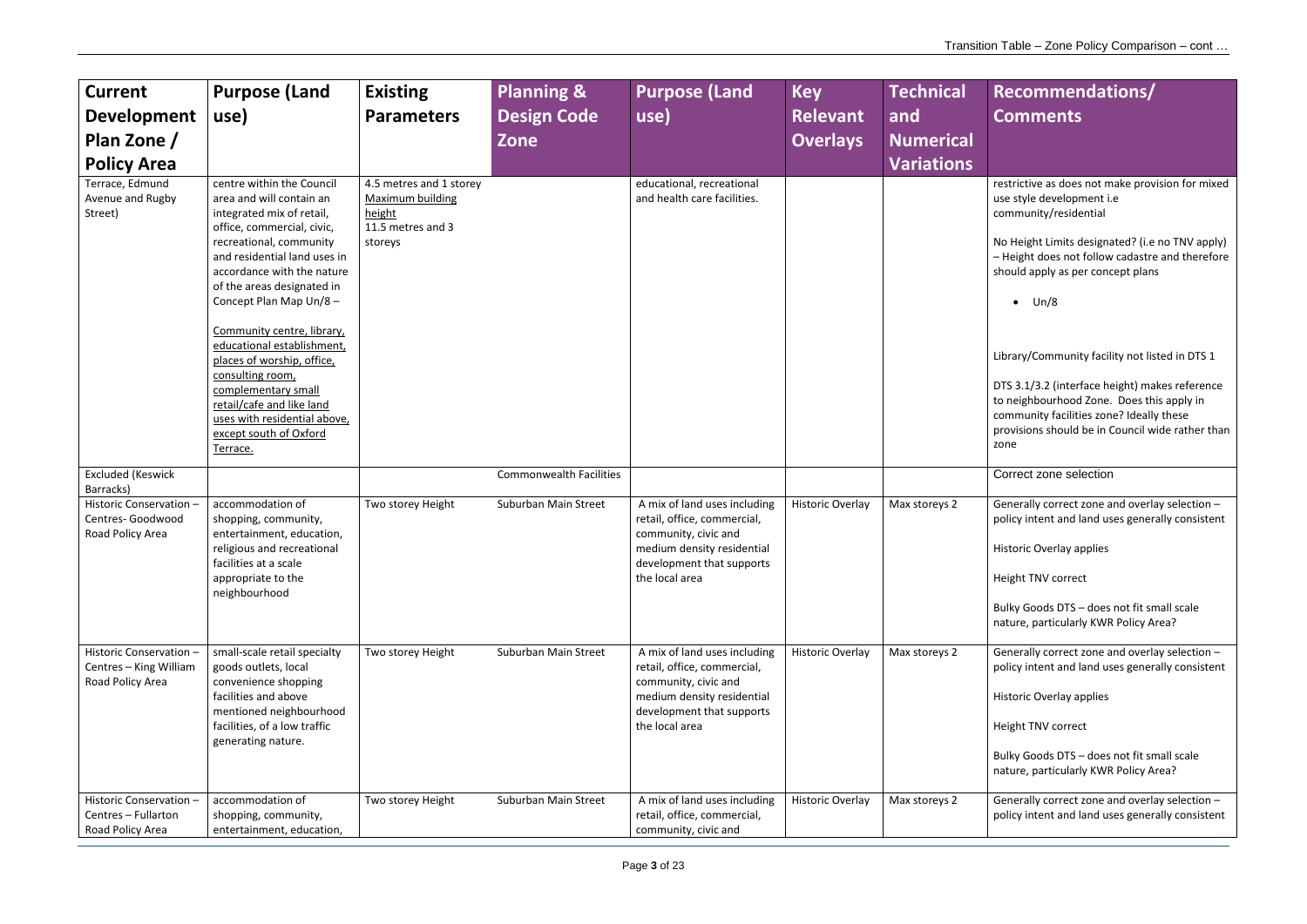restrictive as does not make provision for mixed use style development i.e community/residential

Generally correct zone and overlay selection – policy intent and land uses generally consistent

No Height Limits designated? (i.e no TNV apply) – Height does not follow cadastre and therefore should apply as per concept plans

 $\bullet$  Un/8

Library/Community facility not listed in DTS 1

DTS 3.1/3.2 (interface height) makes reference to neighbourhood Zone. Does this apply in community facilities zone? Ideally these provisions should be in Council wide rather than zone

Correct zone selection

Generally correct zone and overlay selection – policy intent and land uses generally consistent

| <b>Current</b><br><b>Development</b><br>Plan Zone /<br><b>Policy Area</b> | <b>Purpose (Land</b><br>use)                                                                                                                                                                                                                                                                                                                                                                                                                                                                               | <b>Existing</b><br><b>Parameters</b>                                                         | Planning &<br><b>Design Code</b><br>Zone | <b>Purpose (Land</b><br>use)                                                                                                                                     | <b>Key</b><br><b>Relevant</b><br><b>Overlays</b> | <b>Technical</b><br>and<br><b>Numerical</b><br><b>Variations</b> |
|---------------------------------------------------------------------------|------------------------------------------------------------------------------------------------------------------------------------------------------------------------------------------------------------------------------------------------------------------------------------------------------------------------------------------------------------------------------------------------------------------------------------------------------------------------------------------------------------|----------------------------------------------------------------------------------------------|------------------------------------------|------------------------------------------------------------------------------------------------------------------------------------------------------------------|--------------------------------------------------|------------------------------------------------------------------|
| Terrace, Edmund<br>Avenue and Rugby<br>Street)                            | centre within the Council<br>area and will contain an<br>integrated mix of retail,<br>office, commercial, civic,<br>recreational, community<br>and residential land uses in<br>accordance with the nature<br>of the areas designated in<br>Concept Plan Map Un/8 -<br>Community centre, library,<br>educational establishment,<br>places of worship, office,<br>consulting room,<br>complementary small<br>retail/cafe and like land<br>uses with residential above,<br>except south of Oxford<br>Terrace. | 4.5 metres and 1 storey<br><b>Maximum building</b><br>height<br>11.5 metres and 3<br>storeys |                                          | educational, recreational<br>and health care facilities.                                                                                                         |                                                  |                                                                  |
| <b>Excluded (Keswick</b><br>Barracks)                                     |                                                                                                                                                                                                                                                                                                                                                                                                                                                                                                            |                                                                                              | <b>Commonwealth Facilities</b>           |                                                                                                                                                                  |                                                  |                                                                  |
| Historic Conservation -<br>Centres- Goodwood<br>Road Policy Area          | accommodation of<br>shopping, community,<br>entertainment, education,<br>religious and recreational<br>facilities at a scale<br>appropriate to the<br>neighbourhood                                                                                                                                                                                                                                                                                                                                        | Two storey Height                                                                            | Suburban Main Street                     | A mix of land uses including<br>retail, office, commercial,<br>community, civic and<br>medium density residential<br>development that supports<br>the local area | <b>Historic Overlay</b>                          | Max storeys 2                                                    |
| Historic Conservation -<br>Centres - King William<br>Road Policy Area     | small-scale retail specialty<br>goods outlets, local<br>convenience shopping<br>facilities and above<br>mentioned neighbourhood<br>facilities, of a low traffic<br>generating nature.                                                                                                                                                                                                                                                                                                                      | Two storey Height                                                                            | Suburban Main Street                     | A mix of land uses including<br>retail, office, commercial,<br>community, civic and<br>medium density residential<br>development that supports<br>the local area | Historic Overlay                                 | Max storeys 2                                                    |
| Historic Conservation -<br>Centres - Fullarton<br>Road Policy Area        | accommodation of<br>shopping, community,<br>entertainment, education,                                                                                                                                                                                                                                                                                                                                                                                                                                      | Two storey Height                                                                            | Suburban Main Street                     | A mix of land uses including<br>retail, office, commercial,<br>community, civic and                                                                              | Historic Overlay                                 | Max storeys 2                                                    |

Generally correct zone and overlay selection – policy intent and land uses generally consistent

Historic Overlay applies

Height TNV correct

Bulky Goods DTS – does not fit small scale nature, particularly KWR Policy Area?

Historic Overlay applies

Height TNV correct

Bulky Goods DTS – does not fit small scale nature, particularly KWR Policy Area?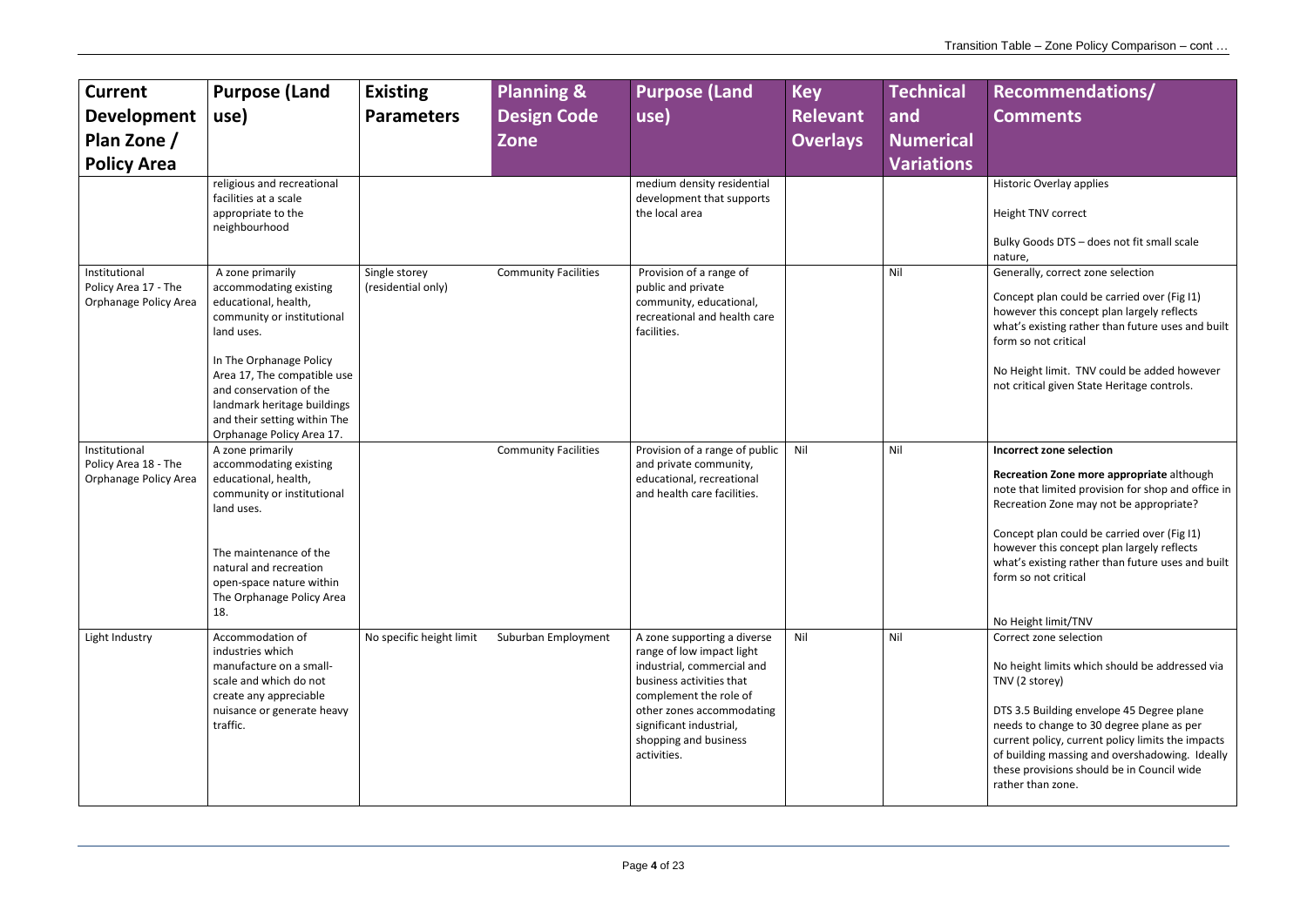Historic Overlay applies

Height TNV correct

Bulky Goods DTS – does not fit small scale nature,

Generally, correct zone selection

No Height limit/TNV Correct zone selection

Concept plan could be carried over (Fig I1) however this concept plan largely reflects what's existing rather than future uses and built form so not critical

| <b>Current</b><br><b>Development</b><br>Plan Zone /<br><b>Policy Area</b> | <b>Purpose (Land</b><br>use)                                                                                                                                                                                                                                                                    | <b>Existing</b><br><b>Parameters</b> | <b>Planning &amp;</b><br><b>Design Code</b><br><b>Zone</b> | <b>Purpose (Land</b><br>use)                                                                                                                                                                                                                 | <b>Key</b><br><b>Relevant</b><br><b>Overlays</b> | <b>Technical</b><br>and<br><b>Numerical</b><br><b>Variations</b> |
|---------------------------------------------------------------------------|-------------------------------------------------------------------------------------------------------------------------------------------------------------------------------------------------------------------------------------------------------------------------------------------------|--------------------------------------|------------------------------------------------------------|----------------------------------------------------------------------------------------------------------------------------------------------------------------------------------------------------------------------------------------------|--------------------------------------------------|------------------------------------------------------------------|
|                                                                           | religious and recreational<br>facilities at a scale<br>appropriate to the<br>neighbourhood                                                                                                                                                                                                      |                                      |                                                            | medium density residential<br>development that supports<br>the local area                                                                                                                                                                    |                                                  |                                                                  |
| Institutional<br>Policy Area 17 - The<br>Orphanage Policy Area            | A zone primarily<br>accommodating existing<br>educational, health,<br>community or institutional<br>land uses.<br>In The Orphanage Policy<br>Area 17, The compatible use<br>and conservation of the<br>landmark heritage buildings<br>and their setting within The<br>Orphanage Policy Area 17. | Single storey<br>(residential only)  | <b>Community Facilities</b>                                | Provision of a range of<br>public and private<br>community, educational,<br>recreational and health care<br>facilities.                                                                                                                      |                                                  | Nil                                                              |
| Institutional<br>Policy Area 18 - The<br>Orphanage Policy Area            | A zone primarily<br>accommodating existing<br>educational, health,<br>community or institutional<br>land uses.<br>The maintenance of the<br>natural and recreation<br>open-space nature within<br>The Orphanage Policy Area<br>18.                                                              |                                      | <b>Community Facilities</b>                                | Provision of a range of public<br>and private community,<br>educational, recreational<br>and health care facilities.                                                                                                                         | Nil                                              | Nil                                                              |
| Light Industry                                                            | Accommodation of<br>industries which<br>manufacture on a small-<br>scale and which do not<br>create any appreciable<br>nuisance or generate heavy<br>traffic.                                                                                                                                   | No specific height limit             | Suburban Employment                                        | A zone supporting a diverse<br>range of low impact light<br>industrial, commercial and<br>business activities that<br>complement the role of<br>other zones accommodating<br>significant industrial,<br>shopping and business<br>activities. | Nil                                              | Nil                                                              |

No Height limit. TNV could be added however not critical given State Heritage controls.

#### **Incorrect zone selection**

**Recreation Zone more appropriate** although note that limited provision for shop and office in Recreation Zone may not be appropriate?

Concept plan could be carried over (Fig I1) however this concept plan largely reflects what's existing rather than future uses and built form so not critical

No height limits which should be addressed via TNV (2 storey)

DTS 3.5 Building envelope 45 Degree plane needs to change to 30 degree plane as per current policy, current policy limits the impacts of building massing and overshadowing. Ideally these provisions should be in Council wide rather than zone.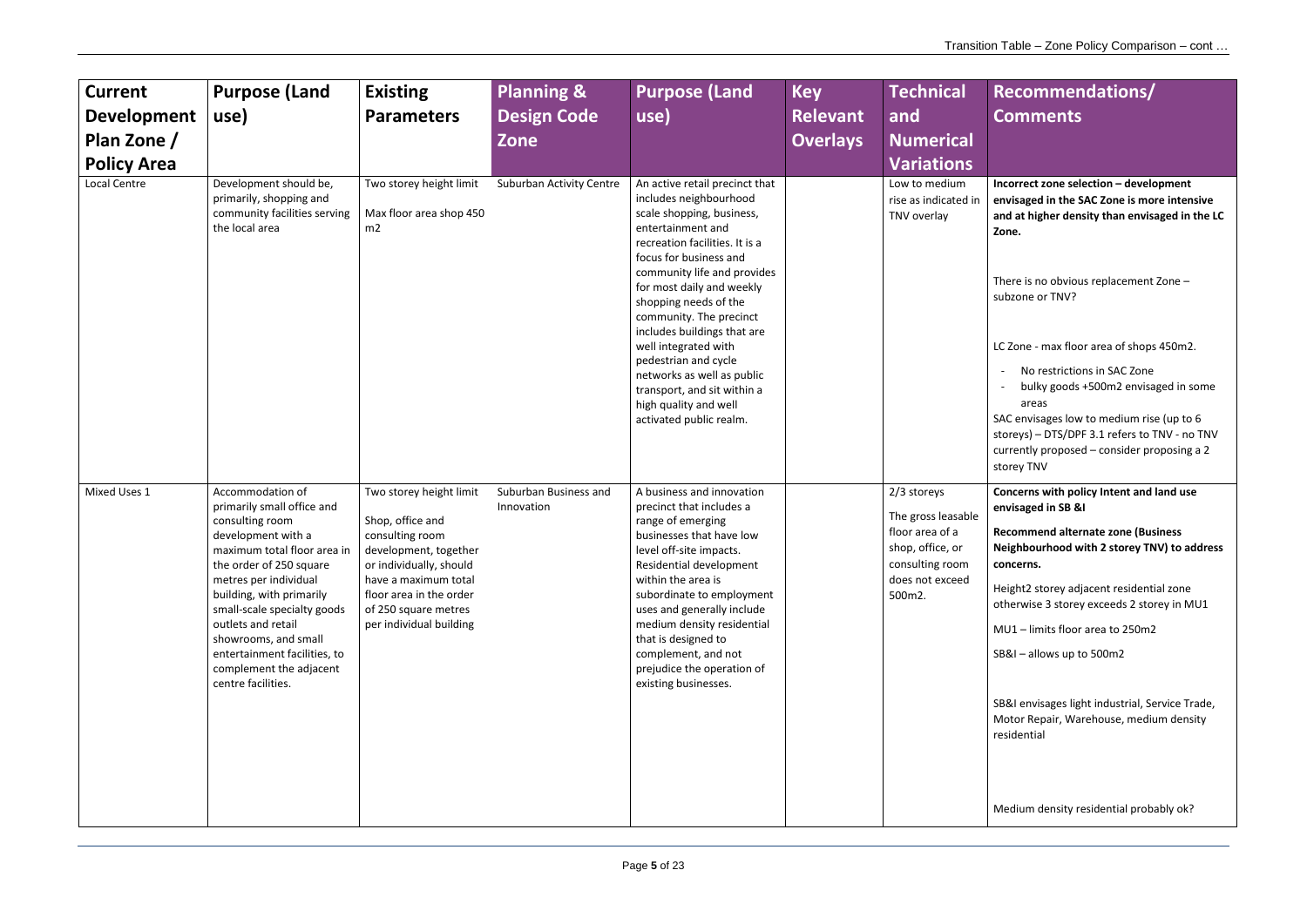**Incorrect zone selection – development envisaged in the SAC Zone is more intensive and at higher density than envisaged in the LC Zone.** 

There is no obvious replacement Zone – subzone or TNV?

LC Zone - max floor area of shops 450m2.

- No restrictions in SAC Zone
- bulky goods +500m2 envisaged in some areas

| <b>Current</b><br><b>Development</b><br>Plan Zone /<br><b>Policy Area</b> | <b>Purpose (Land</b><br>use)                                                                                                                                                                                                                                                                                                                                         | <b>Existing</b><br><b>Parameters</b>                                                                                                                                                                                     | <b>Planning &amp;</b><br><b>Design Code</b><br><b>Zone</b> | <b>Purpose (Land</b><br>use)                                                                                                                                                                                                                                                                                                                                                                                                                                                           | <b>Key</b><br><b>Relevant</b><br><b>Overlays</b> | <b>Technical</b><br>and<br><b>Numerical</b><br><b>Variations</b>                                                         |
|---------------------------------------------------------------------------|----------------------------------------------------------------------------------------------------------------------------------------------------------------------------------------------------------------------------------------------------------------------------------------------------------------------------------------------------------------------|--------------------------------------------------------------------------------------------------------------------------------------------------------------------------------------------------------------------------|------------------------------------------------------------|----------------------------------------------------------------------------------------------------------------------------------------------------------------------------------------------------------------------------------------------------------------------------------------------------------------------------------------------------------------------------------------------------------------------------------------------------------------------------------------|--------------------------------------------------|--------------------------------------------------------------------------------------------------------------------------|
| Local Centre                                                              | Development should be,<br>primarily, shopping and<br>community facilities serving<br>the local area                                                                                                                                                                                                                                                                  | Two storey height limit<br>Max floor area shop 450<br>m2                                                                                                                                                                 | <b>Suburban Activity Centre</b>                            | An active retail precinct that<br>includes neighbourhood<br>scale shopping, business,<br>entertainment and<br>recreation facilities. It is a<br>focus for business and<br>community life and provides<br>for most daily and weekly<br>shopping needs of the<br>community. The precinct<br>includes buildings that are<br>well integrated with<br>pedestrian and cycle<br>networks as well as public<br>transport, and sit within a<br>high quality and well<br>activated public realm. |                                                  | Low to medium<br>rise as indicated in<br>TNV overlay                                                                     |
| Mixed Uses 1                                                              | Accommodation of<br>primarily small office and<br>consulting room<br>development with a<br>maximum total floor area in<br>the order of 250 square<br>metres per individual<br>building, with primarily<br>small-scale specialty goods<br>outlets and retail<br>showrooms, and small<br>entertainment facilities, to<br>complement the adjacent<br>centre facilities. | Two storey height limit<br>Shop, office and<br>consulting room<br>development, together<br>or individually, should<br>have a maximum total<br>floor area in the order<br>of 250 square metres<br>per individual building | Suburban Business and<br>Innovation                        | A business and innovation<br>precinct that includes a<br>range of emerging<br>businesses that have low<br>level off-site impacts.<br>Residential development<br>within the area is<br>subordinate to employment<br>uses and generally include<br>medium density residential<br>that is designed to<br>complement, and not<br>prejudice the operation of<br>existing businesses.                                                                                                        |                                                  | 2/3 storeys<br>The gross leasable<br>floor area of a<br>shop, office, or<br>consulting room<br>does not exceed<br>500m2. |

SAC envisages low to medium rise (up to 6 storeys) – DTS/DPF 3.1 refers to TNV - no TNV currently proposed – consider proposing a 2 storey TNV

**Concerns with policy Intent and land use envisaged in SB &I**

**Recommend alternate zone (Business Neighbourhood with 2 storey TNV) to address concerns.**

Height2 storey adjacent residential zone otherwise 3 storey exceeds 2 storey in MU1

MU1 – limits floor area to 250m2

SB&I – allows up to 500m2

SB&I envisages light industrial, Service Trade, Motor Repair, Warehouse, medium density residential

Medium density residential probably ok?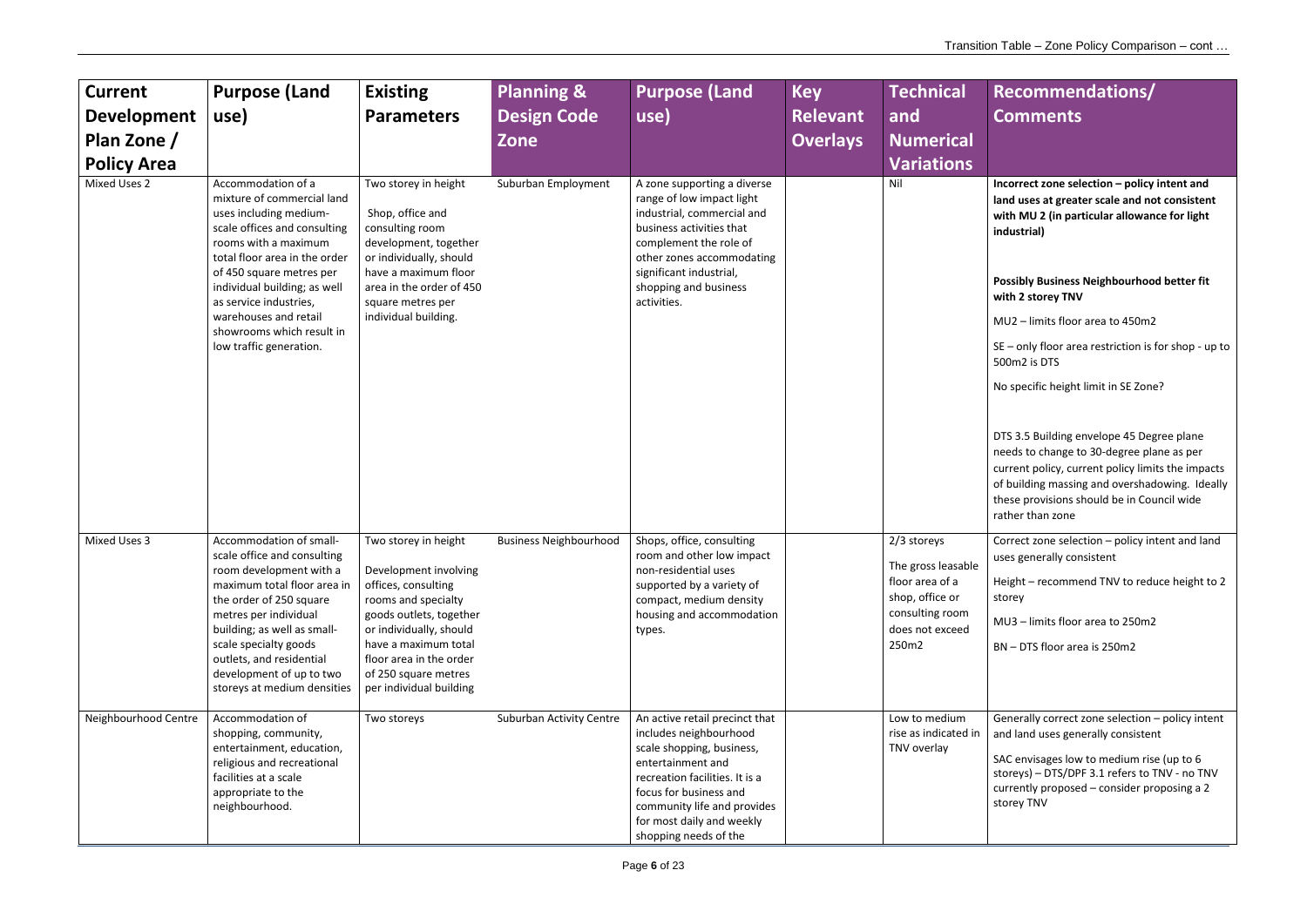Incorrect zone selection – policy intent and **land uses at greater scale and not consistent with MU 2 (in particular allowance for light industrial)** 

**Possibly Business Neighbourhood better fit with 2 storey TNV**

MU2 – limits floor area to 450m2

SE – only floor area restriction is for shop - up to 500m2 is DTS

No specific height limit in SE Zone?

DTS 3.5 Building envelope 45 Degree plane needs to change to 30-degree plane as per current policy, current policy limits the impacts of building massing and overshadowing. Ideally these provisions should be in Council wide rather than zone

| <b>Current</b><br><b>Development</b><br>Plan Zone /<br><b>Policy Area</b> | <b>Purpose (Land</b><br>use)                                                                                                                                                                                                                                                                                                               | <b>Existing</b><br><b>Parameters</b>                                                                                                                                                                                                                    | <b>Planning &amp;</b><br><b>Design Code</b><br>Zone | <b>Purpose (Land</b><br>use)                                                                                                                                                                                                                                | <b>Key</b><br><b>Relevant</b><br><b>Overlays</b> | <b>Technical</b><br>and<br><b>Numerical</b><br><b>Variations</b>                                                       |
|---------------------------------------------------------------------------|--------------------------------------------------------------------------------------------------------------------------------------------------------------------------------------------------------------------------------------------------------------------------------------------------------------------------------------------|---------------------------------------------------------------------------------------------------------------------------------------------------------------------------------------------------------------------------------------------------------|-----------------------------------------------------|-------------------------------------------------------------------------------------------------------------------------------------------------------------------------------------------------------------------------------------------------------------|--------------------------------------------------|------------------------------------------------------------------------------------------------------------------------|
| Mixed Uses 2                                                              | Accommodation of a<br>mixture of commercial land<br>uses including medium-<br>scale offices and consulting<br>rooms with a maximum<br>total floor area in the order<br>of 450 square metres per<br>individual building; as well<br>as service industries,<br>warehouses and retail<br>showrooms which result in<br>low traffic generation. | Two storey in height<br>Shop, office and<br>consulting room<br>development, together<br>or individually, should<br>have a maximum floor<br>area in the order of 450<br>square metres per<br>individual building.                                        | Suburban Employment                                 | A zone supporting a diverse<br>range of low impact light<br>industrial, commercial and<br>business activities that<br>complement the role of<br>other zones accommodating<br>significant industrial,<br>shopping and business<br>activities.                |                                                  | Nil                                                                                                                    |
| <b>Mixed Uses 3</b>                                                       | Accommodation of small-<br>scale office and consulting<br>room development with a<br>maximum total floor area in<br>the order of 250 square<br>metres per individual<br>building; as well as small-<br>scale specialty goods<br>outlets, and residential<br>development of up to two<br>storeys at medium densities                        | Two storey in height<br>Development involving<br>offices, consulting<br>rooms and specialty<br>goods outlets, together<br>or individually, should<br>have a maximum total<br>floor area in the order<br>of 250 square metres<br>per individual building | <b>Business Neighbourhood</b>                       | Shops, office, consulting<br>room and other low impact<br>non-residential uses<br>supported by a variety of<br>compact, medium density<br>housing and accommodation<br>types.                                                                               |                                                  | 2/3 storeys<br>The gross leasable<br>floor area of a<br>shop, office or<br>consulting room<br>does not exceed<br>250m2 |
| Neighbourhood Centre                                                      | Accommodation of<br>shopping, community,<br>entertainment, education,<br>religious and recreational<br>facilities at a scale<br>appropriate to the<br>neighbourhood.                                                                                                                                                                       | Two storeys                                                                                                                                                                                                                                             | <b>Suburban Activity Centre</b>                     | An active retail precinct that<br>includes neighbourhood<br>scale shopping, business,<br>entertainment and<br>recreation facilities. It is a<br>focus for business and<br>community life and provides<br>for most daily and weekly<br>shopping needs of the |                                                  | Low to medium<br>rise as indicated in<br>TNV overlay                                                                   |

Correct zone selection – policy intent and land uses generally consistent

Height – recommend TNV to reduce height to 2 storey

MU3 – limits floor area to 250m2

BN – DTS floor area is 250m2

Generally correct zone selection – policy intent and land uses generally consistent

SAC envisages low to medium rise (up to 6 storeys) – DTS/DPF 3.1 refers to TNV - no TNV currently proposed – consider proposing a 2 storey TNV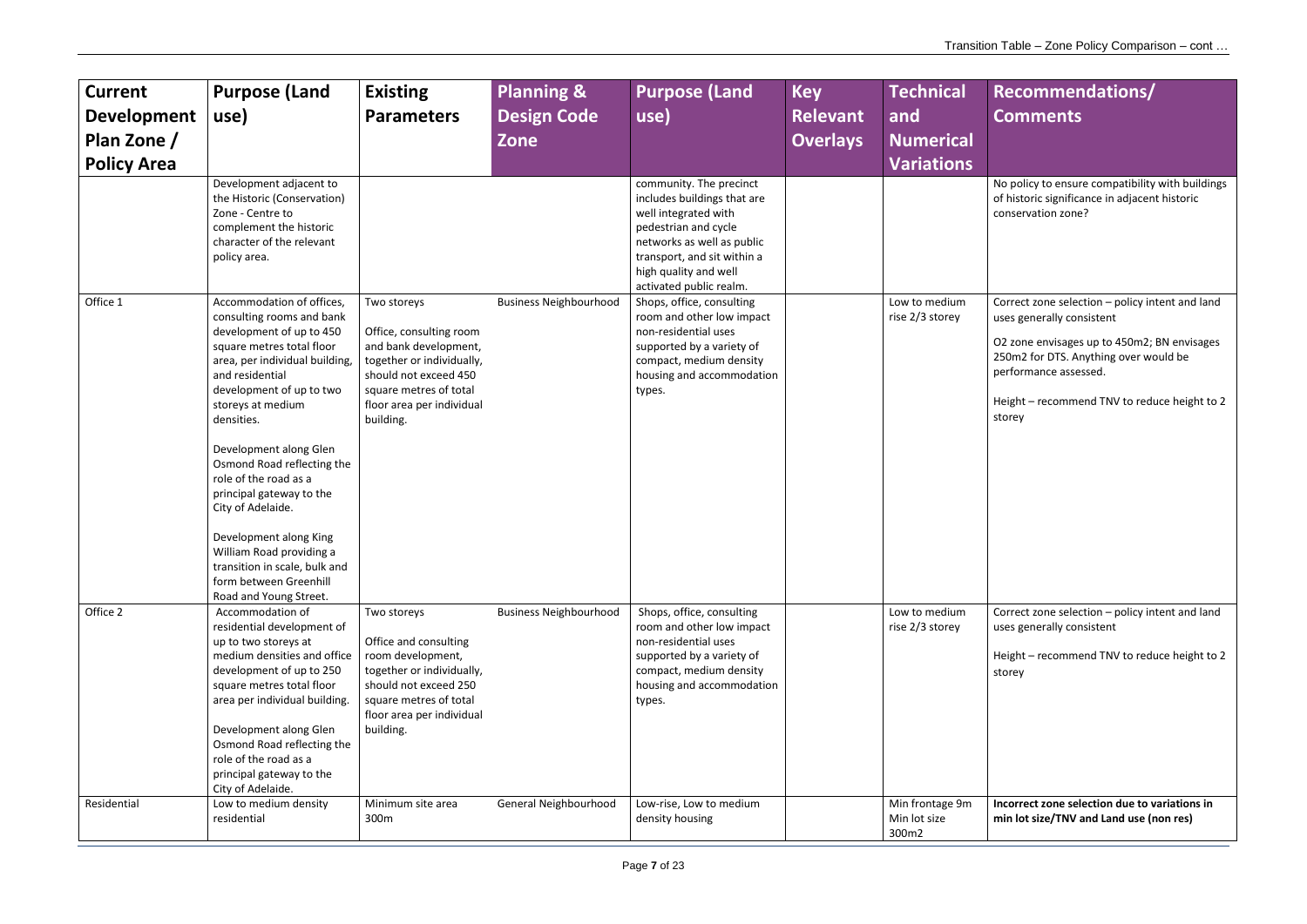| <b>Current</b><br><b>Development</b><br>Plan Zone /<br><b>Policy Area</b> | <b>Purpose (Land</b><br>use)<br>Development adjacent to                                                                                                                                                                                                                                                                                                                                                                                                                                                          | <b>Existing</b><br><b>Parameters</b>                                                                                                                                                      | <b>Planning &amp;</b><br><b>Design Code</b><br>Zone | <b>Purpose (Land</b><br>use)<br>community. The precinct                                                                                                                                      | <b>Key</b><br><b>Relevant</b><br><b>Overlays</b> | <b>Technical</b><br>and<br><b>Numerical</b><br><b>Variations</b> |
|---------------------------------------------------------------------------|------------------------------------------------------------------------------------------------------------------------------------------------------------------------------------------------------------------------------------------------------------------------------------------------------------------------------------------------------------------------------------------------------------------------------------------------------------------------------------------------------------------|-------------------------------------------------------------------------------------------------------------------------------------------------------------------------------------------|-----------------------------------------------------|----------------------------------------------------------------------------------------------------------------------------------------------------------------------------------------------|--------------------------------------------------|------------------------------------------------------------------|
|                                                                           | the Historic (Conservation)<br>Zone - Centre to<br>complement the historic<br>character of the relevant<br>policy area.                                                                                                                                                                                                                                                                                                                                                                                          |                                                                                                                                                                                           |                                                     | includes buildings that are<br>well integrated with<br>pedestrian and cycle<br>networks as well as public<br>transport, and sit within a<br>high quality and well<br>activated public realm. |                                                  |                                                                  |
| Office 1                                                                  | Accommodation of offices,<br>consulting rooms and bank<br>development of up to 450<br>square metres total floor<br>area, per individual building,<br>and residential<br>development of up to two<br>storeys at medium<br>densities.<br>Development along Glen<br>Osmond Road reflecting the<br>role of the road as a<br>principal gateway to the<br>City of Adelaide.<br>Development along King<br>William Road providing a<br>transition in scale, bulk and<br>form between Greenhill<br>Road and Young Street. | Two storeys<br>Office, consulting room<br>and bank development,<br>together or individually,<br>should not exceed 450<br>square metres of total<br>floor area per individual<br>building. | <b>Business Neighbourhood</b>                       | Shops, office, consulting<br>room and other low impact<br>non-residential uses<br>supported by a variety of<br>compact, medium density<br>housing and accommodation<br>types.                |                                                  | Low to medium<br>rise 2/3 storey                                 |
| Office 2                                                                  | Accommodation of<br>residential development of<br>up to two storeys at<br>medium densities and office<br>development of up to 250<br>square metres total floor<br>area per individual building.<br>Development along Glen<br>Osmond Road reflecting the<br>role of the road as a<br>principal gateway to the<br>City of Adelaide.                                                                                                                                                                                | Two storeys<br>Office and consulting<br>room development,<br>together or individually,<br>should not exceed 250<br>square metres of total<br>floor area per individual<br>building.       | <b>Business Neighbourhood</b>                       | Shops, office, consulting<br>room and other low impact<br>non-residential uses<br>supported by a variety of<br>compact, medium density<br>housing and accommodation<br>types.                |                                                  | Low to medium<br>rise 2/3 storey                                 |
| Residential                                                               | Low to medium density<br>residential                                                                                                                                                                                                                                                                                                                                                                                                                                                                             | Minimum site area<br>300 <sub>m</sub>                                                                                                                                                     | General Neighbourhood                               | Low-rise, Low to medium<br>density housing                                                                                                                                                   |                                                  | Min frontage 9m<br>Min lot size<br>300m2                         |

| <b>Recommendations/</b><br><b>Comments</b>                                                                              |
|-------------------------------------------------------------------------------------------------------------------------|
| No policy to ensure compatibility with buildings<br>of historic significance in adjacent historic<br>conservation zone? |
| Correct zone selection - policy intent and land<br>uses generally consistent                                            |
| O2 zone envisages up to 450m2; BN envisages<br>250m2 for DTS. Anything over would be<br>performance assessed.           |
| Height - recommend TNV to reduce height to 2<br>storey                                                                  |
|                                                                                                                         |
| Correct zone selection - policy intent and land<br>uses generally consistent                                            |
| Height - recommend TNV to reduce height to 2<br>storey                                                                  |
| Incorrect zone selection due to variations in                                                                           |

**min lot size/TNV and Land use (non res)**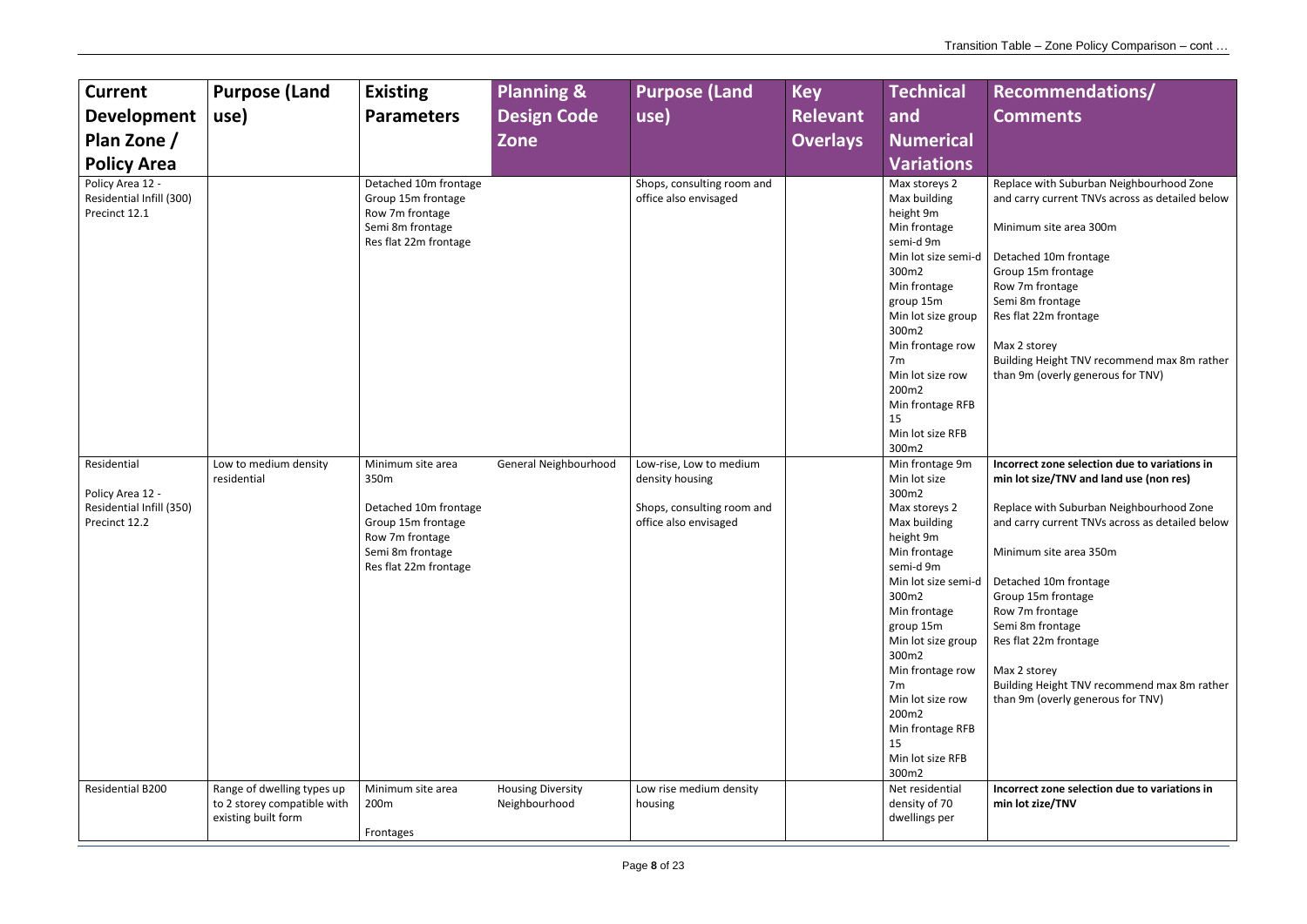Replace with Suburban Neighbourhood Zone and carry current TNVs across as detailed below

Minimum site area 300m

Detached 10m frontage Group 15m frontage Row 7m frontage Semi 8m frontage Res flat 22m frontage

Max 2 storey Building Height TNV recommend max 8m rather than 9m (overly generous for TNV)

| <b>Current</b><br><b>Development</b><br>Plan Zone /<br><b>Policy Area</b><br>Policy Area 12 -<br>Residential Infill (300)<br>Precinct 12.1 | <b>Purpose (Land</b><br>use)                                                     | <b>Existing</b><br><b>Parameters</b><br>Detached 10m frontage<br>Group 15m frontage<br>Row 7m frontage<br>Semi 8m frontage<br>Res flat 22m frontage | <b>Planning &amp;</b><br><b>Design Code</b><br><b>Zone</b> | <b>Purpose (Land</b><br>use)<br>Shops, consulting room and<br>office also envisaged               | <b>Key</b><br><b>Relevant</b><br><b>Overlays</b> | <b>Technical</b><br>and<br><b>Numerical</b><br><b>Variations</b><br>Max storeys 2<br>Max building<br>height 9m<br>Min frontage<br>semi-d 9m<br>Min lot size semi-d<br>300m2<br>Min frontage<br>group 15m<br>Min lot size group<br>300m2                                                                                                                                                                                    |
|--------------------------------------------------------------------------------------------------------------------------------------------|----------------------------------------------------------------------------------|-----------------------------------------------------------------------------------------------------------------------------------------------------|------------------------------------------------------------|---------------------------------------------------------------------------------------------------|--------------------------------------------------|----------------------------------------------------------------------------------------------------------------------------------------------------------------------------------------------------------------------------------------------------------------------------------------------------------------------------------------------------------------------------------------------------------------------------|
| Residential<br>Policy Area 12 -<br>Residential Infill (350)<br>Precinct 12.2                                                               | Low to medium density<br>residential                                             | Minimum site area<br>350m<br>Detached 10m frontage<br>Group 15m frontage<br>Row 7m frontage<br>Semi 8m frontage<br>Res flat 22m frontage            | General Neighbourhood                                      | Low-rise, Low to medium<br>density housing<br>Shops, consulting room and<br>office also envisaged |                                                  | Min frontage row<br>7m<br>Min lot size row<br>200m2<br>Min frontage RFB<br>15<br>Min lot size RFB<br>300m2<br>Min frontage 9m<br>Min lot size<br>300m2<br>Max storeys 2<br>Max building<br>height 9m<br>Min frontage<br>semi-d 9m<br>Min lot size semi-d<br>300m2<br>Min frontage<br>group 15m<br>Min lot size group<br>300m2<br>Min frontage row<br>7 <sub>m</sub><br>Min lot size row<br>200m2<br>Min frontage RFB<br>15 |
| Residential B200                                                                                                                           | Range of dwelling types up<br>to 2 storey compatible with<br>existing built form | Minimum site area<br>200m<br>Frontages                                                                                                              | <b>Housing Diversity</b><br>Neighbourhood                  | Low rise medium density<br>housing                                                                |                                                  | Min lot size RFB<br>300m2<br>Net residential<br>density of 70<br>dwellings per                                                                                                                                                                                                                                                                                                                                             |

**Incorrect zone selection due to variations in min lot size/TNV and land use (non res)**

Replace with Suburban Neighbourhood Zone and carry current TNVs across as detailed below

Minimum site area 350m

Detached 10m frontage Group 15m frontage Row 7m frontage Semi 8m frontage Res flat 22m frontage

Max 2 storey Building Height TNV recommend max 8m rather than 9m (overly generous for TNV)

**Incorrect zone selection due to variations in min lot zize/TNV**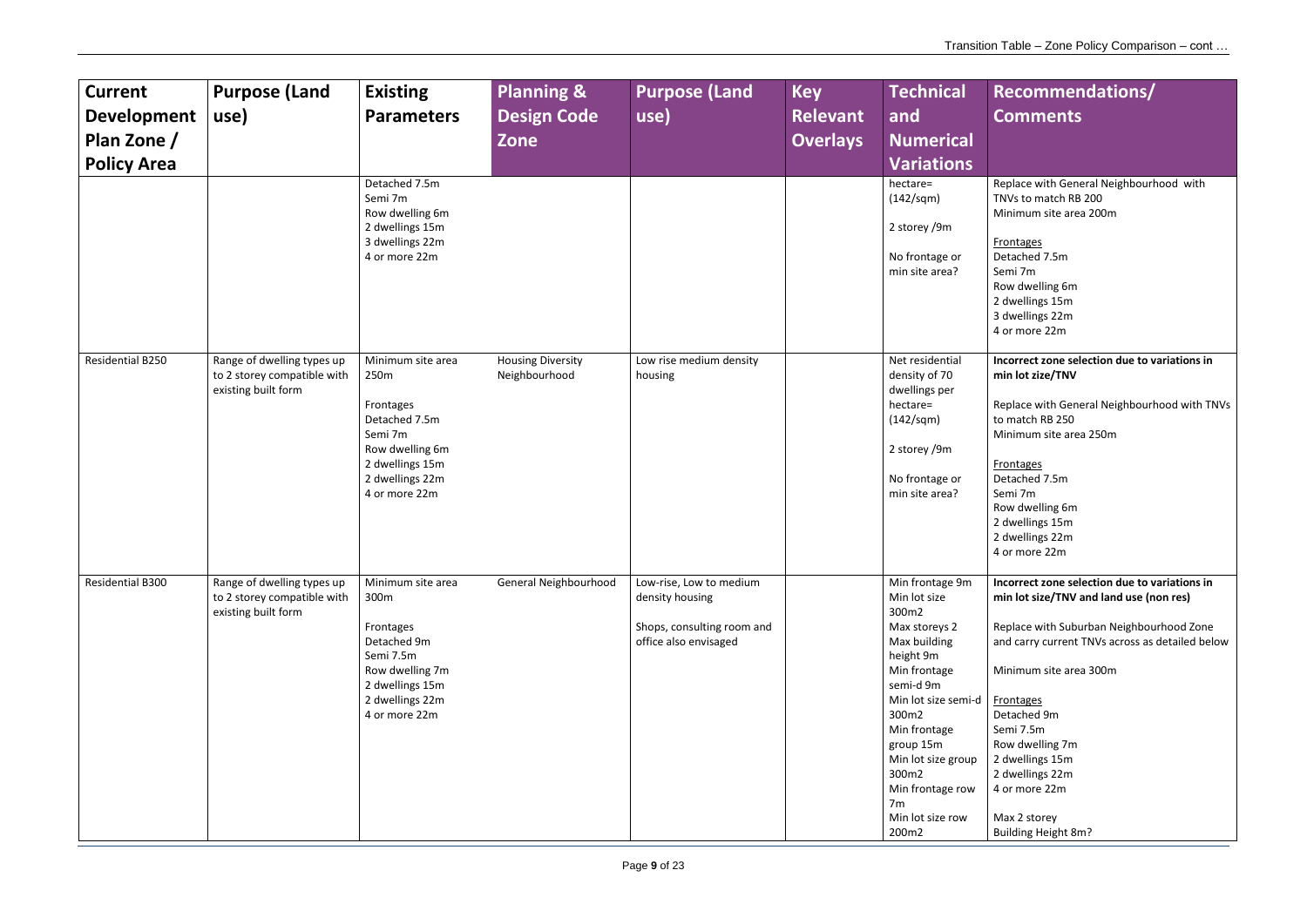**Frontages** Detached 7.5m Semi 7m Row dwelling 6m 2 dwellings 15m 3 dwellings 22m 4 or more 22m

Replace with General Neighbourhood with TNVs to match RB 200 Minimum site area 200m

**Frontages** Detached 7.5m Semi 7m Row dwelling 6m 2 dwellings 15m 2 dwellings 22m 4 or more 22m

| <b>Current</b><br><b>Development</b><br>Plan Zone /<br><b>Policy Area</b> | <b>Purpose (Land</b><br>use)                                                     | <b>Existing</b><br><b>Parameters</b><br>Detached 7.5m<br>Semi 7m<br>Row dwelling 6m<br>2 dwellings 15m<br>3 dwellings 22m<br>4 or more 22m   | <b>Planning &amp;</b><br><b>Design Code</b><br>Zone | <b>Purpose (Land</b><br>use)                                                                      | <b>Key</b><br><b>Relevant</b><br><b>Overlays</b> | <b>Technical</b><br>and<br><b>Numerical</b><br><b>Variations</b><br>hectare=<br>(142/sgm)<br>2 storey /9m<br>No frontage or<br>min site area?                                                                                                                                      |
|---------------------------------------------------------------------------|----------------------------------------------------------------------------------|----------------------------------------------------------------------------------------------------------------------------------------------|-----------------------------------------------------|---------------------------------------------------------------------------------------------------|--------------------------------------------------|------------------------------------------------------------------------------------------------------------------------------------------------------------------------------------------------------------------------------------------------------------------------------------|
| Residential B250                                                          | Range of dwelling types up<br>to 2 storey compatible with<br>existing built form | Minimum site area<br>250m<br>Frontages<br>Detached 7.5m<br>Semi 7m<br>Row dwelling 6m<br>2 dwellings 15m<br>2 dwellings 22m<br>4 or more 22m | <b>Housing Diversity</b><br>Neighbourhood           | Low rise medium density<br>housing                                                                |                                                  | Net residential<br>density of 70<br>dwellings per<br>hectare=<br>(142/sqm)<br>2 storey /9m<br>No frontage or<br>min site area?                                                                                                                                                     |
| Residential B300                                                          | Range of dwelling types up<br>to 2 storey compatible with<br>existing built form | Minimum site area<br>300m<br>Frontages<br>Detached 9m<br>Semi 7.5m<br>Row dwelling 7m<br>2 dwellings 15m<br>2 dwellings 22m<br>4 or more 22m | General Neighbourhood                               | Low-rise, Low to medium<br>density housing<br>Shops, consulting room and<br>office also envisaged |                                                  | Min frontage 9m<br>Min lot size<br>300m2<br>Max storeys 2<br>Max building<br>height 9m<br>Min frontage<br>semi-d 9m<br>Min lot size semi-d<br>300m2<br>Min frontage<br>group 15m<br>Min lot size group<br>300m2<br>Min frontage row<br>7 <sub>m</sub><br>Min lot size row<br>200m2 |

**Frontages** Detached 9m Semi 7.5m Row dwelling 7m 2 dwellings 15m 2 dwellings 22m 4 or more 22m

**Incorrect zone selection due to variations in min lot zize/TNV**

Replace with General Neighbourhood with TNVs to match RB 250 Minimum site area 250m

**Incorrect zone selection due to variations in min lot size/TNV and land use (non res)**

Replace with Suburban Neighbourhood Zone and carry current TNVs across as detailed below

Minimum site area 300m

Max 2 storey Building Height 8m?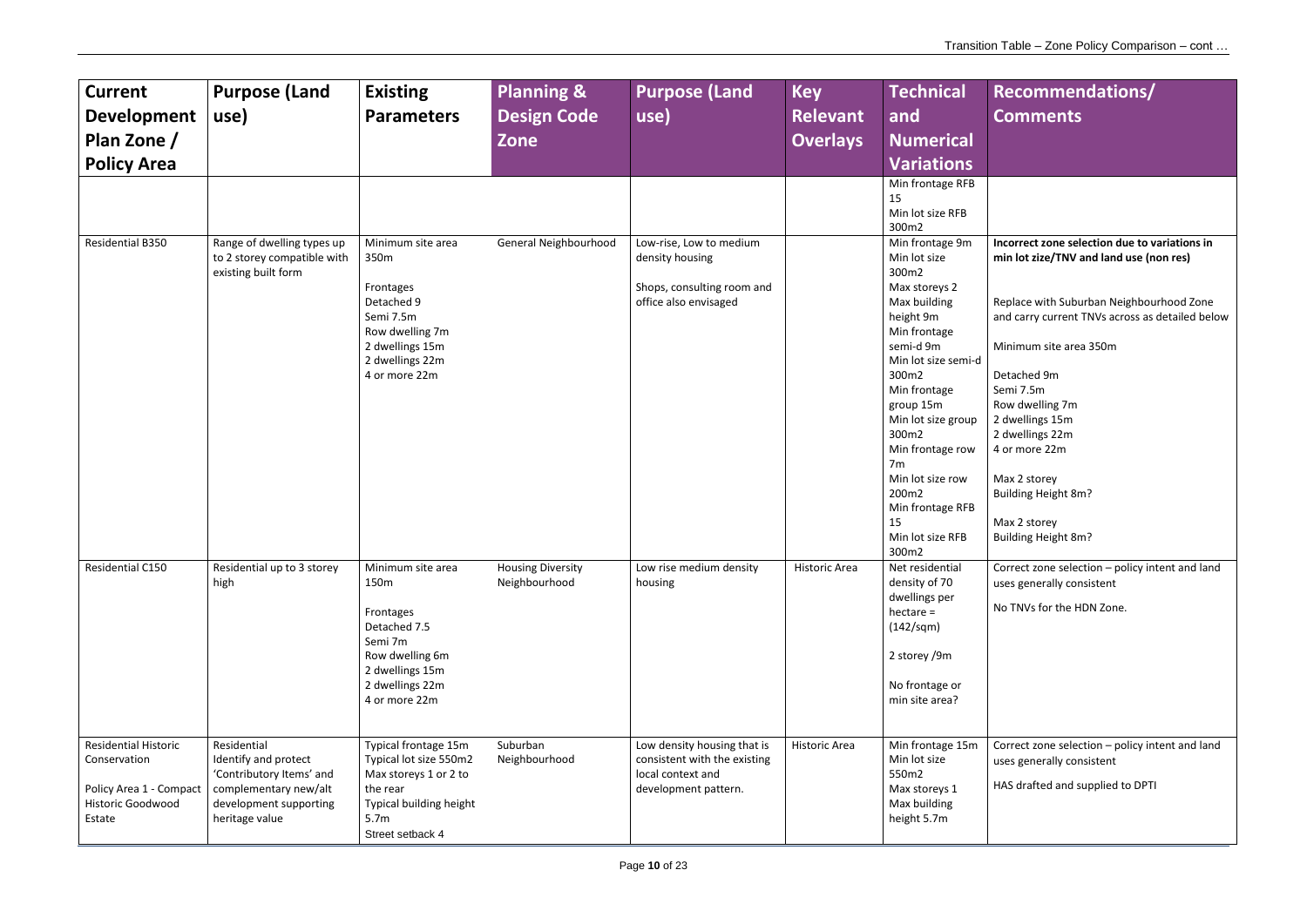| <b>Current</b><br><b>Development</b><br>Plan Zone /<br><b>Policy Area</b>                             | <b>Purpose (Land</b><br>use)                                                                                                         | <b>Existing</b><br><b>Parameters</b>                                                                                                                   | <b>Planning &amp;</b><br><b>Design Code</b><br>Zone | <b>Purpose (Land</b><br>use)                                                                             | <b>Key</b><br><b>Relevant</b><br><b>Overlays</b> | <b>Technical</b><br>and<br><b>Numerical</b><br><b>Variations</b>                                                                                                                                                                                                                                                                                                            |
|-------------------------------------------------------------------------------------------------------|--------------------------------------------------------------------------------------------------------------------------------------|--------------------------------------------------------------------------------------------------------------------------------------------------------|-----------------------------------------------------|----------------------------------------------------------------------------------------------------------|--------------------------------------------------|-----------------------------------------------------------------------------------------------------------------------------------------------------------------------------------------------------------------------------------------------------------------------------------------------------------------------------------------------------------------------------|
| Residential B350                                                                                      | Range of dwelling types up<br>to 2 storey compatible with<br>existing built form                                                     | Minimum site area<br>350m<br>Frontages<br>Detached 9<br>Semi 7.5m<br>Row dwelling 7m<br>2 dwellings 15m<br>2 dwellings 22m<br>4 or more 22m            | General Neighbourhood                               | Low-rise, Low to medium<br>density housing<br>Shops, consulting room and<br>office also envisaged        |                                                  | Min frontage RFB<br>15<br>Min lot size RFB<br>300m2<br>Min frontage 9m<br>Min lot size<br>300m2<br>Max storeys 2<br>Max building<br>height 9m<br>Min frontage<br>semi-d 9m<br>Min lot size semi-d<br>300m2<br>Min frontage<br>group 15m<br>Min lot size group<br>300m2<br>Min frontage row<br>7m<br>Min lot size row<br>200m2<br>Min frontage RFB<br>15<br>Min lot size RFB |
| Residential C150                                                                                      | Residential up to 3 storey<br>high                                                                                                   | Minimum site area<br>150m<br>Frontages<br>Detached 7.5<br>Semi 7m<br>Row dwelling 6m<br>2 dwellings 15m<br>2 dwellings 22m<br>4 or more 22m            | <b>Housing Diversity</b><br>Neighbourhood           | Low rise medium density<br>housing                                                                       | <b>Historic Area</b>                             | 300m2<br>Net residential<br>density of 70<br>dwellings per<br>$h$ ectare =<br>(142/sgm)<br>2 storey /9m<br>No frontage or<br>min site area?                                                                                                                                                                                                                                 |
| <b>Residential Historic</b><br>Conservation<br>Policy Area 1 - Compact<br>Historic Goodwood<br>Estate | Residential<br>Identify and protect<br>'Contributory Items' and<br>complementary new/alt<br>development supporting<br>heritage value | Typical frontage 15m<br>Typical lot size 550m2<br>Max storeys 1 or 2 to<br>the rear<br>Typical building height<br>5.7 <sub>m</sub><br>Street setback 4 | Suburban<br>Neighbourhood                           | Low density housing that is<br>consistent with the existing<br>local context and<br>development pattern. | Historic Area                                    | Min frontage 15m<br>Min lot size<br>550m2<br>Max storeys 1<br>Max building<br>height 5.7m                                                                                                                                                                                                                                                                                   |

| Recommendations/<br><b>Comments</b>                                                                |
|----------------------------------------------------------------------------------------------------|
|                                                                                                    |
|                                                                                                    |
| Incorrect zone selection due to variations in<br>min lot zize/TNV and land use (non res)           |
| Replace with Suburban Neighbourhood Zone<br>and carry current TNVs across as detailed below        |
| Minimum site area 350m                                                                             |
| Detached 9m<br>Semi 7.5m<br>Row dwelling 7m<br>2 dwellings 15m<br>2 dwellings 22m<br>4 or more 22m |
| Max 2 storey<br>Building Height 8m?                                                                |
| Max 2 storey<br>Building Height 8m?                                                                |
| Correct zone selection - policy intent and land<br>uses generally consistent                       |
| No TNVs for the HDN Zone.                                                                          |
|                                                                                                    |
| Correct zone selection - policy intent and land<br>uses generally consistent                       |
| HAS drafted and supplied to DPTI                                                                   |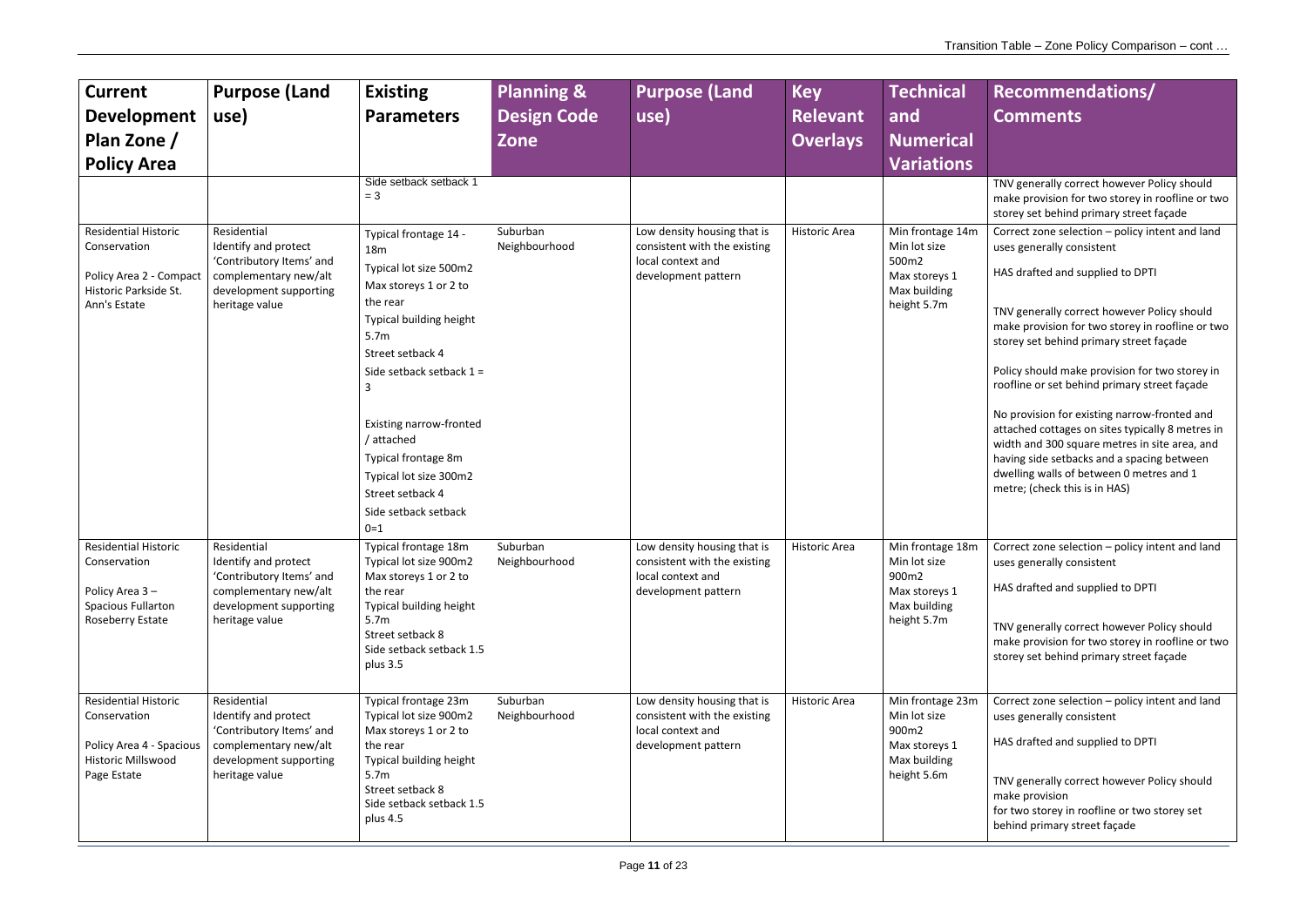TNV generally correct however Policy should make provision for two storey in roofline or two storey set behind primary street façade

Correct zone selection – policy intent and land uses generally consistent

HAS drafted and supplied to DPTI

TNV generally correct however Policy should make provision for two storey in roofline or two storey set behind primary street façade

Policy should make provision for two storey in roofline or set behind primary street façade

| <b>Current</b><br><b>Development</b><br>Plan Zone /<br><b>Policy Area</b>                                           | <b>Purpose (Land</b><br>use)                                                                                                         | <b>Existing</b><br><b>Parameters</b><br>Side setback setback 1<br>$= 3$                                                                                                                                                                                                                                                                              | <b>Planning &amp;</b><br><b>Design Code</b><br><b>Zone</b> | <b>Purpose (Land</b><br>use)                                                                            | <b>Key</b><br><b>Relevant</b><br><b>Overlays</b> | <b>Technical</b><br>and<br><b>Numerical</b><br><b>Variations</b>                          |
|---------------------------------------------------------------------------------------------------------------------|--------------------------------------------------------------------------------------------------------------------------------------|------------------------------------------------------------------------------------------------------------------------------------------------------------------------------------------------------------------------------------------------------------------------------------------------------------------------------------------------------|------------------------------------------------------------|---------------------------------------------------------------------------------------------------------|--------------------------------------------------|-------------------------------------------------------------------------------------------|
| <b>Residential Historic</b><br>Conservation<br>Policy Area 2 - Compact<br>Historic Parkside St.<br>Ann's Estate     | Residential<br>Identify and protect<br>'Contributory Items' and<br>complementary new/alt<br>development supporting<br>heritage value | Typical frontage 14 -<br><b>18m</b><br>Typical lot size 500m2<br>Max storeys 1 or 2 to<br>the rear<br>Typical building height<br>5.7m<br>Street setback 4<br>Side setback setback $1 =$<br>3<br><b>Existing narrow-fronted</b><br>/ attached<br>Typical frontage 8m<br>Typical lot size 300m2<br>Street setback 4<br>Side setback setback<br>$0 = 1$ | Suburban<br>Neighbourhood                                  | Low density housing that is<br>consistent with the existing<br>local context and<br>development pattern | <b>Historic Area</b>                             | Min frontage 14m<br>Min lot size<br>500m2<br>Max storeys 1<br>Max building<br>height 5.7m |
| <b>Residential Historic</b><br>Conservation<br>Policy Area 3-<br><b>Spacious Fullarton</b><br>Roseberry Estate      | Residential<br>Identify and protect<br>'Contributory Items' and<br>complementary new/alt<br>development supporting<br>heritage value | Typical frontage 18m<br>Typical lot size 900m2<br>Max storeys 1 or 2 to<br>the rear<br>Typical building height<br>5.7 <sub>m</sub><br>Street setback 8<br>Side setback setback 1.5<br>plus 3.5                                                                                                                                                       | Suburban<br>Neighbourhood                                  | Low density housing that is<br>consistent with the existing<br>local context and<br>development pattern | Historic Area                                    | Min frontage 18m<br>Min lot size<br>900m2<br>Max storeys 1<br>Max building<br>height 5.7m |
| <b>Residential Historic</b><br>Conservation<br>Policy Area 4 - Spacious<br><b>Historic Millswood</b><br>Page Estate | Residential<br>Identify and protect<br>'Contributory Items' and<br>complementary new/alt<br>development supporting<br>heritage value | Typical frontage 23m<br>Typical lot size 900m2<br>Max storeys 1 or 2 to<br>the rear<br>Typical building height<br>5.7 <sub>m</sub><br>Street setback 8<br>Side setback setback 1.5<br>plus 4.5                                                                                                                                                       | Suburban<br>Neighbourhood                                  | Low density housing that is<br>consistent with the existing<br>local context and<br>development pattern | Historic Area                                    | Min frontage 23m<br>Min lot size<br>900m2<br>Max storeys 1<br>Max building<br>height 5.6m |

No provision for existing narrow-fronted and attached cottages on sites typically 8 metres in width and 300 square metres in site area, and having side setbacks and a spacing between dwelling walls of between 0 metres and 1 metre; (check this is in HAS)

Correct zone selection – policy intent and land uses generally consistent

HAS drafted and supplied to DPTI

TNV generally correct however Policy should make provision for two storey in roofline or two storey set behind primary street façade

Correct zone selection – policy intent and land uses generally consistent

HAS drafted and supplied to DPTI

TNV generally correct however Policy should make provision for two storey in roofline or two storey set behind primary street façade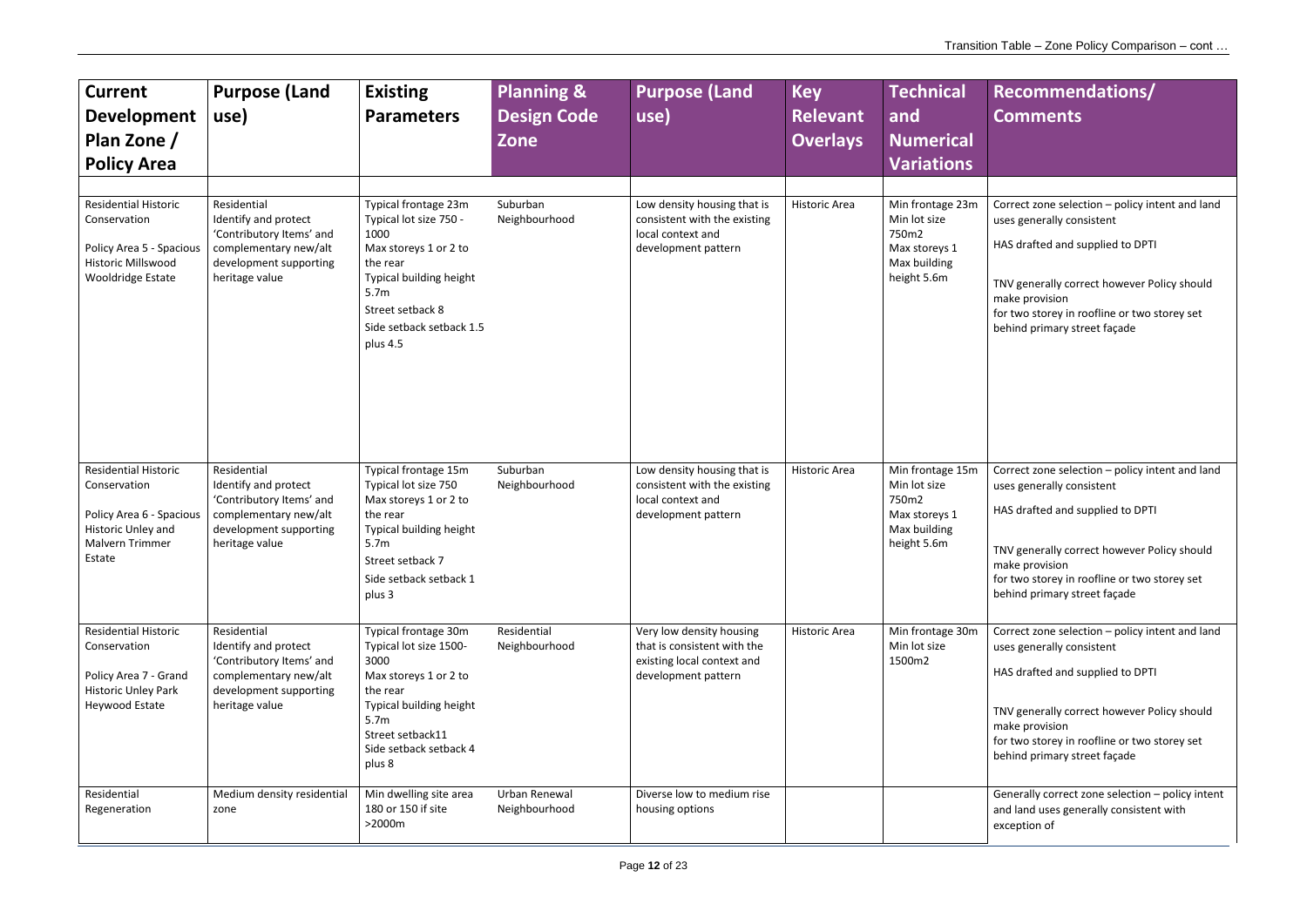| <b>Current</b><br><b>Development</b><br>Plan Zone /<br><b>Policy Area</b>                                                  | <b>Purpose (Land</b><br>use)                                                                                                         | <b>Existing</b><br><b>Parameters</b>                                                                                                                                                                   | <b>Planning &amp;</b><br><b>Design Code</b><br><b>Zone</b> | <b>Purpose (Land</b><br>use)                                                                                 | <b>Key</b><br><b>Relevant</b><br><b>Overlays</b> | <b>Technical</b><br>and<br><b>Numerical</b><br><b>Variations</b>                          |
|----------------------------------------------------------------------------------------------------------------------------|--------------------------------------------------------------------------------------------------------------------------------------|--------------------------------------------------------------------------------------------------------------------------------------------------------------------------------------------------------|------------------------------------------------------------|--------------------------------------------------------------------------------------------------------------|--------------------------------------------------|-------------------------------------------------------------------------------------------|
| <b>Residential Historic</b><br>Conservation<br>Policy Area 5 - Spacious<br>Historic Millswood<br>Wooldridge Estate         | Residential<br>Identify and protect<br>'Contributory Items' and<br>complementary new/alt<br>development supporting<br>heritage value | Typical frontage 23m<br>Typical lot size 750 -<br>1000<br>Max storeys 1 or 2 to<br>the rear<br>Typical building height<br>5.7 <sub>m</sub><br>Street setback 8<br>Side setback setback 1.5<br>plus 4.5 | Suburban<br>Neighbourhood                                  | Low density housing that is<br>consistent with the existing<br>local context and<br>development pattern      | Historic Area                                    | Min frontage 23m<br>Min lot size<br>750m2<br>Max storeys 1<br>Max building<br>height 5.6m |
| <b>Residential Historic</b><br>Conservation<br>Policy Area 6 - Spacious<br>Historic Unley and<br>Malvern Trimmer<br>Estate | Residential<br>Identify and protect<br>'Contributory Items' and<br>complementary new/alt<br>development supporting<br>heritage value | Typical frontage 15m<br>Typical lot size 750<br>Max storeys 1 or 2 to<br>the rear<br>Typical building height<br>5.7 <sub>m</sub><br>Street setback 7<br>Side setback setback 1<br>plus 3               | Suburban<br>Neighbourhood                                  | Low density housing that is<br>consistent with the existing<br>local context and<br>development pattern      | <b>Historic Area</b>                             | Min frontage 15m<br>Min lot size<br>750m2<br>Max storeys 1<br>Max building<br>height 5.6m |
| <b>Residential Historic</b><br>Conservation<br>Policy Area 7 - Grand<br><b>Historic Unley Park</b><br>Heywood Estate       | Residential<br>Identify and protect<br>'Contributory Items' and<br>complementary new/alt<br>development supporting<br>heritage value | Typical frontage 30m<br>Typical lot size 1500-<br>3000<br>Max storeys 1 or 2 to<br>the rear<br>Typical building height<br>5.7 <sub>m</sub><br>Street setback11<br>Side setback setback 4<br>plus 8     | Residential<br>Neighbourhood                               | Very low density housing<br>that is consistent with the<br>existing local context and<br>development pattern | <b>Historic Area</b>                             | Min frontage 30m<br>Min lot size<br>1500m2                                                |
| Residential<br>Regeneration                                                                                                | Medium density residential<br>zone                                                                                                   | Min dwelling site area<br>180 or 150 if site<br>>2000m                                                                                                                                                 | Urban Renewal<br>Neighbourhood                             | Diverse low to medium rise<br>housing options                                                                |                                                  |                                                                                           |

| Recommendations/<br><b>Comments</b>                                                                                                           |
|-----------------------------------------------------------------------------------------------------------------------------------------------|
|                                                                                                                                               |
| Correct zone selection - policy intent and land<br>uses generally consistent                                                                  |
| HAS drafted and supplied to DPTI                                                                                                              |
| TNV generally correct however Policy should<br>make provision<br>for two storey in roofline or two storey set<br>behind primary street façade |
|                                                                                                                                               |
| Correct zone selection - policy intent and land<br>uses generally consistent                                                                  |
| HAS drafted and supplied to DPTI                                                                                                              |
| TNV generally correct however Policy should<br>make provision<br>for two storey in roofline or two storey set<br>behind primary street façade |
| Correct zone selection - policy intent and land<br>uses generally consistent                                                                  |
| HAS drafted and supplied to DPTI                                                                                                              |
| TNV generally correct however Policy should<br>make provision<br>for two storey in roofline or two storey set<br>behind primary street façade |
| Generally correct zone selection - policy intent<br>and land uses generally consistent with<br>exception of                                   |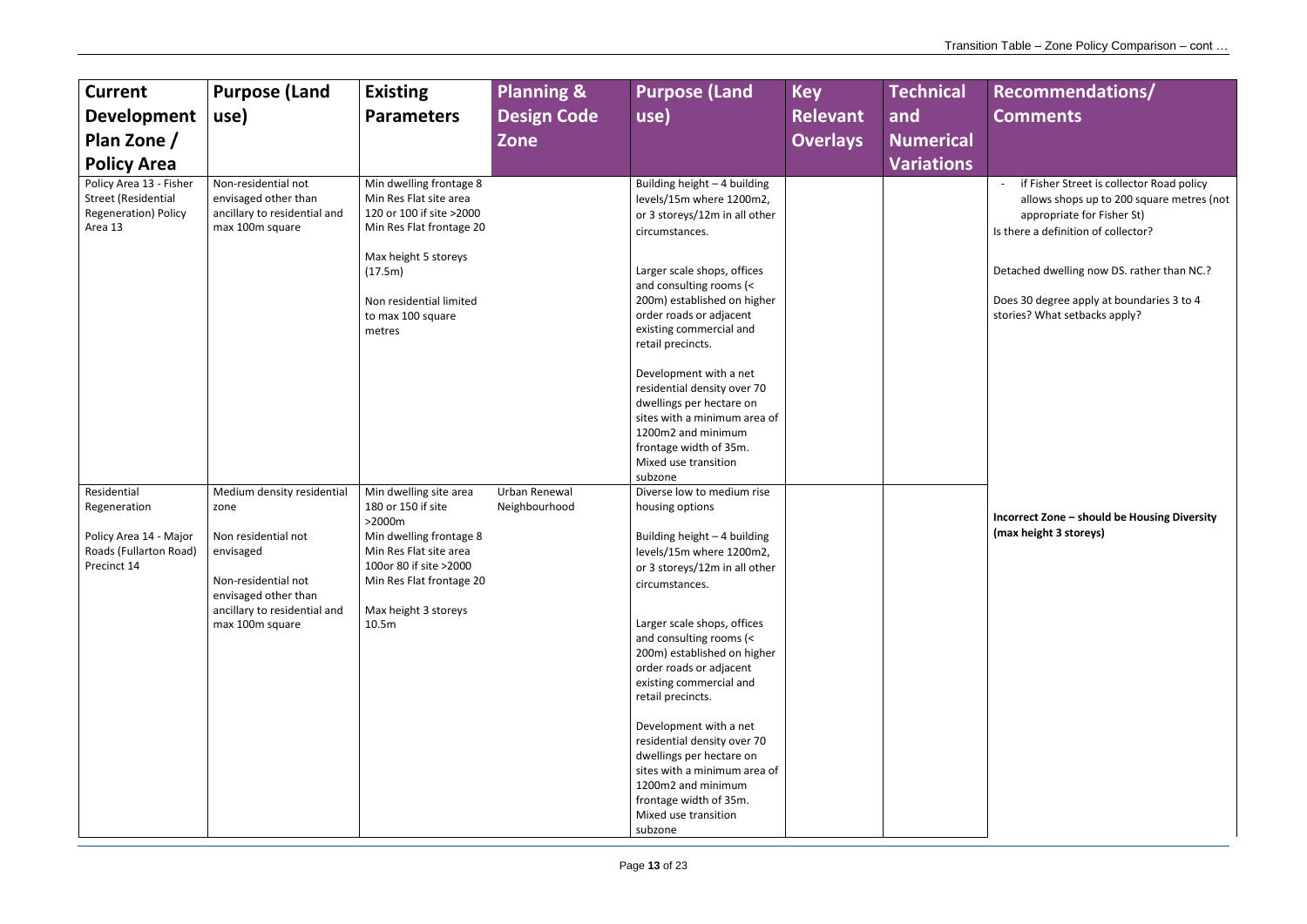| <b>Current</b><br><b>Development</b><br>Plan Zone /<br><b>Policy Area</b>                       | <b>Purpose (Land</b><br>use)                                                                                                                                             | <b>Existing</b><br><b>Parameters</b>                                                                                                                                                                   | <b>Planning &amp;</b><br><b>Design Code</b><br>Zone | <b>Purpose (Land</b><br>use)                                                                                                                                                                                                                                                                                                                                                                                                                                                                                                                        | <b>Key</b><br><b>Relevant</b><br><b>Overlays</b> | <b>Technical</b><br>and<br><b>Numerical</b><br><b>Variations</b> |
|-------------------------------------------------------------------------------------------------|--------------------------------------------------------------------------------------------------------------------------------------------------------------------------|--------------------------------------------------------------------------------------------------------------------------------------------------------------------------------------------------------|-----------------------------------------------------|-----------------------------------------------------------------------------------------------------------------------------------------------------------------------------------------------------------------------------------------------------------------------------------------------------------------------------------------------------------------------------------------------------------------------------------------------------------------------------------------------------------------------------------------------------|--------------------------------------------------|------------------------------------------------------------------|
| Policy Area 13 - Fisher<br><b>Street (Residential</b><br><b>Regeneration) Policy</b><br>Area 13 | Non-residential not<br>envisaged other than<br>ancillary to residential and<br>max 100m square                                                                           | Min dwelling frontage 8<br>Min Res Flat site area<br>120 or 100 if site >2000<br>Min Res Flat frontage 20<br>Max height 5 storeys<br>(17.5m)<br>Non residential limited<br>to max 100 square<br>metres |                                                     | Building height - 4 building<br>levels/15m where 1200m2,<br>or 3 storeys/12m in all other<br>circumstances.<br>Larger scale shops, offices<br>and consulting rooms (<<br>200m) established on higher<br>order roads or adjacent<br>existing commercial and<br>retail precincts.<br>Development with a net<br>residential density over 70<br>dwellings per hectare on<br>sites with a minimum area of<br>1200m2 and minimum<br>frontage width of 35m.<br>Mixed use transition                                                                        |                                                  |                                                                  |
| Residential<br>Regeneration<br>Policy Area 14 - Major<br>Roads (Fullarton Road)<br>Precinct 14  | Medium density residential<br>zone<br>Non residential not<br>envisaged<br>Non-residential not<br>envisaged other than<br>ancillary to residential and<br>max 100m square | Min dwelling site area<br>180 or 150 if site<br>>2000m<br>Min dwelling frontage 8<br>Min Res Flat site area<br>100or 80 if site > 2000<br>Min Res Flat frontage 20<br>Max height 3 storeys<br>10.5m    | Urban Renewal<br>Neighbourhood                      | subzone<br>Diverse low to medium rise<br>housing options<br>Building height - 4 building<br>levels/15m where 1200m2,<br>or 3 storeys/12m in all other<br>circumstances.<br>Larger scale shops, offices<br>and consulting rooms (<<br>200m) established on higher<br>order roads or adjacent<br>existing commercial and<br>retail precincts.<br>Development with a net<br>residential density over 70<br>dwellings per hectare on<br>sites with a minimum area of<br>1200m2 and minimum<br>frontage width of 35m.<br>Mixed use transition<br>subzone |                                                  |                                                                  |

- if Fisher Street is collector Road policy allows shops up to 200 square metres (not appropriate for Fisher St) Is there a definition of collector?
- Detached dwelling now DS. rather than NC.?
- Does 30 degree apply at boundaries 3 to 4 stories? What setbacks apply?

**Incorrect Zone – should be Housing Diversity (max height 3 storeys)**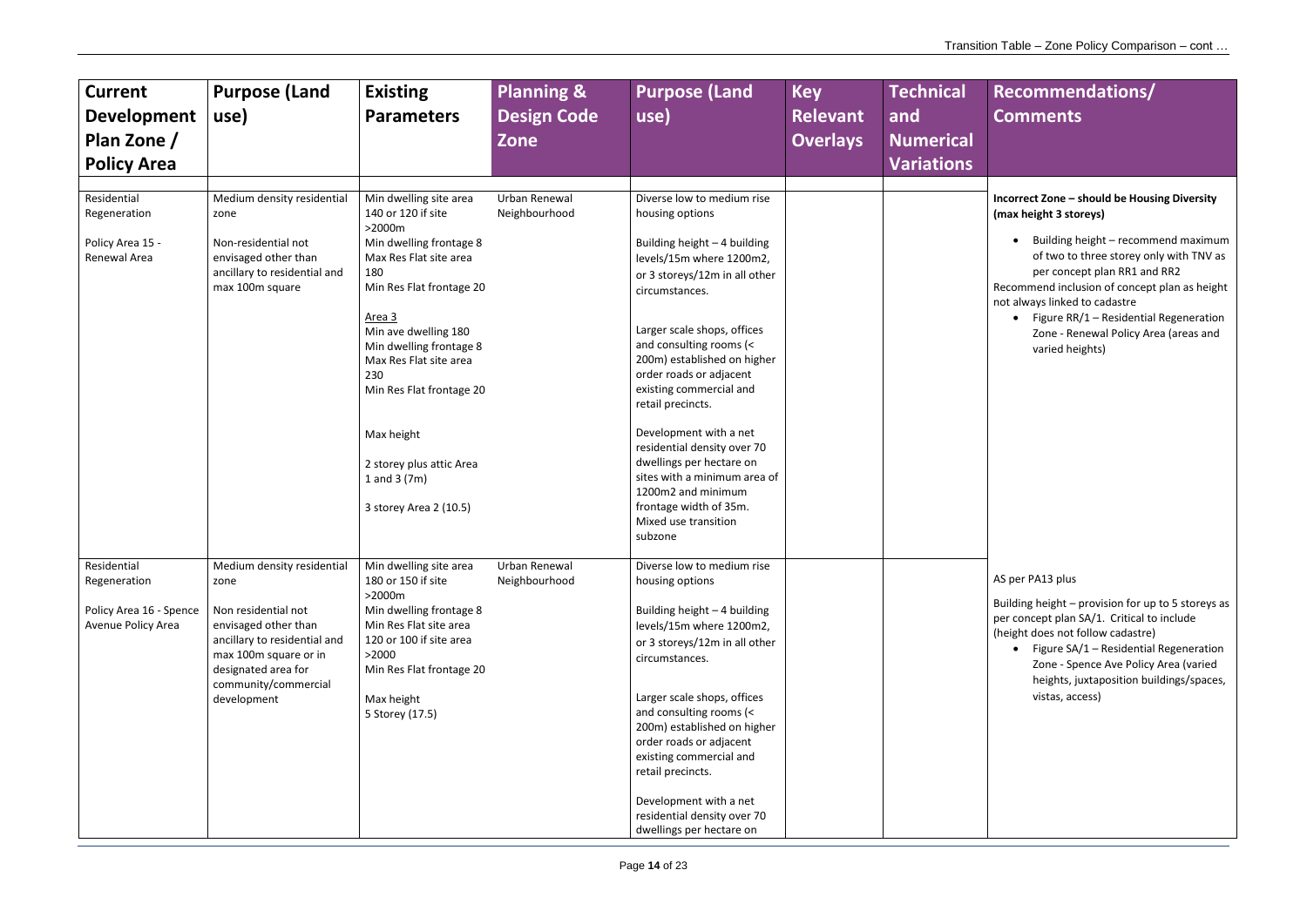| <b>Current</b><br><b>Development</b><br>Plan Zone /<br><b>Policy Area</b>    | <b>Purpose (Land</b><br>use)                                                                                                                                                                             | <b>Existing</b><br><b>Parameters</b>                                                                                                                                                                           | <b>Planning &amp;</b><br><b>Design Code</b><br>Zone | <b>Purpose (Land</b><br>use)                                                                                                                                                                                                                                                                                                                                                                                          | <b>Key</b><br><b>Relevant</b><br><b>Overlays</b> | <b>Technical</b><br>and<br><b>Numerical</b><br><b>Variations</b> |
|------------------------------------------------------------------------------|----------------------------------------------------------------------------------------------------------------------------------------------------------------------------------------------------------|----------------------------------------------------------------------------------------------------------------------------------------------------------------------------------------------------------------|-----------------------------------------------------|-----------------------------------------------------------------------------------------------------------------------------------------------------------------------------------------------------------------------------------------------------------------------------------------------------------------------------------------------------------------------------------------------------------------------|--------------------------------------------------|------------------------------------------------------------------|
|                                                                              |                                                                                                                                                                                                          |                                                                                                                                                                                                                |                                                     |                                                                                                                                                                                                                                                                                                                                                                                                                       |                                                  |                                                                  |
| Residential<br>Regeneration                                                  | Medium density residential<br>zone                                                                                                                                                                       | Min dwelling site area<br>140 or 120 if site<br>$>2000m$                                                                                                                                                       | Urban Renewal<br>Neighbourhood                      | Diverse low to medium rise<br>housing options                                                                                                                                                                                                                                                                                                                                                                         |                                                  |                                                                  |
| Policy Area 15 -<br>Renewal Area                                             | Non-residential not<br>envisaged other than<br>ancillary to residential and<br>max 100m square                                                                                                           | Min dwelling frontage 8<br>Max Res Flat site area<br>180<br>Min Res Flat frontage 20                                                                                                                           |                                                     | Building height - 4 building<br>levels/15m where 1200m2,<br>or 3 storeys/12m in all other<br>circumstances.                                                                                                                                                                                                                                                                                                           |                                                  |                                                                  |
|                                                                              |                                                                                                                                                                                                          | Area 3<br>Min ave dwelling 180<br>Min dwelling frontage 8<br>Max Res Flat site area<br>230<br>Min Res Flat frontage 20                                                                                         |                                                     | Larger scale shops, offices<br>and consulting rooms (<<br>200m) established on higher<br>order roads or adjacent<br>existing commercial and<br>retail precincts.                                                                                                                                                                                                                                                      |                                                  |                                                                  |
|                                                                              |                                                                                                                                                                                                          | Max height<br>2 storey plus attic Area<br>1 and 3 $(7m)$<br>3 storey Area 2 (10.5)                                                                                                                             |                                                     | Development with a net<br>residential density over 70<br>dwellings per hectare on<br>sites with a minimum area of<br>1200m2 and minimum<br>frontage width of 35m.<br>Mixed use transition<br>subzone                                                                                                                                                                                                                  |                                                  |                                                                  |
| Residential<br>Regeneration<br>Policy Area 16 - Spence<br>Avenue Policy Area | Medium density residential<br>zone<br>Non residential not<br>envisaged other than<br>ancillary to residential and<br>max 100m square or in<br>designated area for<br>community/commercial<br>development | Min dwelling site area<br>180 or 150 if site<br>$>2000m$<br>Min dwelling frontage 8<br>Min Res Flat site area<br>120 or 100 if site area<br>>2000<br>Min Res Flat frontage 20<br>Max height<br>5 Storey (17.5) | Urban Renewal<br>Neighbourhood                      | Diverse low to medium rise<br>housing options<br>Building height - 4 building<br>levels/15m where 1200m2,<br>or 3 storeys/12m in all other<br>circumstances.<br>Larger scale shops, offices<br>and consulting rooms (<<br>200m) established on higher<br>order roads or adjacent<br>existing commercial and<br>retail precincts.<br>Development with a net<br>residential density over 70<br>dwellings per hectare on |                                                  |                                                                  |

**Incorrect Zone – should be Housing Diversity (max height 3 storeys)** 

• Building height – recommend maximum of two to three storey only with TNV as per concept plan RR1 and RR2

Recommend inclusion of concept plan as height not always linked to cadastre

• Figure RR/1 – Residential Regeneration Zone - Renewal Policy Area (areas and varied heights)

AS per PA13 plus

Building height – provision for up to 5 storeys as per concept plan SA/1. Critical to include (height does not follow cadastre)

• Figure SA/1 – Residential Regeneration Zone - Spence Ave Policy Area (varied heights, juxtaposition buildings/spaces, vistas, access)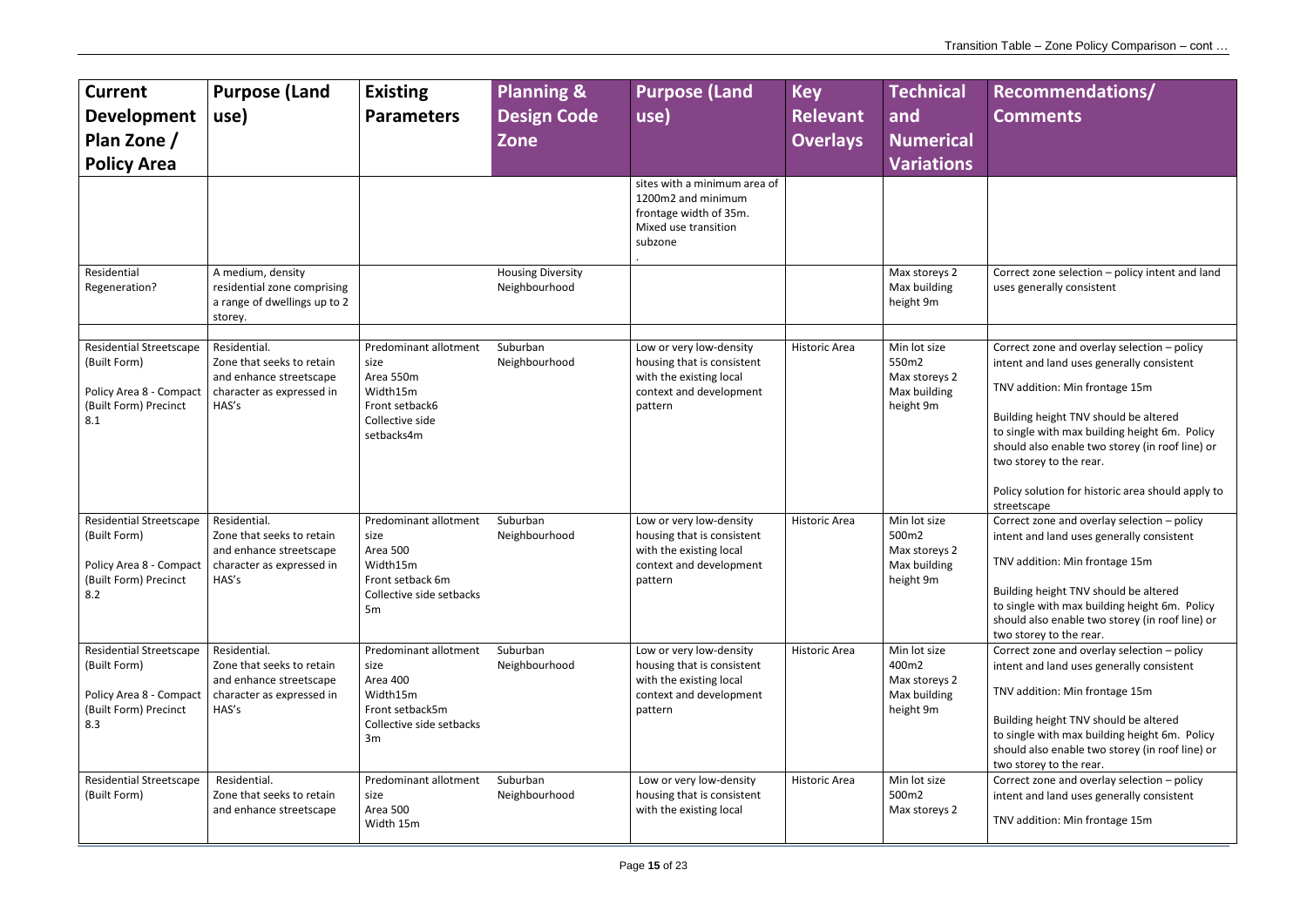| <b>Current</b><br><b>Development</b><br>Plan Zone /<br><b>Policy Area</b>                                 | <b>Purpose (Land</b><br>use)                                                                                                         | <b>Existing</b><br><b>Parameters</b>                                                                                    | <b>Planning &amp;</b><br><b>Design Code</b><br><b>Zone</b> | <b>Purpose (Land</b><br>use)<br>sites with a minimum area of                                                           | <b>Key</b><br><b>Relevant</b><br><b>Overlays</b> | <b>Technical</b><br>and<br><b>Numerical</b><br><b>Variations</b>    |
|-----------------------------------------------------------------------------------------------------------|--------------------------------------------------------------------------------------------------------------------------------------|-------------------------------------------------------------------------------------------------------------------------|------------------------------------------------------------|------------------------------------------------------------------------------------------------------------------------|--------------------------------------------------|---------------------------------------------------------------------|
|                                                                                                           |                                                                                                                                      |                                                                                                                         |                                                            | 1200m2 and minimum<br>frontage width of 35m.<br>Mixed use transition<br>subzone                                        |                                                  |                                                                     |
| Residential<br>Regeneration?                                                                              | A medium, density<br>residential zone comprising<br>a range of dwellings up to 2<br>storey.                                          |                                                                                                                         | <b>Housing Diversity</b><br>Neighbourhood                  |                                                                                                                        |                                                  | Max storeys 2<br>Max building<br>height 9m                          |
| <b>Residential Streetscape</b><br>(Built Form)<br>Policy Area 8 - Compact<br>(Built Form) Precinct<br>8.1 | Residential.<br>Zone that seeks to retain<br>and enhance streetscape<br>character as expressed in<br>HAS's                           | Predominant allotment<br>size<br>Area 550m<br>Width15m<br>Front setback6<br>Collective side<br>setbacks4m               | Suburban<br>Neighbourhood                                  | Low or very low-density<br>housing that is consistent<br>with the existing local<br>context and development<br>pattern | Historic Area                                    | Min lot size<br>550m2<br>Max storeys 2<br>Max building<br>height 9m |
| <b>Residential Streetscape</b><br>(Built Form)<br>(Built Form) Precinct<br>8.2                            | Residential.<br>Zone that seeks to retain<br>and enhance streetscape<br>Policy Area 8 - Compact   character as expressed in<br>HAS's | Predominant allotment<br>size<br>Area 500<br>Width15m<br>Front setback 6m<br>Collective side setbacks<br>5 <sub>m</sub> | Suburban<br>Neighbourhood                                  | Low or very low-density<br>housing that is consistent<br>with the existing local<br>context and development<br>pattern | <b>Historic Area</b>                             | Min lot size<br>500m2<br>Max storeys 2<br>Max building<br>height 9m |
| <b>Residential Streetscape</b><br>(Built Form)<br>Policy Area 8 - Compact<br>(Built Form) Precinct<br>8.3 | Residential.<br>Zone that seeks to retain<br>and enhance streetscape<br>character as expressed in<br>HAS's                           | Predominant allotment<br>size<br>Area 400<br>Width15m<br>Front setback5m<br>Collective side setbacks<br>3m              | Suburban<br>Neighbourhood                                  | Low or very low-density<br>housing that is consistent<br>with the existing local<br>context and development<br>pattern | <b>Historic Area</b>                             | Min lot size<br>400m2<br>Max storeys 2<br>Max building<br>height 9m |
| <b>Residential Streetscape</b><br>(Built Form)                                                            | Residential.<br>Zone that seeks to retain<br>and enhance streetscape                                                                 | Predominant allotment<br>size<br>Area 500<br>Width 15m                                                                  | Suburban<br>Neighbourhood                                  | Low or very low-density<br>housing that is consistent<br>with the existing local                                       | Historic Area                                    | Min lot size<br>500m2<br>Max storeys 2                              |

| <b>Recommendations/</b><br><b>Comments</b>                                                                                                                           |
|----------------------------------------------------------------------------------------------------------------------------------------------------------------------|
|                                                                                                                                                                      |
| Correct zone selection - policy intent and land<br>uses generally consistent                                                                                         |
|                                                                                                                                                                      |
| Correct zone and overlay selection - policy<br>intent and land uses generally consistent                                                                             |
| TNV addition: Min frontage 15m                                                                                                                                       |
| Building height TNV should be altered<br>to single with max building height 6m. Policy<br>should also enable two storey (in roof line) or<br>two storey to the rear. |
| Policy solution for historic area should apply to<br>streetscape                                                                                                     |
| Correct zone and overlay selection - policy                                                                                                                          |
| intent and land uses generally consistent                                                                                                                            |
| TNV addition: Min frontage 15m                                                                                                                                       |
| Building height TNV should be altered<br>to single with max building height 6m. Policy<br>should also enable two storey (in roof line) or<br>two storey to the rear. |
| Correct zone and overlay selection - policy                                                                                                                          |
| intent and land uses generally consistent                                                                                                                            |
| TNV addition: Min frontage 15m                                                                                                                                       |
| Building height TNV should be altered<br>to single with max building height 6m. Policy<br>should also enable two storey (in roof line) or<br>two storey to the rear. |
| Correct zone and overlay selection - policy<br>intent and land uses generally consistent                                                                             |
| TNV addition: Min frontage 15m                                                                                                                                       |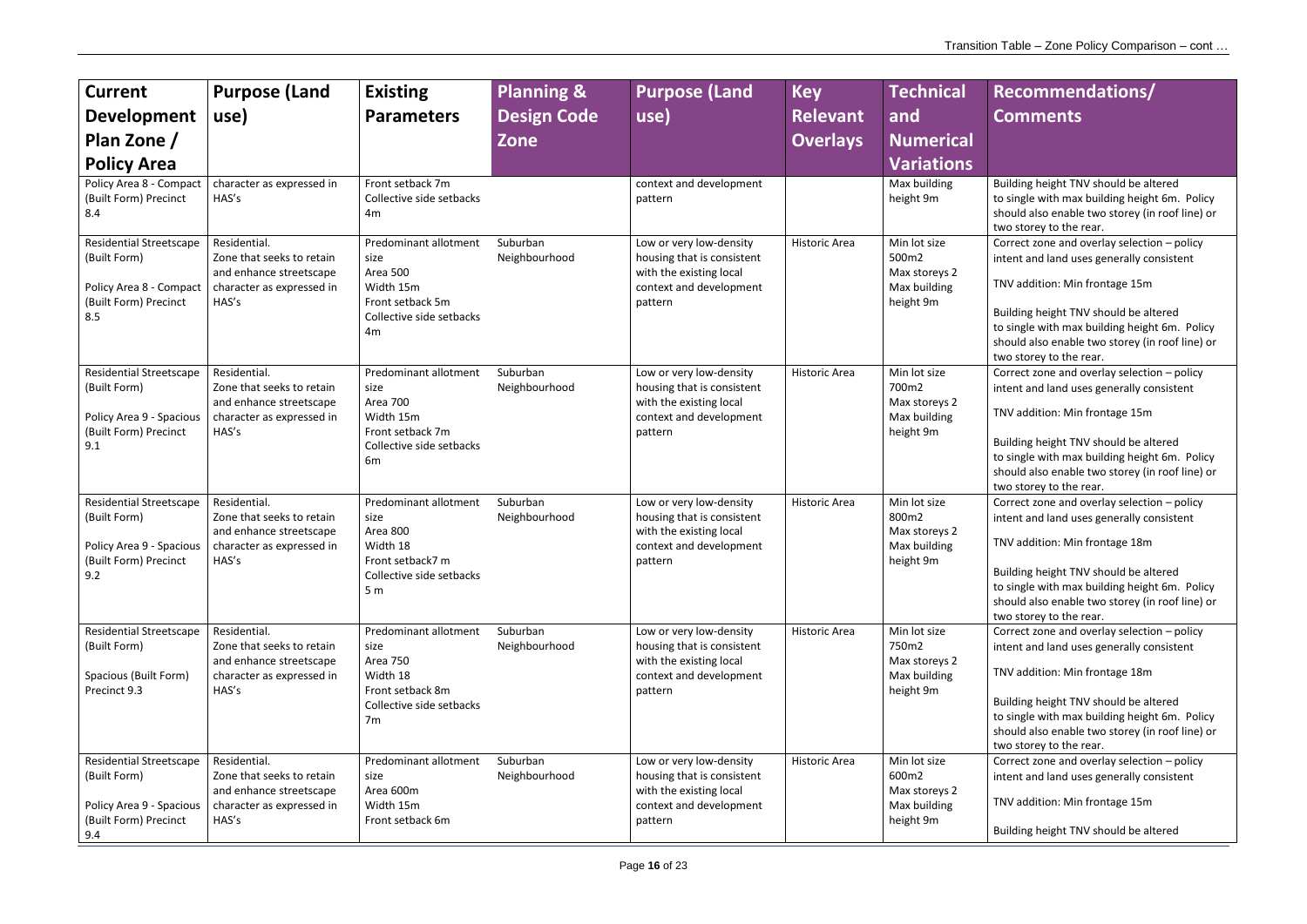| <b>Current</b><br><b>Development</b><br>Plan Zone /<br><b>Policy Area</b><br>Policy Area 8 - Compact<br>(Built Form) Precinct<br>8.4<br><b>Residential Streetscape</b><br>(Built Form)<br>Policy Area 8 - Compact<br>(Built Form) Precinct<br>8.5 | <b>Purpose (Land</b><br>use)<br>character as expressed in<br>HAS's<br>Residential.<br>Zone that seeks to retain<br>and enhance streetscape<br>character as expressed in<br>HAS's | <b>Existing</b><br><b>Parameters</b><br>Front setback 7m<br>Collective side setbacks<br>4m<br>Predominant allotment<br>size<br>Area 500<br>Width 15m<br>Front setback 5m<br>Collective side setbacks | <b>Planning &amp;</b><br><b>Design Code</b><br><b>Zone</b><br>Suburban<br>Neighbourhood | <b>Purpose (Land</b><br>use)<br>context and development<br>pattern<br>Low or very low-density<br>housing that is consistent<br>with the existing local<br>context and development<br>pattern | <b>Key</b><br><b>Relevant</b><br><b>Overlays</b><br><b>Historic Area</b> | <b>Technical</b><br>and<br><b>Numerical</b><br><b>Variations</b><br>Max building<br>height 9m<br>Min lot size<br>500m2<br>Max storeys 2<br>Max building<br>height 9m |
|---------------------------------------------------------------------------------------------------------------------------------------------------------------------------------------------------------------------------------------------------|----------------------------------------------------------------------------------------------------------------------------------------------------------------------------------|------------------------------------------------------------------------------------------------------------------------------------------------------------------------------------------------------|-----------------------------------------------------------------------------------------|----------------------------------------------------------------------------------------------------------------------------------------------------------------------------------------------|--------------------------------------------------------------------------|----------------------------------------------------------------------------------------------------------------------------------------------------------------------|
| <b>Residential Streetscape</b><br>(Built Form)<br>Policy Area 9 - Spacious<br>(Built Form) Precinct<br>9.1                                                                                                                                        | Residential.<br>Zone that seeks to retain<br>and enhance streetscape<br>character as expressed in<br>HAS's                                                                       | 4m<br>Predominant allotment<br>size<br><b>Area 700</b><br>Width 15m<br>Front setback 7m<br>Collective side setbacks<br>6m                                                                            | Suburban<br>Neighbourhood                                                               | Low or very low-density<br>housing that is consistent<br>with the existing local<br>context and development<br>pattern                                                                       | <b>Historic Area</b>                                                     | Min lot size<br>700m2<br>Max storeys 2<br>Max building<br>height 9m                                                                                                  |
| <b>Residential Streetscape</b><br>(Built Form)<br>Policy Area 9 - Spacious<br>(Built Form) Precinct<br>9.2                                                                                                                                        | Residential.<br>Zone that seeks to retain<br>and enhance streetscape<br>character as expressed in<br>HAS's                                                                       | Predominant allotment<br>size<br>Area 800<br>Width 18<br>Front setback7 m<br>Collective side setbacks<br>5 <sub>m</sub>                                                                              | Suburban<br>Neighbourhood                                                               | Low or very low-density<br>housing that is consistent<br>with the existing local<br>context and development<br>pattern                                                                       | <b>Historic Area</b>                                                     | Min lot size<br>800m2<br>Max storeys 2<br>Max building<br>height 9m                                                                                                  |
| <b>Residential Streetscape</b><br>(Built Form)<br>Spacious (Built Form)<br>Precinct 9.3                                                                                                                                                           | Residential.<br>Zone that seeks to retain<br>and enhance streetscape<br>character as expressed in<br>HAS's                                                                       | Predominant allotment<br>size<br><b>Area 750</b><br>Width 18<br>Front setback 8m<br>Collective side setbacks<br>7m                                                                                   | Suburban<br>Neighbourhood                                                               | Low or very low-density<br>housing that is consistent<br>with the existing local<br>context and development<br>pattern                                                                       | <b>Historic Area</b>                                                     | Min lot size<br>750m2<br>Max storeys 2<br>Max building<br>height 9m                                                                                                  |
| <b>Residential Streetscape</b><br>(Built Form)<br>Policy Area 9 - Spacious<br>(Built Form) Precinct<br>9.4                                                                                                                                        | Residential.<br>Zone that seeks to retain<br>and enhance streetscape<br>character as expressed in<br>HAS's                                                                       | Predominant allotment<br>size<br>Area 600m<br>Width 15m<br>Front setback 6m                                                                                                                          | Suburban<br>Neighbourhood                                                               | Low or very low-density<br>housing that is consistent<br>with the existing local<br>context and development<br>pattern                                                                       | <b>Historic Area</b>                                                     | Min lot size<br>600m2<br>Max storeys 2<br>Max building<br>height 9m                                                                                                  |

- Building height TNV should be altered to single with max building height 6m. Policy should also enable two storey (in roof line) or two storey to the rear.
- Correct zone and overlay selection policy intent and land uses generally consistent
- TNV addition: Min frontage 15m
- Building height TNV should be altered to single with max building height 6m. Policy should also enable two storey (in roof line) or two storey to the rear.
- Correct zone and overlay selection policy intent and land uses generally consistent
- TNV addition: Min frontage 15m
- Building height TNV should be altered to single with max building height 6m. Policy should also enable two storey (in roof line) or two storey to the rear.
- Correct zone and overlay selection policy intent and land uses generally consistent
- TNV addition: Min frontage 18m
- Building height TNV should be altered to single with max building height 6m. Policy should also enable two storey (in roof line) or two storey to the rear.
- Correct zone and overlay selection policy intent and land uses generally consistent
- TNV addition: Min frontage 18m
- Building height TNV should be altered to single with max building height 6m. Policy should also enable two storey (in roof line) or two storey to the rear.
- Correct zone and overlay selection policy intent and land uses generally consistent
- TNV addition: Min frontage 15m
- Building height TNV should be altered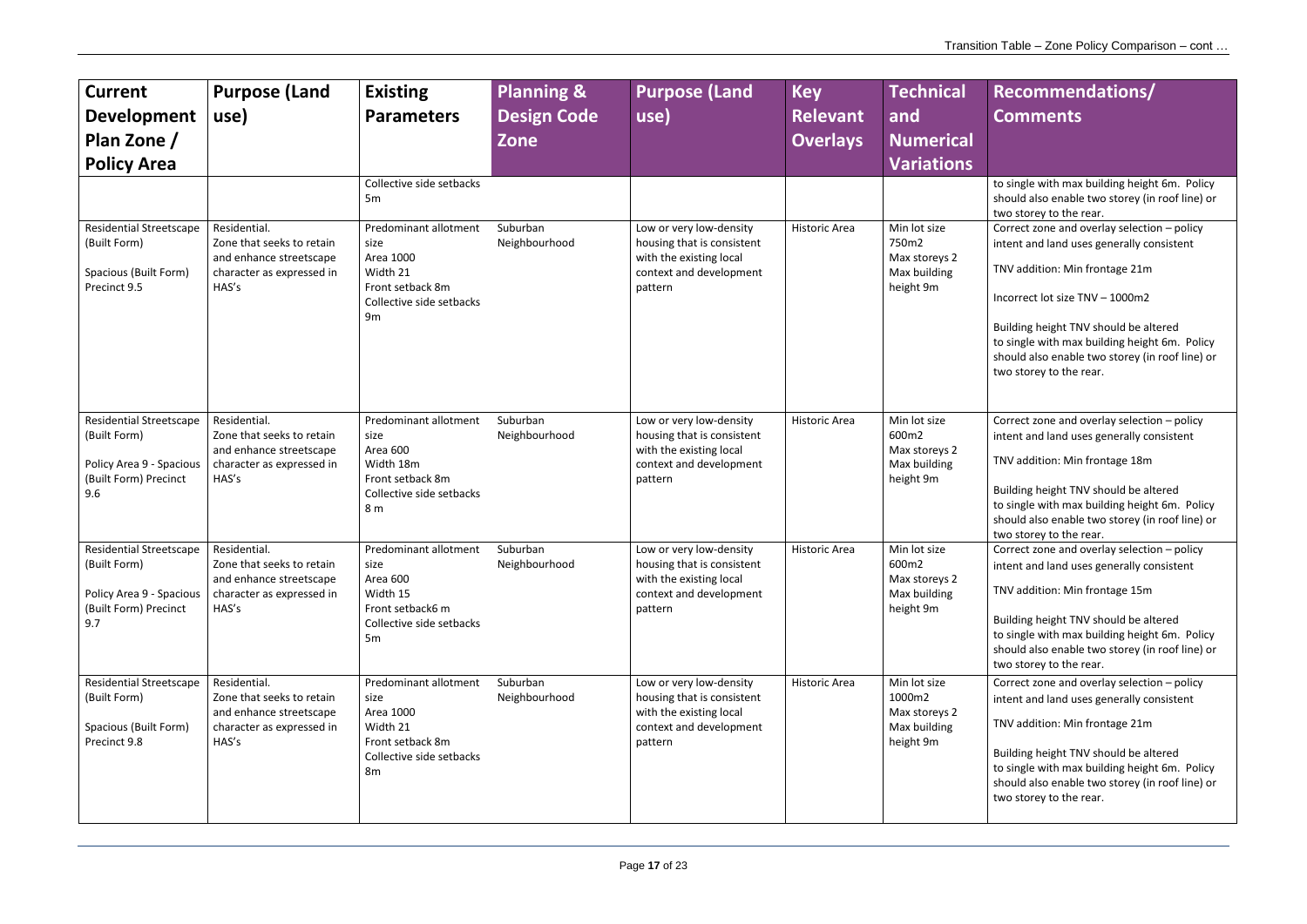- 
- 
- 
- 
- 
- 
- 
- 
- 
- 
- 
- 
- 

| <b>Current</b><br><b>Development</b><br>Plan Zone /<br><b>Policy Area</b>                                  | <b>Purpose (Land</b><br>use)                                                                               | <b>Existing</b><br><b>Parameters</b><br>Collective side setbacks                                                               | <b>Planning &amp;</b><br><b>Design Code</b><br><b>Zone</b> | <b>Purpose (Land</b><br>use)                                                                                           | <b>Key</b><br><b>Relevant</b><br><b>Overlays</b> | <b>Technical</b><br>land<br><b>Numerical</b><br><b>Variations</b>    | Recommendations/<br><b>Comments</b><br>to single with max building height 6m. Policy                                                                                                                                                                                                                                                                                                                                |
|------------------------------------------------------------------------------------------------------------|------------------------------------------------------------------------------------------------------------|--------------------------------------------------------------------------------------------------------------------------------|------------------------------------------------------------|------------------------------------------------------------------------------------------------------------------------|--------------------------------------------------|----------------------------------------------------------------------|---------------------------------------------------------------------------------------------------------------------------------------------------------------------------------------------------------------------------------------------------------------------------------------------------------------------------------------------------------------------------------------------------------------------|
| <b>Residential Streetscape</b><br>(Built Form)<br>Spacious (Built Form)<br>Precinct 9.5                    | Residential.<br>Zone that seeks to retain<br>and enhance streetscape<br>character as expressed in<br>HAS's | 5 <sub>m</sub><br>Predominant allotment<br>size<br>Area 1000<br>Width 21<br>Front setback 8m<br>Collective side setbacks<br>9m | Suburban<br>Neighbourhood                                  | Low or very low-density<br>housing that is consistent<br>with the existing local<br>context and development<br>pattern | <b>Historic Area</b>                             | Min lot size<br>750m2<br>Max storeys 2<br>Max building<br>height 9m  | should also enable two storey (in roof line) or<br>two storey to the rear.<br>Correct zone and overlay selection - policy<br>intent and land uses generally consistent<br>TNV addition: Min frontage 21m<br>Incorrect lot size TNV - 1000m2<br>Building height TNV should be altered<br>to single with max building height 6m. Policy<br>should also enable two storey (in roof line) or<br>two storey to the rear. |
| <b>Residential Streetscape</b><br>(Built Form)<br>Policy Area 9 - Spacious<br>(Built Form) Precinct<br>9.6 | Residential.<br>Zone that seeks to retain<br>and enhance streetscape<br>character as expressed in<br>HAS's | Predominant allotment<br>size<br>Area 600<br>Width 18m<br>Front setback 8m<br>Collective side setbacks<br>8 m                  | Suburban<br>Neighbourhood                                  | Low or very low-density<br>housing that is consistent<br>with the existing local<br>context and development<br>pattern | <b>Historic Area</b>                             | Min lot size<br>600m2<br>Max storeys 2<br>Max building<br>height 9m  | Correct zone and overlay selection - policy<br>intent and land uses generally consistent<br>TNV addition: Min frontage 18m<br>Building height TNV should be altered<br>to single with max building height 6m. Policy<br>should also enable two storey (in roof line) or<br>two storey to the rear.                                                                                                                  |
| <b>Residential Streetscape</b><br>(Built Form)<br>Policy Area 9 - Spacious<br>(Built Form) Precinct<br>9.7 | Residential.<br>Zone that seeks to retain<br>and enhance streetscape<br>character as expressed in<br>HAS's | Predominant allotment<br>size<br>Area 600<br>Width 15<br>Front setback6 m<br>Collective side setbacks<br>5m                    | Suburban<br>Neighbourhood                                  | Low or very low-density<br>housing that is consistent<br>with the existing local<br>context and development<br>pattern | <b>Historic Area</b>                             | Min lot size<br>600m2<br>Max storeys 2<br>Max building<br>height 9m  | Correct zone and overlay selection - policy<br>intent and land uses generally consistent<br>TNV addition: Min frontage 15m<br>Building height TNV should be altered<br>to single with max building height 6m. Policy<br>should also enable two storey (in roof line) or<br>two storey to the rear.                                                                                                                  |
| <b>Residential Streetscape</b><br>(Built Form)<br>Spacious (Built Form)<br>Precinct 9.8                    | Residential.<br>Zone that seeks to retain<br>and enhance streetscape<br>character as expressed in<br>HAS's | Predominant allotment<br>size<br>Area 1000<br>Width 21<br>Front setback 8m<br>Collective side setbacks<br>8m                   | Suburban<br>Neighbourhood                                  | Low or very low-density<br>housing that is consistent<br>with the existing local<br>context and development<br>pattern | <b>Historic Area</b>                             | Min lot size<br>1000m2<br>Max storeys 2<br>Max building<br>height 9m | Correct zone and overlay selection - policy<br>intent and land uses generally consistent<br>TNV addition: Min frontage 21m<br>Building height TNV should be altered<br>to single with max building height 6m. Policy<br>should also enable two storey (in roof line) or<br>two storey to the rear.                                                                                                                  |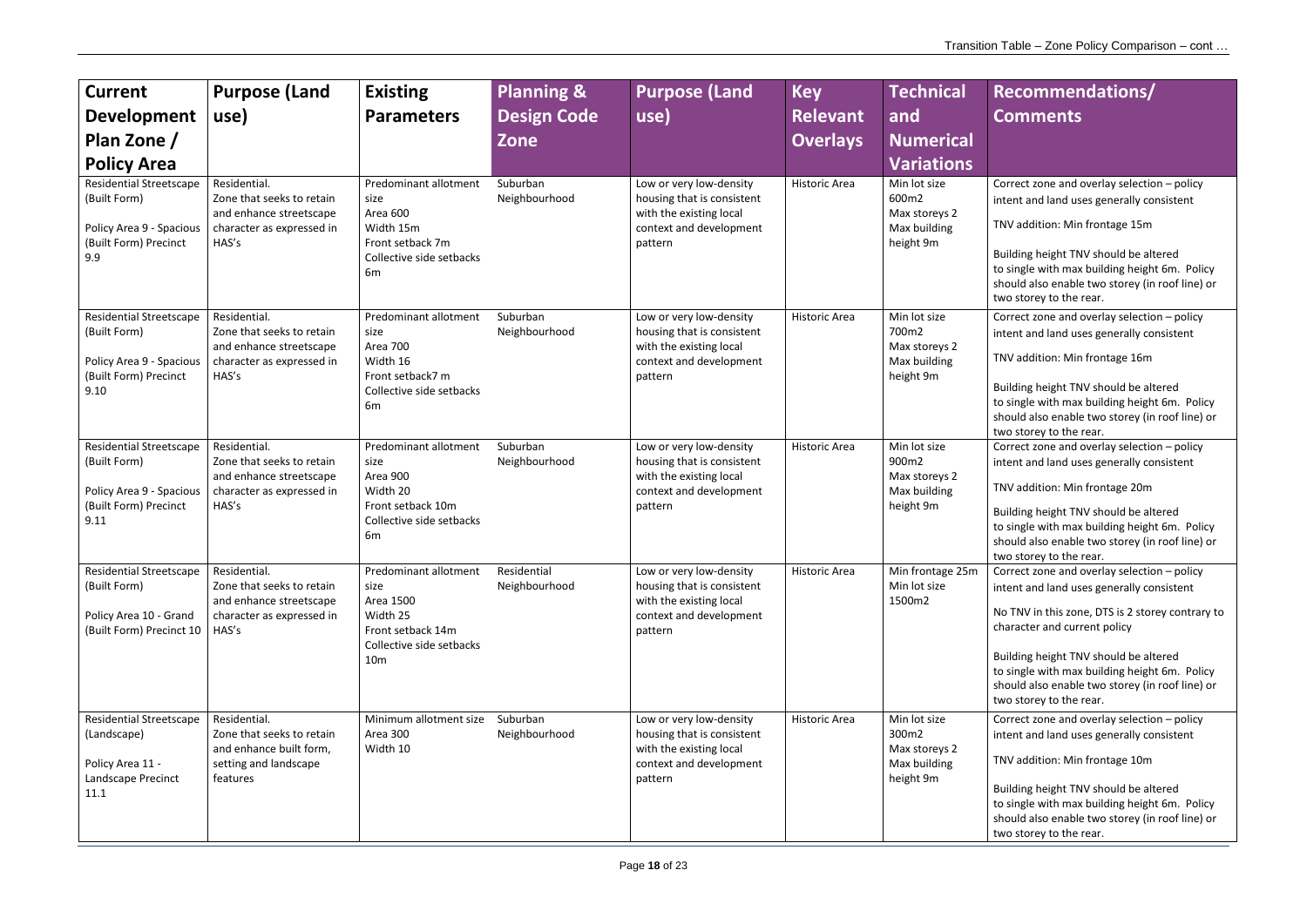# **Recommendations/ Comments** Correct zone and overlay selection – policy intent and land uses generally consistent TNV addition: Min frontage 15m Building height TNV should be altered to single with max building height 6m. Policy should also enable two storey (in roof line) or two storey to the rear. Correct zone and overlay selection – policy intent and land uses generally consistent TNV addition: Min frontage 16m Building height TNV should be altered to single with max building height 6m. Policy should also enable two storey (in roof line) or two storey to the rear. Correct zone and overlay selection – policy intent and land uses generally consistent TNV addition: Min frontage 20m

| <b>Current</b><br><b>Development</b><br>Plan Zone /<br><b>Policy Area</b><br><b>Residential Streetscape</b> | <b>Purpose (Land</b><br>use)<br>Residential.                                                               | <b>Existing</b><br><b>Parameters</b><br>Predominant allotment                                                                                                    | <b>Planning &amp;</b><br><b>Design Code</b><br><b>Zone</b><br>Suburban | <b>Purpose (Land</b><br>use)<br>Low or very low-density                                                                | <b>Key</b><br><b>Relevant</b><br><b>Overlays</b><br>Historic Area | <b>Technical</b><br>and<br><b>Numerical</b><br><b>Variations</b><br>Min lot size |
|-------------------------------------------------------------------------------------------------------------|------------------------------------------------------------------------------------------------------------|------------------------------------------------------------------------------------------------------------------------------------------------------------------|------------------------------------------------------------------------|------------------------------------------------------------------------------------------------------------------------|-------------------------------------------------------------------|----------------------------------------------------------------------------------|
| (Built Form)<br>Policy Area 9 - Spacious<br>(Built Form) Precinct<br>9.9                                    | Zone that seeks to retain<br>and enhance streetscape<br>character as expressed in<br>HAS's                 | size<br>Area 600<br>Width 15m<br>Front setback 7m<br>Collective side setbacks<br>6m                                                                              | Neighbourhood                                                          | housing that is consistent<br>with the existing local<br>context and development<br>pattern                            |                                                                   | 600m2<br>Max storeys 2<br>Max building<br>height 9m                              |
| <b>Residential Streetscape</b><br>(Built Form)<br>Policy Area 9 - Spacious<br>(Built Form) Precinct<br>9.10 | Residential.<br>Zone that seeks to retain<br>and enhance streetscape<br>character as expressed in<br>HAS's | Predominant allotment<br>size<br>Area 700<br>Width 16<br>Front setback7 m<br>Collective side setbacks<br>6m                                                      | Suburban<br>Neighbourhood                                              | Low or very low-density<br>housing that is consistent<br>with the existing local<br>context and development<br>pattern | <b>Historic Area</b>                                              | Min lot size<br>700m2<br>Max storeys 2<br>Max building<br>height 9m              |
| <b>Residential Streetscape</b><br>(Built Form)<br>Policy Area 9 - Spacious<br>(Built Form) Precinct<br>9.11 | Residential.<br>Zone that seeks to retain<br>and enhance streetscape<br>character as expressed in<br>HAS's | Predominant allotment<br>Suburban<br>Neighbourhood<br>size<br>Area 900<br>Width 20<br>Front setback 10m<br>pattern<br>Collective side setbacks<br>6 <sub>m</sub> |                                                                        | Low or very low-density<br>housing that is consistent<br>with the existing local<br>context and development            | <b>Historic Area</b>                                              | Min lot size<br>900m2<br>Max storeys 2<br>Max building<br>height 9m              |
| <b>Residential Streetscape</b><br>(Built Form)<br>Policy Area 10 - Grand<br>(Built Form) Precinct 10        | Residential.<br>Zone that seeks to retain<br>and enhance streetscape<br>character as expressed in<br>HAS's | Predominant allotment<br>size<br>Area 1500<br>Width 25<br>Front setback 14m<br>Collective side setbacks<br>10 <sub>m</sub>                                       | Residential<br>Neighbourhood                                           | Low or very low-density<br>housing that is consistent<br>with the existing local<br>context and development<br>pattern | <b>Historic Area</b>                                              | Min frontage 25m<br>Min lot size<br>1500m2                                       |
| <b>Residential Streetscape</b><br>(Landscape)<br>Policy Area 11 -<br>Landscape Precinct<br>11.1             | Residential.<br>Zone that seeks to retain<br>and enhance built form,<br>setting and landscape<br>features  | Minimum allotment size<br>Area 300<br>Width 10                                                                                                                   | Suburban<br>Neighbourhood                                              | Low or very low-density<br>housing that is consistent<br>with the existing local<br>context and development<br>pattern | Historic Area                                                     | Min lot size<br>300m2<br>Max storeys 2<br>Max building<br>height 9m              |

Building height TNV should be altered to single with max building height 6m. Policy should also enable two storey (in roof line) or two storey to the rear.

Correct zone and overlay selection – policy intent and land uses generally consistent

No TNV in this zone, DTS is 2 storey contrary to character and current policy

Building height TNV should be altered to single with max building height 6m. Policy should also enable two storey (in roof line) or two storey to the rear.

Correct zone and overlay selection – policy intent and land uses generally consistent

TNV addition: Min frontage 10m

Building height TNV should be altered to single with max building height 6m. Policy should also enable two storey (in roof line) or two storey to the rear.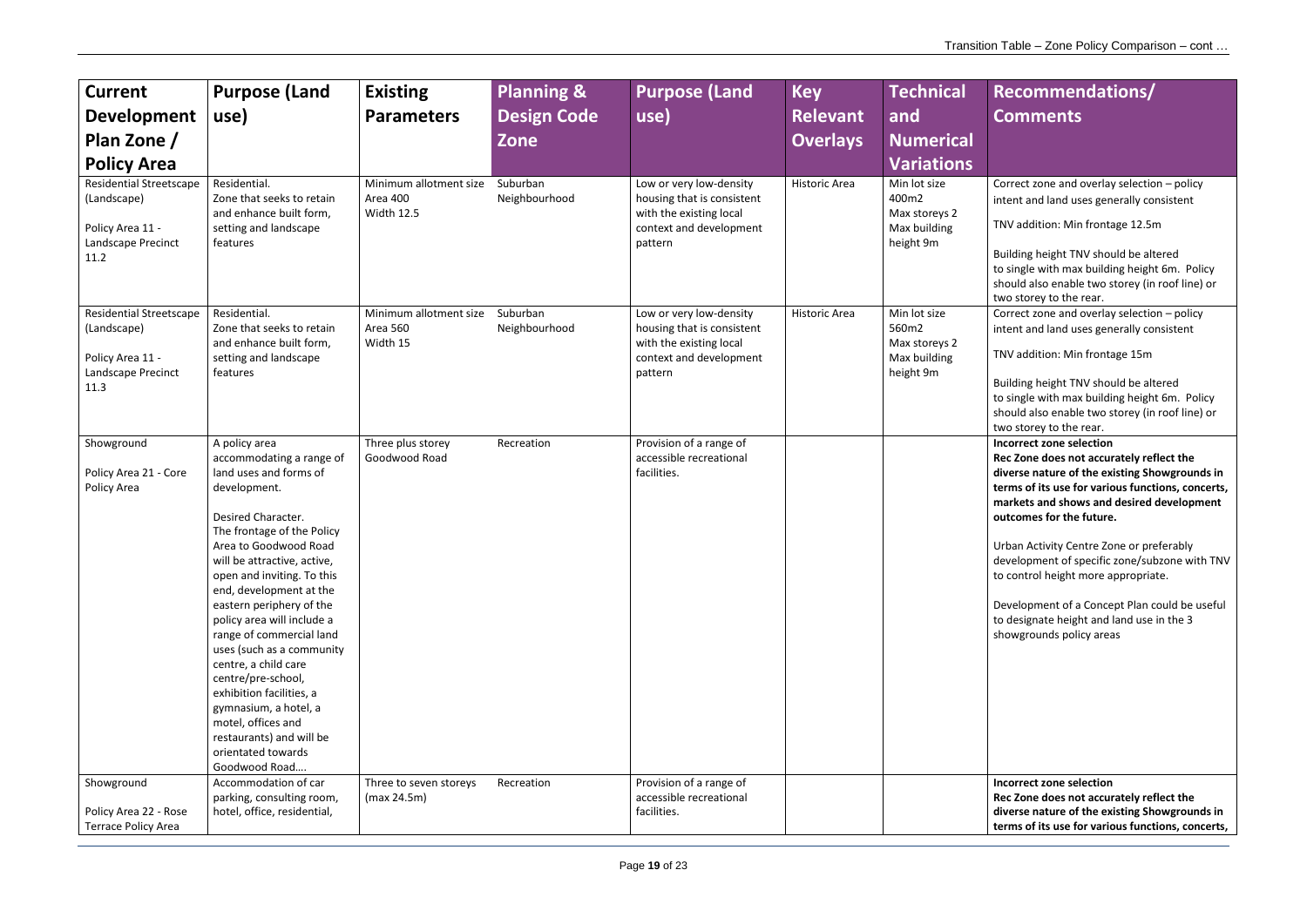Correct zone and overlay selection – policy intent and land uses generally consistent

TNV addition: Min frontage 12.5m

Building height TNV should be altered to single with max building height 6m. Policy should also enable two storey (in roof line) or two storey to the rear.

Correct zone and overlay selection – policy intent and land uses generally consistent

TNV addition: Min frontage 15m

| <b>Current</b><br><b>Development</b><br>Plan Zone /<br><b>Policy Area</b><br><b>Residential Streetscape</b><br>(Landscape)<br>Policy Area 11 -<br>Landscape Precinct<br>11.2 | <b>Purpose (Land</b><br>use)<br>Residential.<br>Zone that seeks to retain<br>and enhance built form,<br>setting and landscape<br>features                                                                                                                                                                                                                                                                                                                                                                                                                               | <b>Existing</b><br><b>Parameters</b><br>Minimum allotment size<br>Area 400<br><b>Width 12.5</b> | <b>Planning &amp;</b><br><b>Design Code</b><br><b>Zone</b><br>Suburban<br>Neighbourhood | <b>Purpose (Land</b><br>use)<br>Low or very low-density<br>housing that is consistent<br>with the existing local<br>context and development<br>pattern | <b>Key</b><br><b>Relevant</b><br><b>Overlays</b><br>Historic Area | <b>Technical</b><br>and<br><b>Numerical</b><br><b>Variations</b><br>Min lot size<br>400m2<br>Max storeys 2<br>Max building<br>height 9m |
|------------------------------------------------------------------------------------------------------------------------------------------------------------------------------|-------------------------------------------------------------------------------------------------------------------------------------------------------------------------------------------------------------------------------------------------------------------------------------------------------------------------------------------------------------------------------------------------------------------------------------------------------------------------------------------------------------------------------------------------------------------------|-------------------------------------------------------------------------------------------------|-----------------------------------------------------------------------------------------|--------------------------------------------------------------------------------------------------------------------------------------------------------|-------------------------------------------------------------------|-----------------------------------------------------------------------------------------------------------------------------------------|
| <b>Residential Streetscape</b><br>(Landscape)<br>Policy Area 11 -<br>Landscape Precinct<br>11.3                                                                              | Residential.<br>Zone that seeks to retain<br>and enhance built form,<br>setting and landscape<br>features                                                                                                                                                                                                                                                                                                                                                                                                                                                               | Minimum allotment size<br><b>Area 560</b><br>Width 15                                           | Suburban<br>Neighbourhood                                                               | Low or very low-density<br>housing that is consistent<br>with the existing local<br>context and development<br>pattern                                 | Historic Area                                                     | Min lot size<br>560m2<br>Max storeys 2<br>Max building<br>height 9m                                                                     |
| Showground<br>Policy Area 21 - Core<br>Policy Area                                                                                                                           | A policy area<br>accommodating a range of<br>land uses and forms of<br>development.<br>Desired Character.<br>The frontage of the Policy<br>Area to Goodwood Road<br>will be attractive, active,<br>open and inviting. To this<br>end, development at the<br>eastern periphery of the<br>policy area will include a<br>range of commercial land<br>uses (such as a community<br>centre, a child care<br>centre/pre-school,<br>exhibition facilities, a<br>gymnasium, a hotel, a<br>motel, offices and<br>restaurants) and will be<br>orientated towards<br>Goodwood Road | Three plus storey<br>Goodwood Road                                                              | Recreation                                                                              | Provision of a range of<br>accessible recreational<br>facilities.                                                                                      |                                                                   |                                                                                                                                         |
| Showground<br>Policy Area 22 - Rose<br><b>Terrace Policy Area</b>                                                                                                            | Accommodation of car<br>parking, consulting room,<br>hotel, office, residential,                                                                                                                                                                                                                                                                                                                                                                                                                                                                                        | Three to seven storeys<br>(max 24.5m)                                                           | Recreation                                                                              | Provision of a range of<br>accessible recreational<br>facilities.                                                                                      |                                                                   |                                                                                                                                         |

Building height TNV should be altered to single with max building height 6m. Policy should also enable two storey (in roof line) or two storey to the rear.

**Incorrect zone selection**

**Rec Zone does not accurately reflect the diverse nature of the existing Showgrounds in terms of its use for various functions, concerts, markets and shows and desired development outcomes for the future.** 

Urban Activity Centre Zone or preferably development of specific zone/subzone with TNV to control height more appropriate.

Development of a Concept Plan could be useful to designate height and land use in the 3 showgrounds policy areas

**Incorrect zone selection Rec Zone does not accurately reflect the diverse nature of the existing Showgrounds in terms of its use for various functions, concerts,**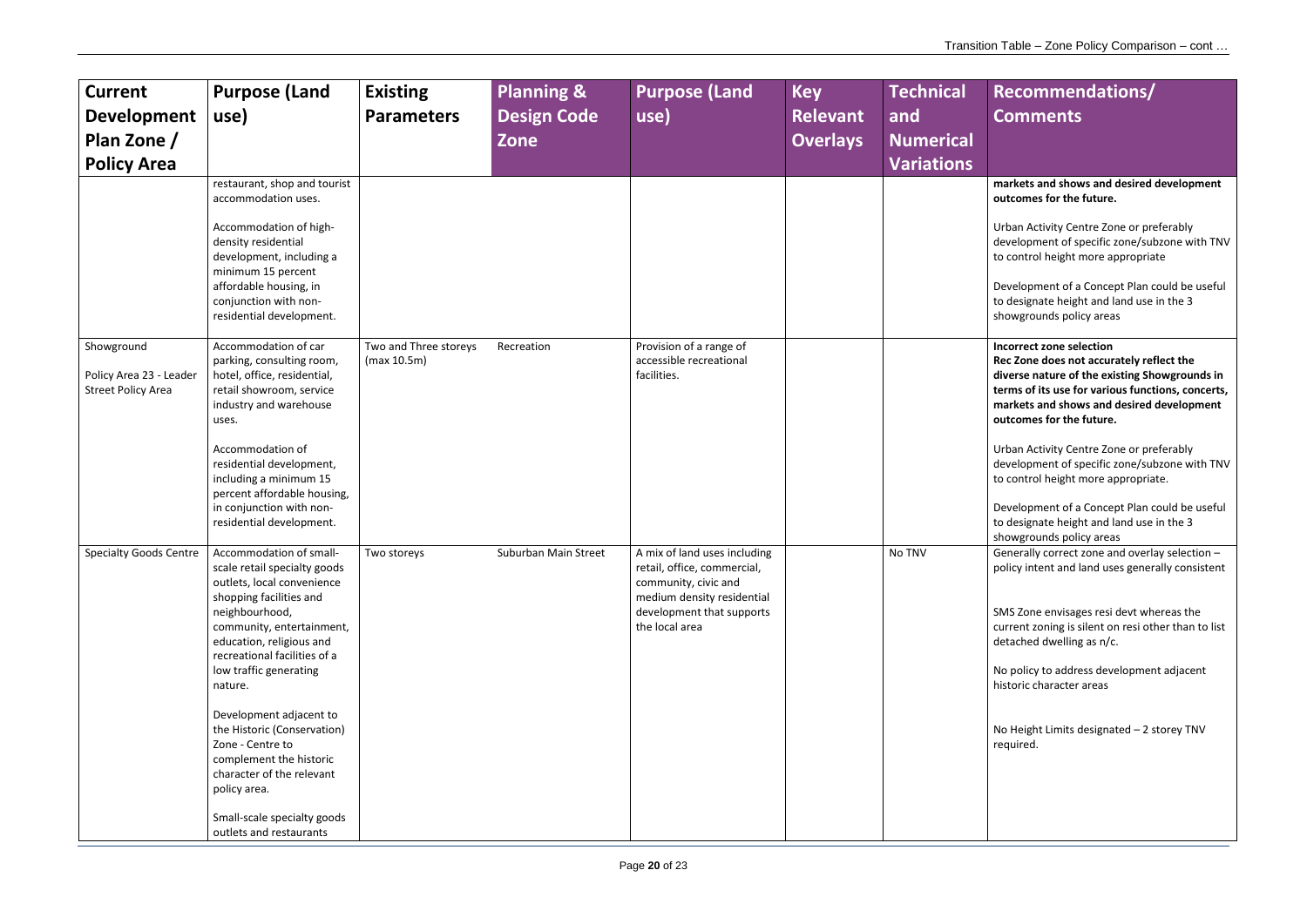**markets and shows and desired development outcomes for the future.**

Urban Activity Centre Zone or preferably development of specific zone/subzone with TNV to control height more appropriate

Development of a Concept Plan could be useful to designate height and land use in the 3 showgrounds policy areas

| <b>Current</b><br><b>Development</b><br>Plan Zone /<br><b>Policy Area</b> | <b>Purpose (Land</b><br>use)<br>restaurant, shop and tourist<br>accommodation uses.                                                                                                                                                                                                                                                                                                                                                                                              | <b>Existing</b><br><b>Parameters</b> | <b>Planning &amp;</b><br><b>Design Code</b><br>Zone | <b>Purpose (Land</b><br>use)                                                                                                                                     | <b>Key</b><br><b>Relevant</b><br><b>Overlays</b> | <b>Technical</b><br>and<br><b>Numerical</b><br><b>Variations</b> |
|---------------------------------------------------------------------------|----------------------------------------------------------------------------------------------------------------------------------------------------------------------------------------------------------------------------------------------------------------------------------------------------------------------------------------------------------------------------------------------------------------------------------------------------------------------------------|--------------------------------------|-----------------------------------------------------|------------------------------------------------------------------------------------------------------------------------------------------------------------------|--------------------------------------------------|------------------------------------------------------------------|
|                                                                           | Accommodation of high-<br>density residential<br>development, including a<br>minimum 15 percent<br>affordable housing, in<br>conjunction with non-<br>residential development.                                                                                                                                                                                                                                                                                                   |                                      |                                                     |                                                                                                                                                                  |                                                  |                                                                  |
| Showground<br>Policy Area 23 - Leader<br><b>Street Policy Area</b>        | Accommodation of car<br>parking, consulting room,<br>hotel, office, residential,<br>retail showroom, service<br>industry and warehouse<br>uses.<br>Accommodation of<br>residential development,<br>including a minimum 15<br>percent affordable housing,<br>in conjunction with non-<br>residential development.                                                                                                                                                                 | Two and Three storeys<br>(max 10.5m) | Recreation                                          | Provision of a range of<br>accessible recreational<br>facilities.                                                                                                |                                                  |                                                                  |
| <b>Specialty Goods Centre</b>                                             | Accommodation of small-<br>scale retail specialty goods<br>outlets, local convenience<br>shopping facilities and<br>neighbourhood,<br>community, entertainment,<br>education, religious and<br>recreational facilities of a<br>low traffic generating<br>nature.<br>Development adjacent to<br>the Historic (Conservation)<br>Zone - Centre to<br>complement the historic<br>character of the relevant<br>policy area.<br>Small-scale specialty goods<br>outlets and restaurants | Two storeys                          | Suburban Main Street                                | A mix of land uses including<br>retail, office, commercial,<br>community, civic and<br>medium density residential<br>development that supports<br>the local area |                                                  | No TNV                                                           |

Generally correct zone and overlay selection  $$ policy intent and land uses generally consistent

**Incorrect zone selection Rec Zone does not accurately reflect the diverse nature of the existing Showgrounds in terms of its use for various functions, concerts, markets and shows and desired development outcomes for the future.**

Urban Activity Centre Zone or preferably development of specific zone/subzone with TNV to control height more appropriate.

Development of a Concept Plan could be useful to designate height and land use in the 3 showgrounds policy areas

SMS Zone envisages resi devt whereas the current zoning is silent on resi other than to list detached dwelling as n/c.

No policy to address development adjacent historic character areas

No Height Limits designated – 2 storey TNV required.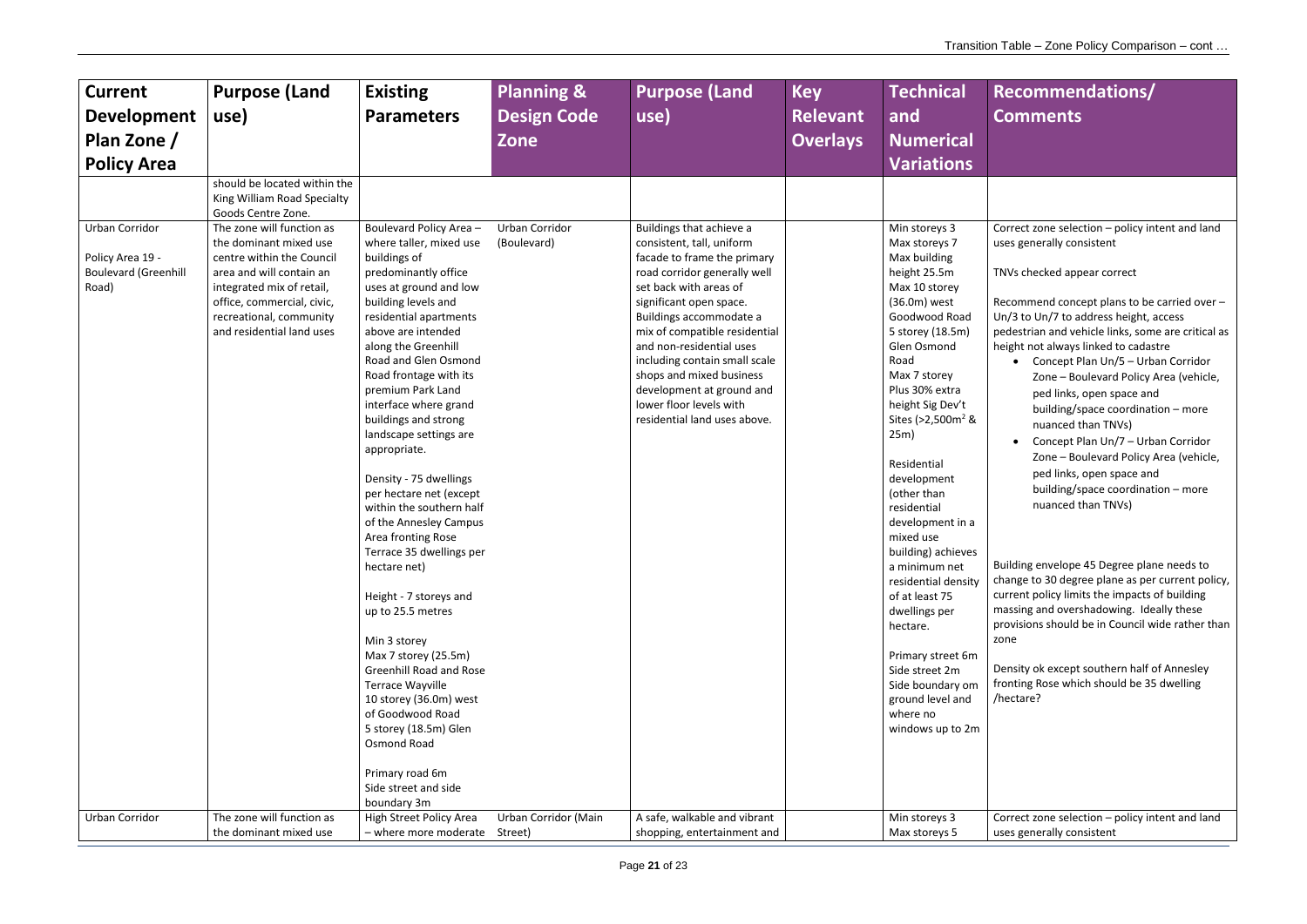| <b>Current</b><br><b>Development</b><br>Plan Zone /<br><b>Policy Area</b>  | <b>Purpose (Land</b><br>use)                                                                                                                                                                                                    | <b>Existing</b><br><b>Parameters</b>                                                                                                                                                                                                                                                                                                                                                                                                                                                                                                                                                                                                                                                                                                                                                                                                                   | <b>Planning &amp;</b><br><b>Design Code</b><br>Zone | <b>Purpose (Land</b><br>use)                                                                                                                                                                                                                                                                                                                                                                                           | <b>Key</b><br><b>Relevant</b><br><b>Overlays</b> | <b>Technical</b><br>and<br><b>Numerical</b><br><b>Variations</b>                                                                                                                                                                                                                                                                                                                                                                                                                                                                                                                    |
|----------------------------------------------------------------------------|---------------------------------------------------------------------------------------------------------------------------------------------------------------------------------------------------------------------------------|--------------------------------------------------------------------------------------------------------------------------------------------------------------------------------------------------------------------------------------------------------------------------------------------------------------------------------------------------------------------------------------------------------------------------------------------------------------------------------------------------------------------------------------------------------------------------------------------------------------------------------------------------------------------------------------------------------------------------------------------------------------------------------------------------------------------------------------------------------|-----------------------------------------------------|------------------------------------------------------------------------------------------------------------------------------------------------------------------------------------------------------------------------------------------------------------------------------------------------------------------------------------------------------------------------------------------------------------------------|--------------------------------------------------|-------------------------------------------------------------------------------------------------------------------------------------------------------------------------------------------------------------------------------------------------------------------------------------------------------------------------------------------------------------------------------------------------------------------------------------------------------------------------------------------------------------------------------------------------------------------------------------|
|                                                                            | should be located within the<br>King William Road Specialty<br>Goods Centre Zone.                                                                                                                                               |                                                                                                                                                                                                                                                                                                                                                                                                                                                                                                                                                                                                                                                                                                                                                                                                                                                        |                                                     |                                                                                                                                                                                                                                                                                                                                                                                                                        |                                                  |                                                                                                                                                                                                                                                                                                                                                                                                                                                                                                                                                                                     |
| Urban Corridor<br>Policy Area 19 -<br><b>Boulevard (Greenhill</b><br>Road) | The zone will function as<br>the dominant mixed use<br>centre within the Council<br>area and will contain an<br>integrated mix of retail,<br>office, commercial, civic,<br>recreational, community<br>and residential land uses | Boulevard Policy Area -<br>where taller, mixed use<br>buildings of<br>predominantly office<br>uses at ground and low<br>building levels and<br>residential apartments<br>above are intended<br>along the Greenhill<br>Road and Glen Osmond<br>Road frontage with its<br>premium Park Land<br>interface where grand<br>buildings and strong<br>landscape settings are<br>appropriate.<br>Density - 75 dwellings<br>per hectare net (except<br>within the southern half<br>of the Annesley Campus<br>Area fronting Rose<br>Terrace 35 dwellings per<br>hectare net)<br>Height - 7 storeys and<br>up to 25.5 metres<br>Min 3 storey<br>Max 7 storey (25.5m)<br><b>Greenhill Road and Rose</b><br><b>Terrace Wayville</b><br>10 storey (36.0m) west<br>of Goodwood Road<br>5 storey (18.5m) Glen<br>Osmond Road<br>Primary road 6m<br>Side street and side | Urban Corridor<br>(Boulevard)                       | Buildings that achieve a<br>consistent, tall, uniform<br>facade to frame the primary<br>road corridor generally well<br>set back with areas of<br>significant open space.<br>Buildings accommodate a<br>mix of compatible residential<br>and non-residential uses<br>including contain small scale<br>shops and mixed business<br>development at ground and<br>lower floor levels with<br>residential land uses above. |                                                  | Min storeys 3<br>Max storeys 7<br>Max building<br>height 25.5m<br>Max 10 storey<br>(36.0m) west<br>Goodwood Road<br>5 storey (18.5m)<br>Glen Osmond<br>Road<br>Max 7 storey<br>Plus 30% extra<br>height Sig Dev't<br>Sites (>2,500m <sup>2</sup> &<br>25m)<br>Residential<br>development<br>(other than<br>residential<br>development in a<br>mixed use<br>building) achieves<br>a minimum net<br>residential density<br>of at least 75<br>dwellings per<br>hectare.<br>Primary street 6m<br>Side street 2m<br>Side boundary om<br>ground level and<br>where no<br>windows up to 2m |
| Urban Corridor                                                             | The zone will function as                                                                                                                                                                                                       | boundary 3m<br><b>High Street Policy Area</b>                                                                                                                                                                                                                                                                                                                                                                                                                                                                                                                                                                                                                                                                                                                                                                                                          | Urban Corridor (Main                                | A safe, walkable and vibrant                                                                                                                                                                                                                                                                                                                                                                                           |                                                  | Min storeys 3                                                                                                                                                                                                                                                                                                                                                                                                                                                                                                                                                                       |
|                                                                            | the dominant mixed use                                                                                                                                                                                                          | - where more moderate                                                                                                                                                                                                                                                                                                                                                                                                                                                                                                                                                                                                                                                                                                                                                                                                                                  | Street)                                             | shopping, entertainment and                                                                                                                                                                                                                                                                                                                                                                                            |                                                  | Max storeys 5                                                                                                                                                                                                                                                                                                                                                                                                                                                                                                                                                                       |

Correct zone selection – policy intent and land uses generally consistent

- TNVs checked appear correct
- Recommend concept plans to be carried over Un/3 to Un/7 to address height, access pedestrian and vehicle links, some are critical as height not always linked to cadastre
	- Concept Plan Un/5 Urban Corridor Zone – Boulevard Policy Area (vehicle, ped links, open space and building/space coordination – more nuanced than TNVs)
	- Concept Plan Un/7 Urban Corridor Zone – Boulevard Policy Area (vehicle, ped links, open space and building/space coordination – more nuanced than TNVs)

Building envelope 45 Degree plane needs to change to 30 degree plane as per current policy, current policy limits the impacts of building massing and overshadowing. Ideally these provisions should be in Council wide rather than zone

Density ok except southern half of Annesley fronting Rose which should be 35 dwelling /hectare?

Correct zone selection – policy intent and land uses generally consistent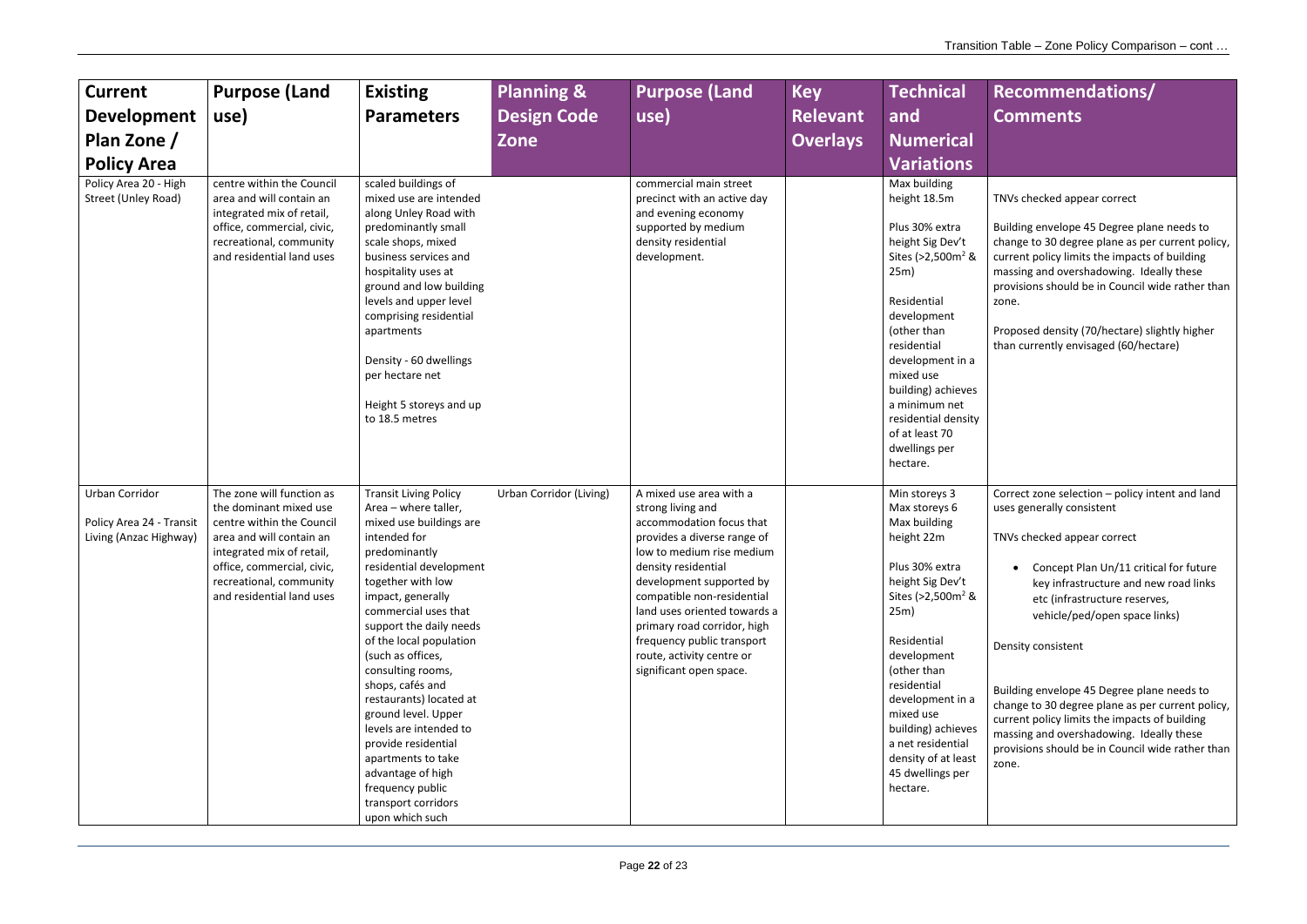TNVs checked appear correct

Building envelope 45 Degree plane needs to change to 30 degree plane as per current policy, current policy limits the impacts of building massing and overshadowing. Ideally these provisions should be in Council wide rather than zone.

| <b>Current</b><br><b>Development</b><br>Plan Zone /<br><b>Policy Area</b><br>Policy Area 20 - High<br>Street (Unley Road) | <b>Purpose (Land</b><br>use)<br>centre within the Council<br>area and will contain an<br>integrated mix of retail,<br>office, commercial, civic,<br>recreational, community<br>and residential land uses                        | <b>Existing</b><br><b>Parameters</b><br>scaled buildings of<br>mixed use are intended<br>along Unley Road with<br>predominantly small<br>scale shops, mixed<br>business services and<br>hospitality uses at<br>ground and low building<br>levels and upper level<br>comprising residential<br>apartments<br>Density - 60 dwellings                                                                                                                                                                                                            | <b>Planning &amp;</b><br><b>Design Code</b><br>Zone | <b>Purpose (Land</b><br>use)<br>commercial main street<br>precinct with an active day<br>and evening economy<br>supported by medium<br>density residential<br>development.                                                                                                                                                                                                 | <b>Key</b><br><b>Relevant</b><br><b>Overlays</b> | <b>Technical</b><br>and<br><b>Numerical</b><br><b>Variations</b><br>Max building<br>height 18.5m<br>Plus 30% extra<br>height Sig Dev't<br>Sites ( $>2,500$ m <sup>2</sup> &<br>25m)<br>Residential<br>development<br>(other than<br>residential<br>development in a                                                                        |
|---------------------------------------------------------------------------------------------------------------------------|---------------------------------------------------------------------------------------------------------------------------------------------------------------------------------------------------------------------------------|-----------------------------------------------------------------------------------------------------------------------------------------------------------------------------------------------------------------------------------------------------------------------------------------------------------------------------------------------------------------------------------------------------------------------------------------------------------------------------------------------------------------------------------------------|-----------------------------------------------------|----------------------------------------------------------------------------------------------------------------------------------------------------------------------------------------------------------------------------------------------------------------------------------------------------------------------------------------------------------------------------|--------------------------------------------------|--------------------------------------------------------------------------------------------------------------------------------------------------------------------------------------------------------------------------------------------------------------------------------------------------------------------------------------------|
|                                                                                                                           |                                                                                                                                                                                                                                 | per hectare net<br>Height 5 storeys and up<br>to 18.5 metres                                                                                                                                                                                                                                                                                                                                                                                                                                                                                  |                                                     |                                                                                                                                                                                                                                                                                                                                                                            |                                                  | mixed use<br>building) achieves<br>a minimum net<br>residential density<br>of at least 70<br>dwellings per<br>hectare.                                                                                                                                                                                                                     |
| Urban Corridor<br>Policy Area 24 - Transit<br>Living (Anzac Highway)                                                      | The zone will function as<br>the dominant mixed use<br>centre within the Council<br>area and will contain an<br>integrated mix of retail,<br>office, commercial, civic,<br>recreational, community<br>and residential land uses | <b>Transit Living Policy</b><br>Area - where taller,<br>mixed use buildings are<br>intended for<br>predominantly<br>residential development<br>together with low<br>impact, generally<br>commercial uses that<br>support the daily needs<br>of the local population<br>(such as offices,<br>consulting rooms,<br>shops, cafés and<br>restaurants) located at<br>ground level. Upper<br>levels are intended to<br>provide residential<br>apartments to take<br>advantage of high<br>frequency public<br>transport corridors<br>upon which such | <b>Urban Corridor (Living)</b>                      | A mixed use area with a<br>strong living and<br>accommodation focus that<br>provides a diverse range of<br>low to medium rise medium<br>density residential<br>development supported by<br>compatible non-residential<br>land uses oriented towards a<br>primary road corridor, high<br>frequency public transport<br>route, activity centre or<br>significant open space. |                                                  | Min storeys 3<br>Max storeys 6<br>Max building<br>height 22m<br>Plus 30% extra<br>height Sig Dev't<br>Sites (>2,500m <sup>2</sup> &<br>25m)<br>Residential<br>development<br>(other than<br>residential<br>development in a<br>mixed use<br>building) achieves<br>a net residential<br>density of at least<br>45 dwellings per<br>hectare. |

Proposed density (70/hectare) slightly higher than currently envisaged (60/hectare)

Correct zone selection – policy intent and land uses generally consistent

TNVs checked appear correct

• Concept Plan Un/11 critical for future key infrastructure and new road links etc (infrastructure reserves, vehicle/ped/open space links)

Density consistent

Building envelope 45 Degree plane needs to change to 30 degree plane as per current policy, current policy limits the impacts of building massing and overshadowing. Ideally these provisions should be in Council wide rather than zone.